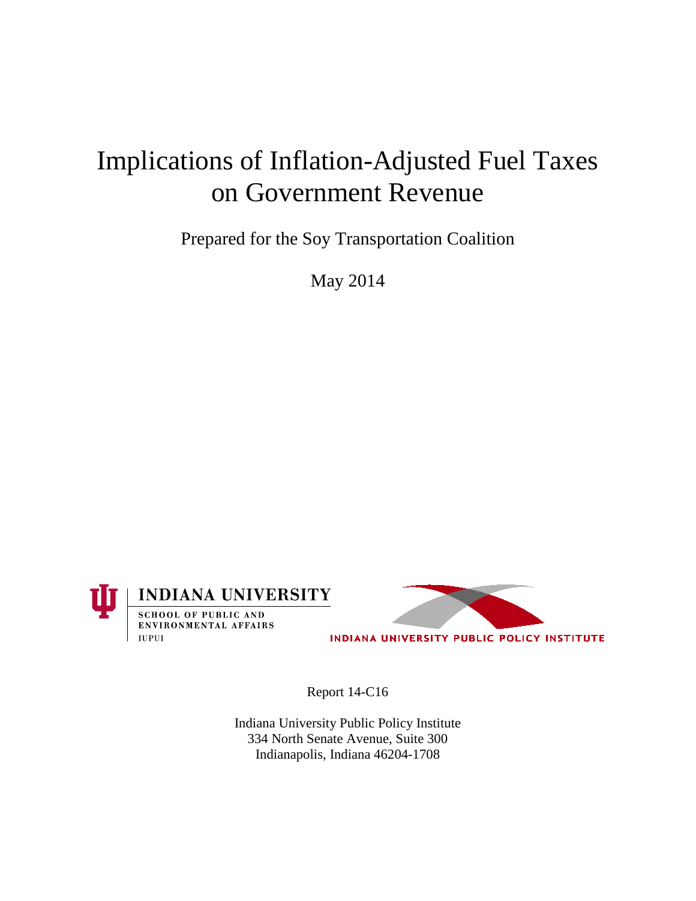# Implications of Inflation-Adjusted Fuel Taxes on Government Revenue

Prepared for the Soy Transportation Coalition

May 2014





INDIANA UNIVERSITY PUBLIC POLICY INSTITUTE

Report 14-C16

Indiana University Public Policy Institute 334 North Senate Avenue, Suite 300 Indianapolis, Indiana 46204-1708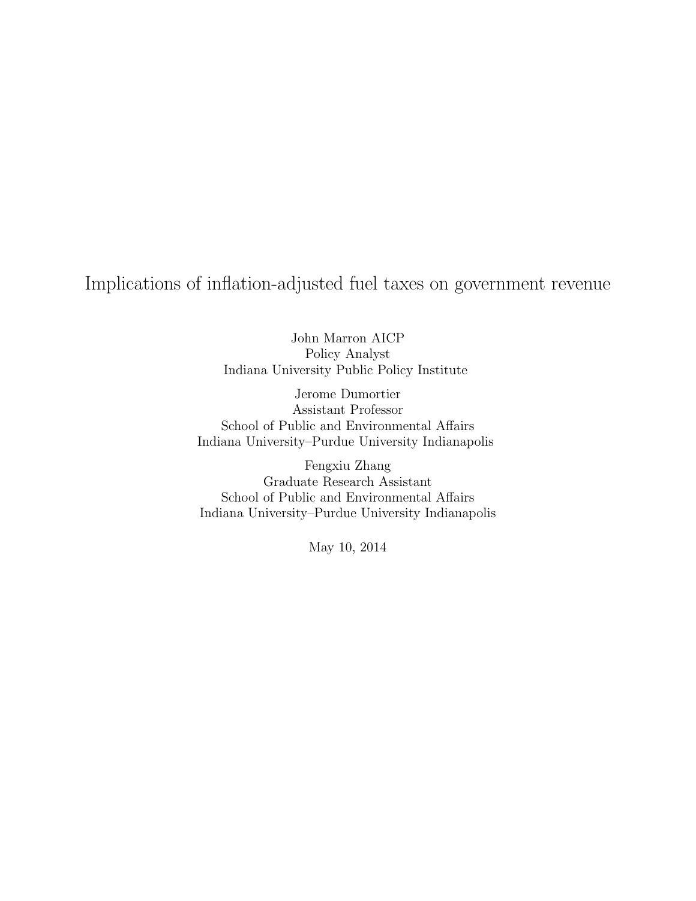# Implications of inflation-adjusted fuel taxes on government revenue

John Marron AICP Policy Analyst Indiana University Public Policy Institute

Jerome Dumortier Assistant Professor School of Public and Environmental Affairs Indiana University–Purdue University Indianapolis

Fengxiu Zhang Graduate Research Assistant School of Public and Environmental Affairs Indiana University–Purdue University Indianapolis

May 10, 2014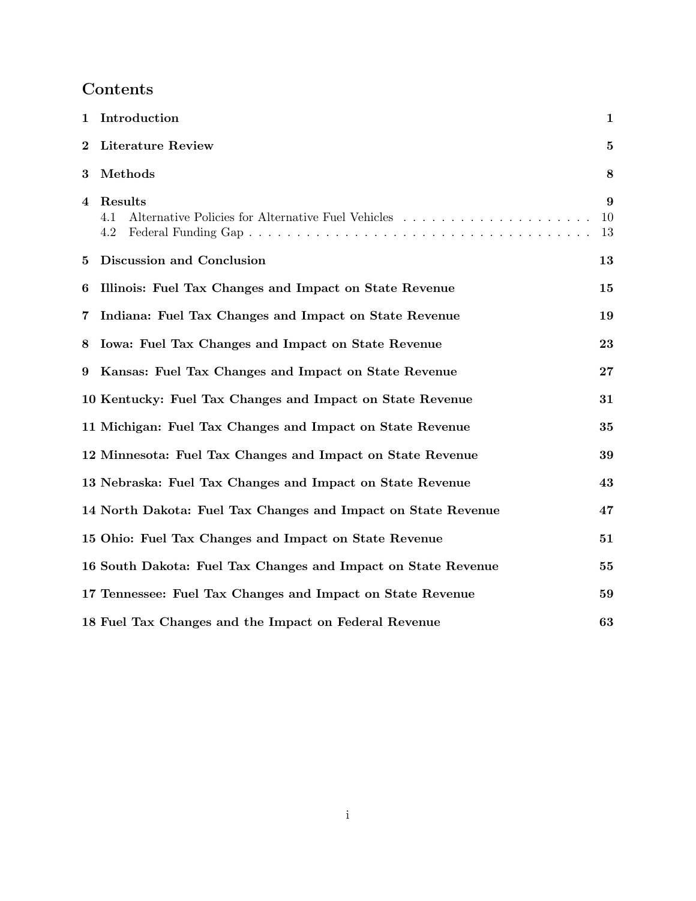# Contents

| 1        | Introduction                                                  | $\mathbf{1}$  |
|----------|---------------------------------------------------------------|---------------|
| $\bf{2}$ | <b>Literature Review</b>                                      | $\mathbf{5}$  |
| 3        | Methods                                                       | 8             |
| 4        | Results<br>4.1<br>4.2                                         | 9<br>10<br>13 |
| 5        | Discussion and Conclusion                                     | 13            |
| 6        | Illinois: Fuel Tax Changes and Impact on State Revenue        | 15            |
| 7        | Indiana: Fuel Tax Changes and Impact on State Revenue         | 19            |
| 8        | Iowa: Fuel Tax Changes and Impact on State Revenue            | 23            |
| 9        | Kansas: Fuel Tax Changes and Impact on State Revenue          | 27            |
|          | 10 Kentucky: Fuel Tax Changes and Impact on State Revenue     | 31            |
|          | 11 Michigan: Fuel Tax Changes and Impact on State Revenue     | 35            |
|          | 12 Minnesota: Fuel Tax Changes and Impact on State Revenue    | 39            |
|          | 13 Nebraska: Fuel Tax Changes and Impact on State Revenue     | 43            |
|          | 14 North Dakota: Fuel Tax Changes and Impact on State Revenue | 47            |
|          | 15 Ohio: Fuel Tax Changes and Impact on State Revenue         | 51            |
|          | 16 South Dakota: Fuel Tax Changes and Impact on State Revenue | 55            |
|          | 17 Tennessee: Fuel Tax Changes and Impact on State Revenue    | 59            |
|          | 18 Fuel Tax Changes and the Impact on Federal Revenue         | 63            |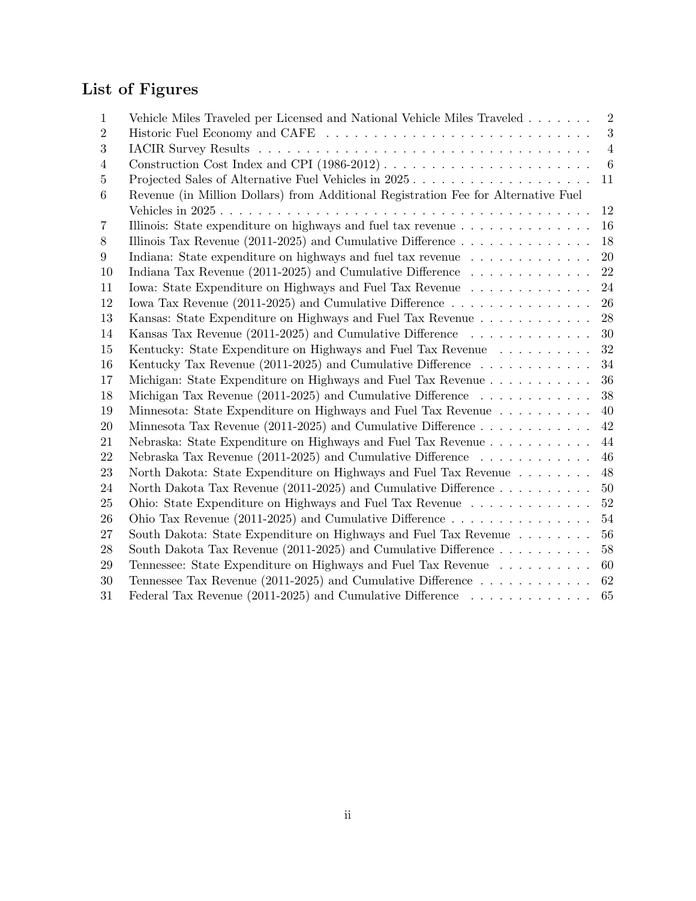# List of Figures

| $\mathbf 1$    | Vehicle Miles Traveled per Licensed and National Vehicle Miles Traveled                    | $\overline{2}$   |
|----------------|--------------------------------------------------------------------------------------------|------------------|
| $\overline{2}$ |                                                                                            | 3                |
| 3              |                                                                                            | $\overline{4}$   |
| 4              |                                                                                            | $\boldsymbol{6}$ |
| 5              | Projected Sales of Alternative Fuel Vehicles in 2025                                       | 11               |
| 6              | Revenue (in Million Dollars) from Additional Registration Fee for Alternative Fuel         |                  |
|                |                                                                                            | 12               |
| 7              | Illinois: State expenditure on highways and fuel tax revenue                               | 16               |
| 8              | Illinois Tax Revenue (2011-2025) and Cumulative Difference $\dots \dots \dots \dots \dots$ | 18               |
| 9              | Indiana: State expenditure on highways and fuel tax revenue                                | 20               |
| 10             | Indiana Tax Revenue (2011-2025) and Cumulative Difference $\dots \dots \dots \dots$        | 22               |
| 11             | Iowa: State Expenditure on Highways and Fuel Tax Revenue                                   | 24               |
| 12             | Iowa Tax Revenue (2011-2025) and Cumulative Difference $\dots \dots \dots \dots \dots$     | 26               |
| 13             | Kansas: State Expenditure on Highways and Fuel Tax Revenue                                 | 28               |
| 14             | Kansas Tax Revenue (2011-2025) and Cumulative Difference                                   | 30               |
| 15             | Kentucky: State Expenditure on Highways and Fuel Tax Revenue                               | 32               |
| 16             | Kentucky Tax Revenue (2011-2025) and Cumulative Difference $\dots \dots \dots \dots$       | 34               |
| 17             | Michigan: State Expenditure on Highways and Fuel Tax Revenue                               | 36               |
| 18             | Michigan Tax Revenue (2011-2025) and Cumulative Difference $\dots \dots \dots \dots$       | 38               |
| 19             | Minnesota: State Expenditure on Highways and Fuel Tax Revenue                              | 40               |
| 20             | Minnesota Tax Revenue (2011-2025) and Cumulative Difference $\dots \dots \dots \dots$      | 42               |
| 21             | Nebraska: State Expenditure on Highways and Fuel Tax Revenue                               | 44               |
| 22             | Nebraska Tax Revenue (2011-2025) and Cumulative Difference $\dots \dots \dots \dots$       | 46               |
| 23             | North Dakota: State Expenditure on Highways and Fuel Tax Revenue                           | 48               |
| 24             | North Dakota Tax Revenue (2011-2025) and Cumulative Difference $\dots \dots \dots$         | $50\,$           |
| 25             | Ohio: State Expenditure on Highways and Fuel Tax Revenue                                   | $52\,$           |
| 26             | Ohio Tax Revenue (2011-2025) and Cumulative Difference $\dots \dots \dots \dots \dots$     | $54\,$           |
| 27             | South Dakota: State Expenditure on Highways and Fuel Tax Revenue                           | 56               |
| 28             | South Dakota Tax Revenue (2011-2025) and Cumulative Difference $\dots \dots \dots$         | 58               |
| 29             | Tennessee: State Expenditure on Highways and Fuel Tax Revenue                              | 60               |
| 30             | Tennessee Tax Revenue (2011-2025) and Cumulative Difference $\dots \dots \dots \dots$      | 62               |
| 31             | Federal Tax Revenue (2011-2025) and Cumulative Difference $\ldots \ldots \ldots \ldots$    | 65               |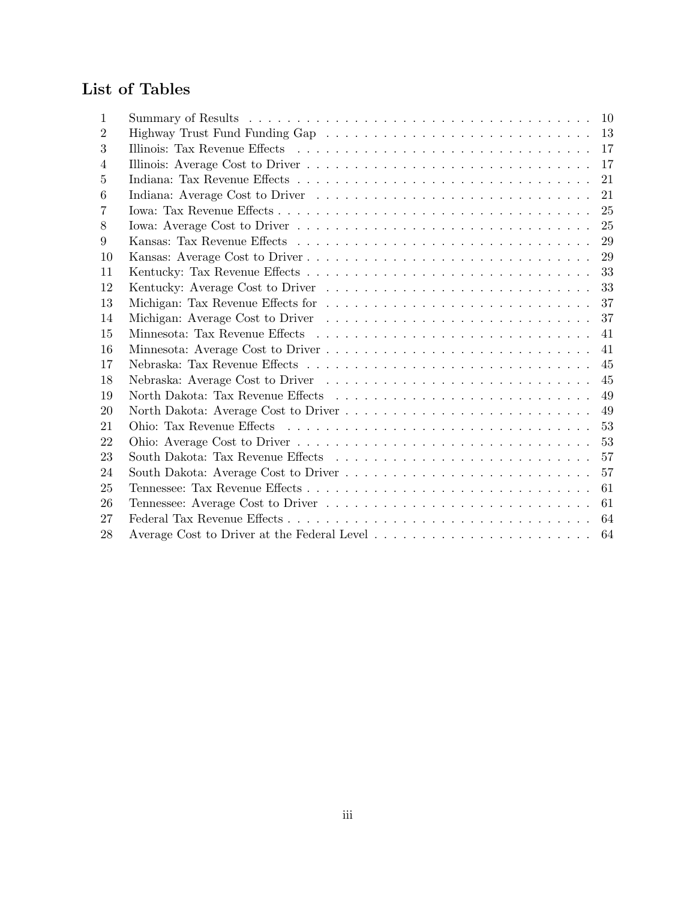# List of Tables

| 1  |                                             |    |
|----|---------------------------------------------|----|
| 2  |                                             |    |
| 3  |                                             |    |
| 4  |                                             | 17 |
| 5  |                                             | 21 |
| 6  |                                             | 21 |
| 7  |                                             | 25 |
| 8  |                                             | 25 |
| 9  |                                             | 29 |
| 10 |                                             | 29 |
| 11 |                                             | 33 |
| 12 |                                             | 33 |
| 13 |                                             | 37 |
| 14 |                                             | 37 |
| 15 |                                             | 41 |
| 16 |                                             | 41 |
| 17 |                                             | 45 |
| 18 |                                             | 45 |
| 19 |                                             | 49 |
| 20 |                                             | 49 |
| 21 |                                             | 53 |
| 22 |                                             | 53 |
| 23 |                                             | 57 |
| 24 |                                             | 57 |
| 25 |                                             | 61 |
| 26 |                                             | 61 |
| 27 |                                             | 64 |
| 28 | Average Cost to Driver at the Federal Level | 64 |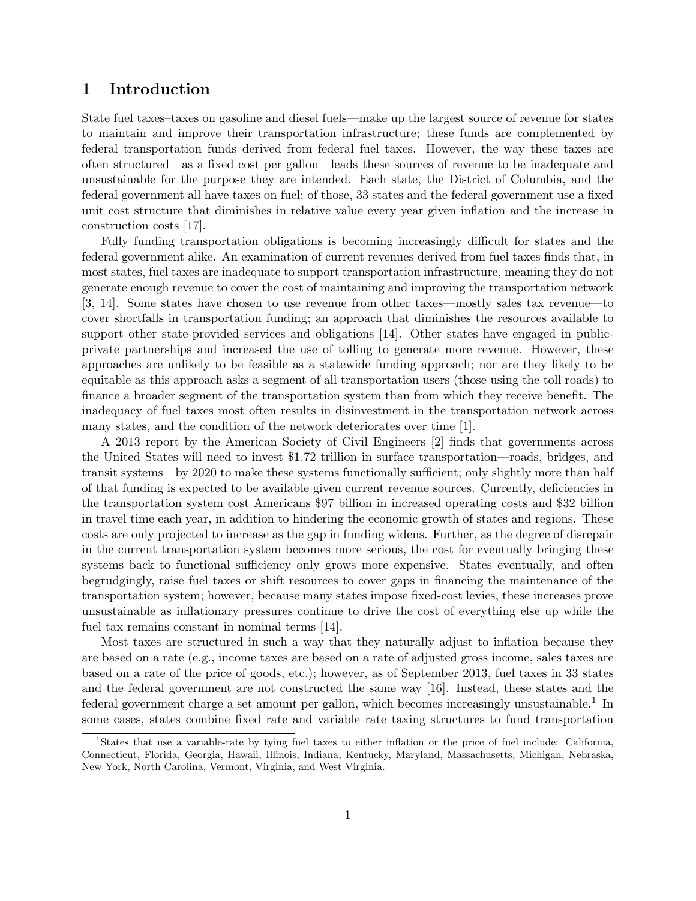# 1 Introduction

State fuel taxes–taxes on gasoline and diesel fuels—make up the largest source of revenue for states to maintain and improve their transportation infrastructure; these funds are complemented by federal transportation funds derived from federal fuel taxes. However, the way these taxes are often structured—as a fixed cost per gallon—leads these sources of revenue to be inadequate and unsustainable for the purpose they are intended. Each state, the District of Columbia, and the federal government all have taxes on fuel; of those, 33 states and the federal government use a fixed unit cost structure that diminishes in relative value every year given inflation and the increase in construction costs [17].

Fully funding transportation obligations is becoming increasingly difficult for states and the federal government alike. An examination of current revenues derived from fuel taxes finds that, in most states, fuel taxes are inadequate to support transportation infrastructure, meaning they do not generate enough revenue to cover the cost of maintaining and improving the transportation network [3, 14]. Some states have chosen to use revenue from other taxes—mostly sales tax revenue—to cover shortfalls in transportation funding; an approach that diminishes the resources available to support other state-provided services and obligations [14]. Other states have engaged in publicprivate partnerships and increased the use of tolling to generate more revenue. However, these approaches are unlikely to be feasible as a statewide funding approach; nor are they likely to be equitable as this approach asks a segment of all transportation users (those using the toll roads) to finance a broader segment of the transportation system than from which they receive benefit. The inadequacy of fuel taxes most often results in disinvestment in the transportation network across many states, and the condition of the network deteriorates over time [1].

A 2013 report by the American Society of Civil Engineers [2] finds that governments across the United States will need to invest \$1.72 trillion in surface transportation—roads, bridges, and transit systems—by 2020 to make these systems functionally sufficient; only slightly more than half of that funding is expected to be available given current revenue sources. Currently, deficiencies in the transportation system cost Americans \$97 billion in increased operating costs and \$32 billion in travel time each year, in addition to hindering the economic growth of states and regions. These costs are only projected to increase as the gap in funding widens. Further, as the degree of disrepair in the current transportation system becomes more serious, the cost for eventually bringing these systems back to functional sufficiency only grows more expensive. States eventually, and often begrudgingly, raise fuel taxes or shift resources to cover gaps in financing the maintenance of the transportation system; however, because many states impose fixed-cost levies, these increases prove unsustainable as inflationary pressures continue to drive the cost of everything else up while the fuel tax remains constant in nominal terms [14].

Most taxes are structured in such a way that they naturally adjust to inflation because they are based on a rate (e.g., income taxes are based on a rate of adjusted gross income, sales taxes are based on a rate of the price of goods, etc.); however, as of September 2013, fuel taxes in 33 states and the federal government are not constructed the same way [16]. Instead, these states and the federal government charge a set amount per gallon, which becomes increasingly unsustainable.<sup>1</sup> In some cases, states combine fixed rate and variable rate taxing structures to fund transportation

<sup>&</sup>lt;sup>1</sup>States that use a variable-rate by tying fuel taxes to either inflation or the price of fuel include: California, Connecticut, Florida, Georgia, Hawaii, Illinois, Indiana, Kentucky, Maryland, Massachusetts, Michigan, Nebraska, New York, North Carolina, Vermont, Virginia, and West Virginia.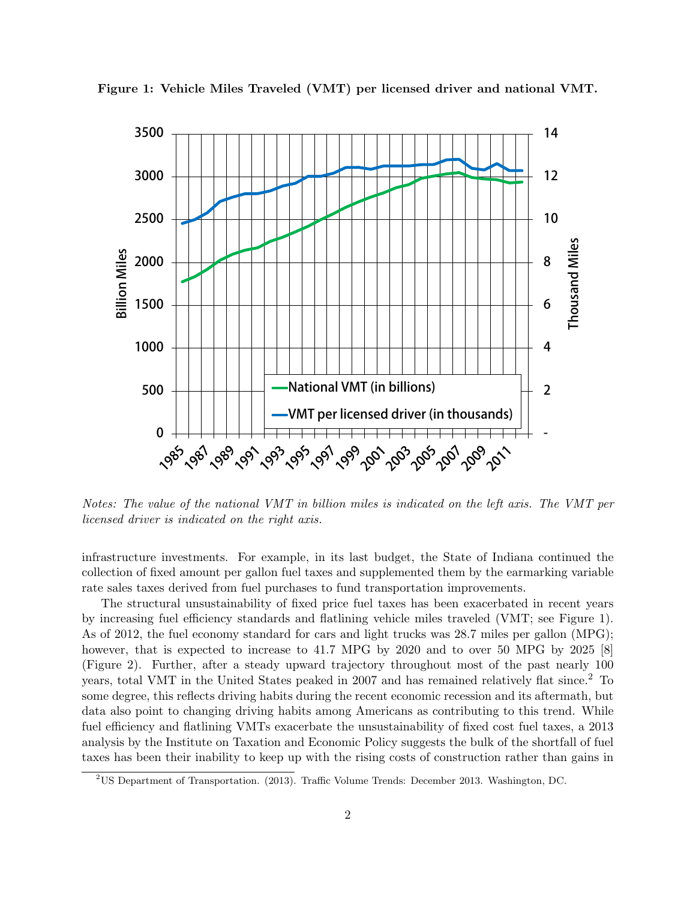

Figure 1: Vehicle Miles Traveled (VMT) per licensed driver and national VMT.

Notes: The value of the national VMT in billion miles is indicated on the left axis. The VMT per licensed driver is indicated on the right axis.

infrastructure investments. For example, in its last budget, the State of Indiana continued the collection of fixed amount per gallon fuel taxes and supplemented them by the earmarking variable rate sales taxes derived from fuel purchases to fund transportation improvements.

The structural unsustainability of fixed price fuel taxes has been exacerbated in recent years by increasing fuel efficiency standards and flatlining vehicle miles traveled (VMT; see Figure 1). As of 2012, the fuel economy standard for cars and light trucks was 28.7 miles per gallon (MPG); however, that is expected to increase to 41.7 MPG by 2020 and to over 50 MPG by 2025 [8] (Figure 2). Further, after a steady upward trajectory throughout most of the past nearly 100 years, total VMT in the United States peaked in 2007 and has remained relatively flat since.<sup>2</sup> To some degree, this reflects driving habits during the recent economic recession and its aftermath, but data also point to changing driving habits among Americans as contributing to this trend. While fuel efficiency and flatlining VMTs exacerbate the unsustainability of fixed cost fuel taxes, a 2013 analysis by the Institute on Taxation and Economic Policy suggests the bulk of the shortfall of fuel taxes has been their inability to keep up with the rising costs of construction rather than gains in

<sup>2</sup>US Department of Transportation. (2013). Traffic Volume Trends: December 2013. Washington, DC.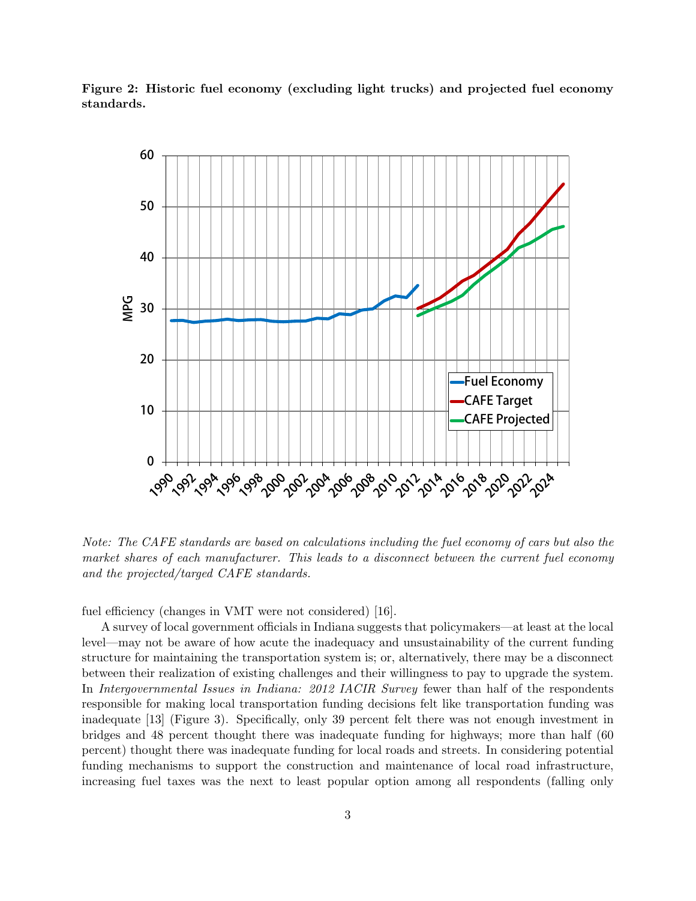



Note: The CAFE standards are based on calculations including the fuel economy of cars but also the market shares of each manufacturer. This leads to a disconnect between the current fuel economy and the projected/targed CAFE standards.

fuel efficiency (changes in VMT were not considered) [16].

A survey of local government officials in Indiana suggests that policymakers—at least at the local level—may not be aware of how acute the inadequacy and unsustainability of the current funding structure for maintaining the transportation system is; or, alternatively, there may be a disconnect between their realization of existing challenges and their willingness to pay to upgrade the system. In Intergovernmental Issues in Indiana: 2012 IACIR Survey fewer than half of the respondents responsible for making local transportation funding decisions felt like transportation funding was inadequate [13] (Figure 3). Specifically, only 39 percent felt there was not enough investment in bridges and 48 percent thought there was inadequate funding for highways; more than half (60 percent) thought there was inadequate funding for local roads and streets. In considering potential funding mechanisms to support the construction and maintenance of local road infrastructure, increasing fuel taxes was the next to least popular option among all respondents (falling only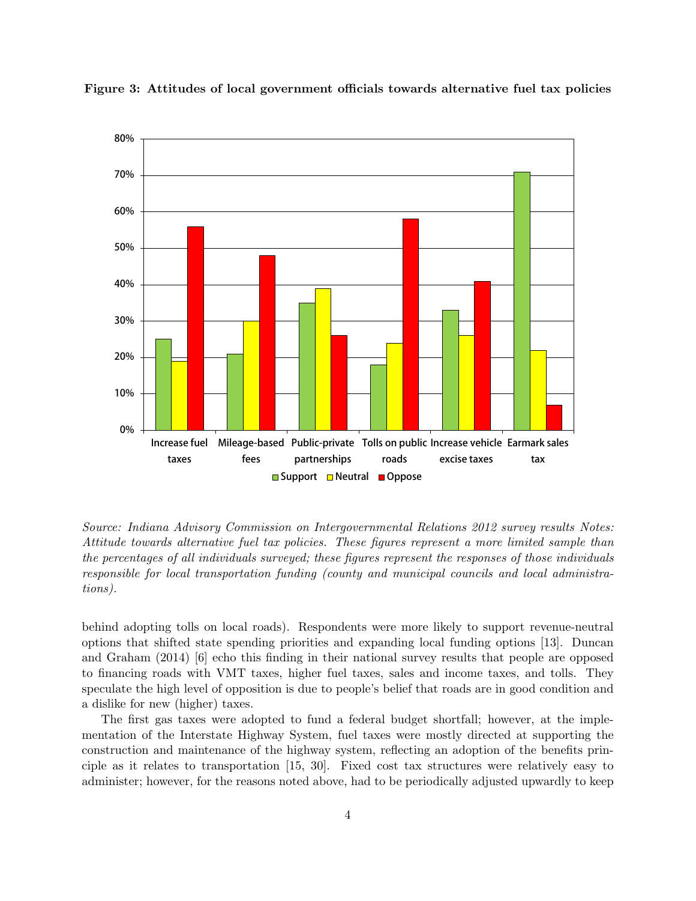

Figure 3: Attitudes of local government officials towards alternative fuel tax policies

Source: Indiana Advisory Commission on Intergovernmental Relations 2012 survey results Notes: Attitude towards alternative fuel tax policies. These figures represent a more limited sample than the percentages of all individuals surveyed; these figures represent the responses of those individuals responsible for local transportation funding (county and municipal councils and local administrations).

behind adopting tolls on local roads). Respondents were more likely to support revenue-neutral options that shifted state spending priorities and expanding local funding options [13]. Duncan and Graham (2014) [6] echo this finding in their national survey results that people are opposed to financing roads with VMT taxes, higher fuel taxes, sales and income taxes, and tolls. They speculate the high level of opposition is due to people's belief that roads are in good condition and a dislike for new (higher) taxes.

The first gas taxes were adopted to fund a federal budget shortfall; however, at the implementation of the Interstate Highway System, fuel taxes were mostly directed at supporting the construction and maintenance of the highway system, reflecting an adoption of the benefits principle as it relates to transportation [15, 30]. Fixed cost tax structures were relatively easy to administer; however, for the reasons noted above, had to be periodically adjusted upwardly to keep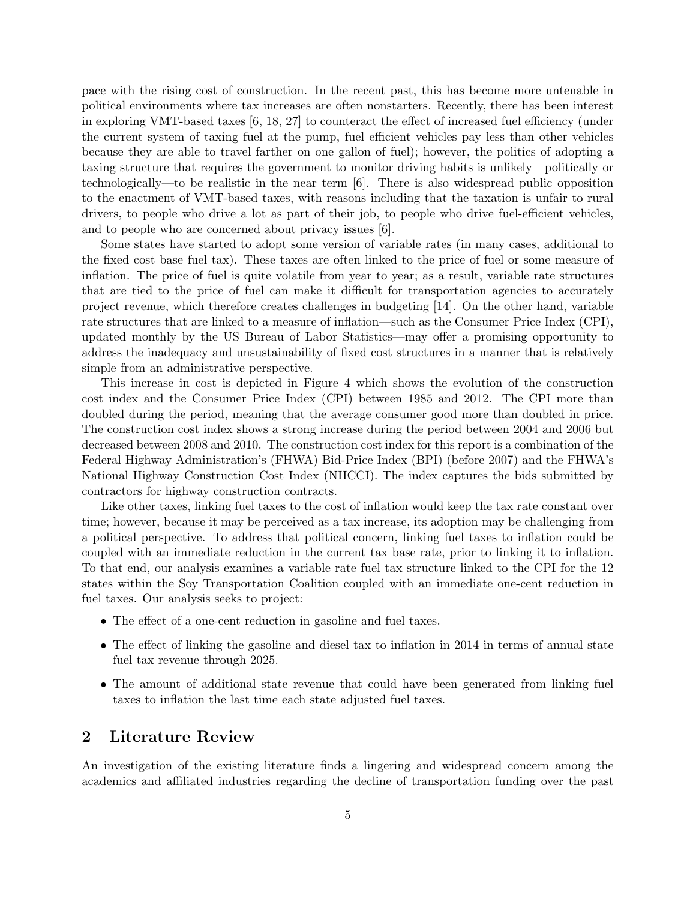pace with the rising cost of construction. In the recent past, this has become more untenable in political environments where tax increases are often nonstarters. Recently, there has been interest in exploring VMT-based taxes [6, 18, 27] to counteract the effect of increased fuel efficiency (under the current system of taxing fuel at the pump, fuel efficient vehicles pay less than other vehicles because they are able to travel farther on one gallon of fuel); however, the politics of adopting a taxing structure that requires the government to monitor driving habits is unlikely—politically or technologically—to be realistic in the near term [6]. There is also widespread public opposition to the enactment of VMT-based taxes, with reasons including that the taxation is unfair to rural drivers, to people who drive a lot as part of their job, to people who drive fuel-efficient vehicles, and to people who are concerned about privacy issues [6].

Some states have started to adopt some version of variable rates (in many cases, additional to the fixed cost base fuel tax). These taxes are often linked to the price of fuel or some measure of inflation. The price of fuel is quite volatile from year to year; as a result, variable rate structures that are tied to the price of fuel can make it difficult for transportation agencies to accurately project revenue, which therefore creates challenges in budgeting [14]. On the other hand, variable rate structures that are linked to a measure of inflation—such as the Consumer Price Index (CPI), updated monthly by the US Bureau of Labor Statistics—may offer a promising opportunity to address the inadequacy and unsustainability of fixed cost structures in a manner that is relatively simple from an administrative perspective.

This increase in cost is depicted in Figure 4 which shows the evolution of the construction cost index and the Consumer Price Index (CPI) between 1985 and 2012. The CPI more than doubled during the period, meaning that the average consumer good more than doubled in price. The construction cost index shows a strong increase during the period between 2004 and 2006 but decreased between 2008 and 2010. The construction cost index for this report is a combination of the Federal Highway Administration's (FHWA) Bid-Price Index (BPI) (before 2007) and the FHWA's National Highway Construction Cost Index (NHCCI). The index captures the bids submitted by contractors for highway construction contracts.

Like other taxes, linking fuel taxes to the cost of inflation would keep the tax rate constant over time; however, because it may be perceived as a tax increase, its adoption may be challenging from a political perspective. To address that political concern, linking fuel taxes to inflation could be coupled with an immediate reduction in the current tax base rate, prior to linking it to inflation. To that end, our analysis examines a variable rate fuel tax structure linked to the CPI for the 12 states within the Soy Transportation Coalition coupled with an immediate one-cent reduction in fuel taxes. Our analysis seeks to project:

- The effect of a one-cent reduction in gasoline and fuel taxes.
- The effect of linking the gasoline and diesel tax to inflation in 2014 in terms of annual state fuel tax revenue through 2025.
- The amount of additional state revenue that could have been generated from linking fuel taxes to inflation the last time each state adjusted fuel taxes.

# 2 Literature Review

An investigation of the existing literature finds a lingering and widespread concern among the academics and affiliated industries regarding the decline of transportation funding over the past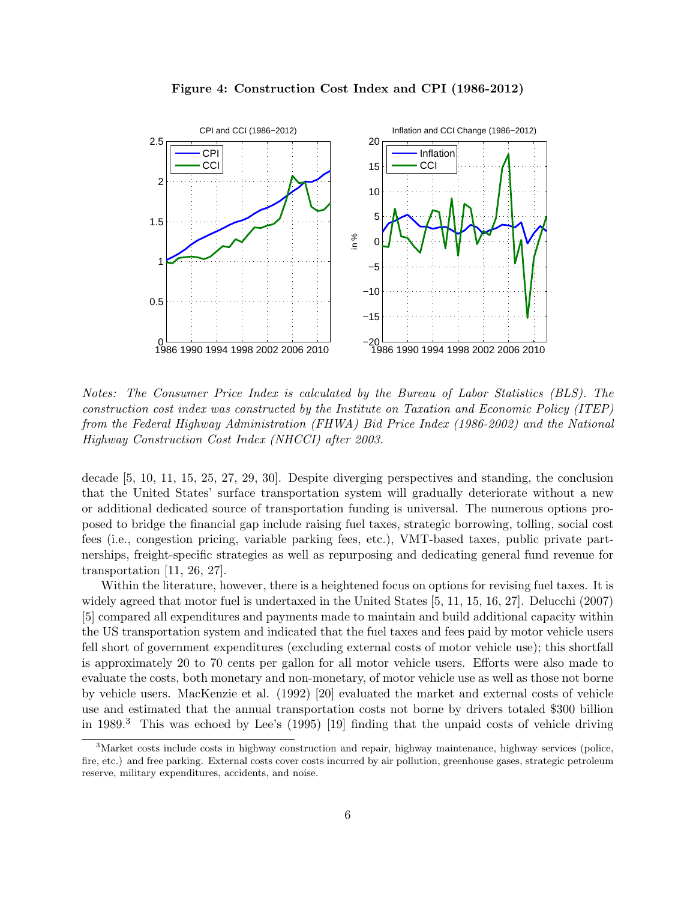

Figure 4: Construction Cost Index and CPI (1986-2012)

Notes: The Consumer Price Index is calculated by the Bureau of Labor Statistics (BLS). The construction cost index was constructed by the Institute on Taxation and Economic Policy (ITEP) from the Federal Highway Administration (FHWA) Bid Price Index (1986-2002) and the National Highway Construction Cost Index (NHCCI) after 2003.

decade [5, 10, 11, 15, 25, 27, 29, 30]. Despite diverging perspectives and standing, the conclusion that the United States' surface transportation system will gradually deteriorate without a new or additional dedicated source of transportation funding is universal. The numerous options proposed to bridge the financial gap include raising fuel taxes, strategic borrowing, tolling, social cost fees (i.e., congestion pricing, variable parking fees, etc.), VMT-based taxes, public private partnerships, freight-specific strategies as well as repurposing and dedicating general fund revenue for transportation [11, 26, 27].

Within the literature, however, there is a heightened focus on options for revising fuel taxes. It is widely agreed that motor fuel is undertaxed in the United States [5, 11, 15, 16, 27]. Delucchi (2007) [5] compared all expenditures and payments made to maintain and build additional capacity within the US transportation system and indicated that the fuel taxes and fees paid by motor vehicle users fell short of government expenditures (excluding external costs of motor vehicle use); this shortfall is approximately 20 to 70 cents per gallon for all motor vehicle users. Efforts were also made to evaluate the costs, both monetary and non-monetary, of motor vehicle use as well as those not borne by vehicle users. MacKenzie et al. (1992) [20] evaluated the market and external costs of vehicle use and estimated that the annual transportation costs not borne by drivers totaled \$300 billion in 1989.<sup>3</sup> This was echoed by Lee's (1995) [19] finding that the unpaid costs of vehicle driving

<sup>3</sup>Market costs include costs in highway construction and repair, highway maintenance, highway services (police, fire, etc.) and free parking. External costs cover costs incurred by air pollution, greenhouse gases, strategic petroleum reserve, military expenditures, accidents, and noise.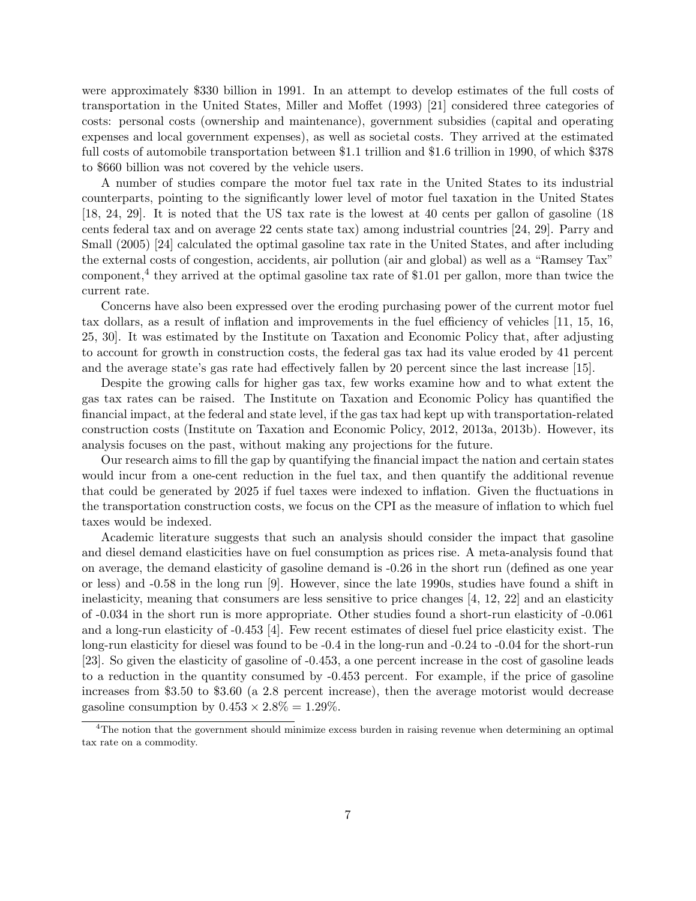were approximately \$330 billion in 1991. In an attempt to develop estimates of the full costs of transportation in the United States, Miller and Moffet (1993) [21] considered three categories of costs: personal costs (ownership and maintenance), government subsidies (capital and operating expenses and local government expenses), as well as societal costs. They arrived at the estimated full costs of automobile transportation between \$1.1 trillion and \$1.6 trillion in 1990, of which \$378 to \$660 billion was not covered by the vehicle users.

A number of studies compare the motor fuel tax rate in the United States to its industrial counterparts, pointing to the significantly lower level of motor fuel taxation in the United States [18, 24, 29]. It is noted that the US tax rate is the lowest at 40 cents per gallon of gasoline (18 cents federal tax and on average 22 cents state tax) among industrial countries [24, 29]. Parry and Small (2005) [24] calculated the optimal gasoline tax rate in the United States, and after including the external costs of congestion, accidents, air pollution (air and global) as well as a "Ramsey Tax" component,<sup>4</sup> they arrived at the optimal gasoline tax rate of \$1.01 per gallon, more than twice the current rate.

Concerns have also been expressed over the eroding purchasing power of the current motor fuel tax dollars, as a result of inflation and improvements in the fuel efficiency of vehicles [11, 15, 16, 25, 30]. It was estimated by the Institute on Taxation and Economic Policy that, after adjusting to account for growth in construction costs, the federal gas tax had its value eroded by 41 percent and the average state's gas rate had effectively fallen by 20 percent since the last increase [15].

Despite the growing calls for higher gas tax, few works examine how and to what extent the gas tax rates can be raised. The Institute on Taxation and Economic Policy has quantified the financial impact, at the federal and state level, if the gas tax had kept up with transportation-related construction costs (Institute on Taxation and Economic Policy, 2012, 2013a, 2013b). However, its analysis focuses on the past, without making any projections for the future.

Our research aims to fill the gap by quantifying the financial impact the nation and certain states would incur from a one-cent reduction in the fuel tax, and then quantify the additional revenue that could be generated by 2025 if fuel taxes were indexed to inflation. Given the fluctuations in the transportation construction costs, we focus on the CPI as the measure of inflation to which fuel taxes would be indexed.

Academic literature suggests that such an analysis should consider the impact that gasoline and diesel demand elasticities have on fuel consumption as prices rise. A meta-analysis found that on average, the demand elasticity of gasoline demand is -0.26 in the short run (defined as one year or less) and -0.58 in the long run [9]. However, since the late 1990s, studies have found a shift in inelasticity, meaning that consumers are less sensitive to price changes [4, 12, 22] and an elasticity of -0.034 in the short run is more appropriate. Other studies found a short-run elasticity of -0.061 and a long-run elasticity of -0.453 [4]. Few recent estimates of diesel fuel price elasticity exist. The long-run elasticity for diesel was found to be -0.4 in the long-run and -0.24 to -0.04 for the short-run [23]. So given the elasticity of gasoline of -0.453, a one percent increase in the cost of gasoline leads to a reduction in the quantity consumed by -0.453 percent. For example, if the price of gasoline increases from \$3.50 to \$3.60 (a 2.8 percent increase), then the average motorist would decrease gasoline consumption by  $0.453 \times 2.8\% = 1.29\%.$ 

<sup>&</sup>lt;sup>4</sup>The notion that the government should minimize excess burden in raising revenue when determining an optimal tax rate on a commodity.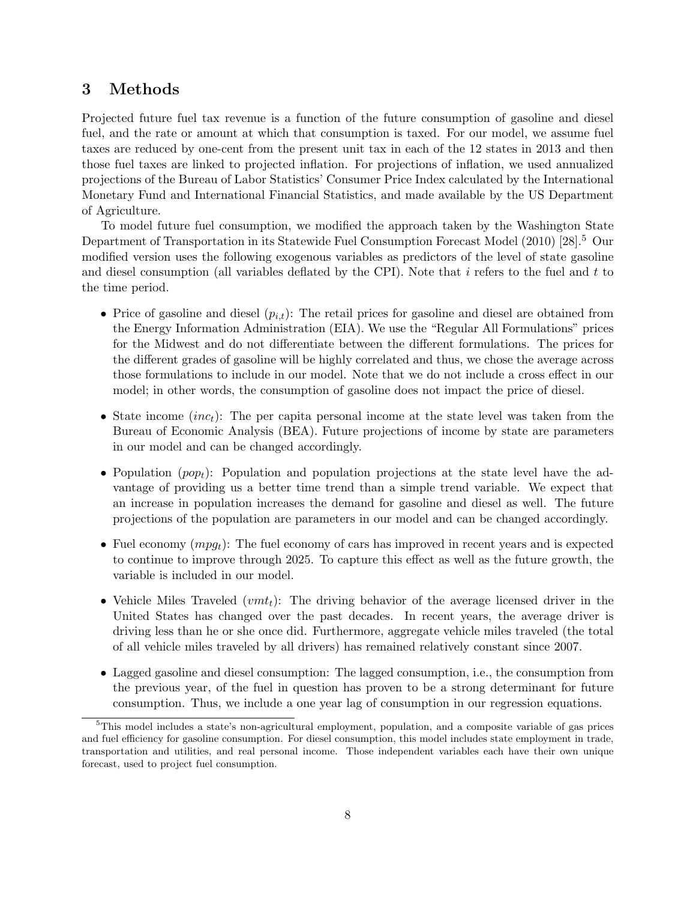# 3 Methods

Projected future fuel tax revenue is a function of the future consumption of gasoline and diesel fuel, and the rate or amount at which that consumption is taxed. For our model, we assume fuel taxes are reduced by one-cent from the present unit tax in each of the 12 states in 2013 and then those fuel taxes are linked to projected inflation. For projections of inflation, we used annualized projections of the Bureau of Labor Statistics' Consumer Price Index calculated by the International Monetary Fund and International Financial Statistics, and made available by the US Department of Agriculture.

To model future fuel consumption, we modified the approach taken by the Washington State Department of Transportation in its Statewide Fuel Consumption Forecast Model (2010) [28].<sup>5</sup> Our modified version uses the following exogenous variables as predictors of the level of state gasoline and diesel consumption (all variables deflated by the CPI). Note that i refers to the fuel and  $t$  to the time period.

- Price of gasoline and diesel  $(p_{i,t})$ : The retail prices for gasoline and diesel are obtained from the Energy Information Administration (EIA). We use the "Regular All Formulations" prices for the Midwest and do not differentiate between the different formulations. The prices for the different grades of gasoline will be highly correlated and thus, we chose the average across those formulations to include in our model. Note that we do not include a cross effect in our model; in other words, the consumption of gasoline does not impact the price of diesel.
- State income  $(inc_t)$ : The per capita personal income at the state level was taken from the Bureau of Economic Analysis (BEA). Future projections of income by state are parameters in our model and can be changed accordingly.
- Population ( $pop_t$ ): Population and population projections at the state level have the advantage of providing us a better time trend than a simple trend variable. We expect that an increase in population increases the demand for gasoline and diesel as well. The future projections of the population are parameters in our model and can be changed accordingly.
- Fuel economy  $(mpg_t)$ : The fuel economy of cars has improved in recent years and is expected to continue to improve through 2025. To capture this effect as well as the future growth, the variable is included in our model.
- Vehicle Miles Traveled  $(vm_t)$ : The driving behavior of the average licensed driver in the United States has changed over the past decades. In recent years, the average driver is driving less than he or she once did. Furthermore, aggregate vehicle miles traveled (the total of all vehicle miles traveled by all drivers) has remained relatively constant since 2007.
- Lagged gasoline and diesel consumption: The lagged consumption, i.e., the consumption from the previous year, of the fuel in question has proven to be a strong determinant for future consumption. Thus, we include a one year lag of consumption in our regression equations.

<sup>5</sup>This model includes a state's non-agricultural employment, population, and a composite variable of gas prices and fuel efficiency for gasoline consumption. For diesel consumption, this model includes state employment in trade, transportation and utilities, and real personal income. Those independent variables each have their own unique forecast, used to project fuel consumption.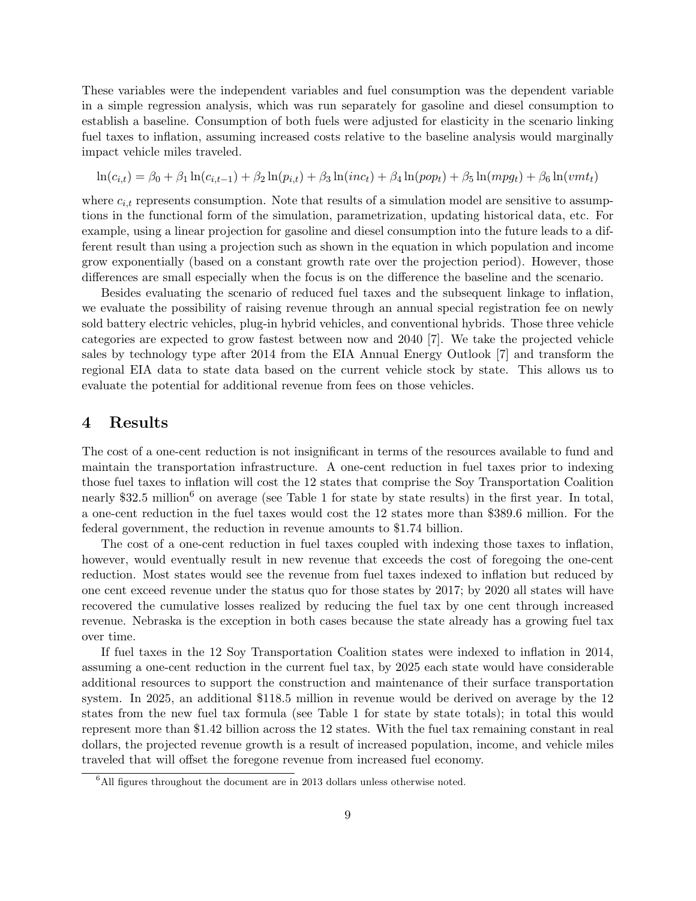These variables were the independent variables and fuel consumption was the dependent variable in a simple regression analysis, which was run separately for gasoline and diesel consumption to establish a baseline. Consumption of both fuels were adjusted for elasticity in the scenario linking fuel taxes to inflation, assuming increased costs relative to the baseline analysis would marginally impact vehicle miles traveled.

$$
\ln(c_{i,t}) = \beta_0 + \beta_1 \ln(c_{i,t-1}) + \beta_2 \ln(p_{i,t}) + \beta_3 \ln(inc_t) + \beta_4 \ln(pop_t) + \beta_5 \ln(mp_t) + \beta_6 \ln(vm_t)
$$

where  $c_{i,t}$  represents consumption. Note that results of a simulation model are sensitive to assumptions in the functional form of the simulation, parametrization, updating historical data, etc. For example, using a linear projection for gasoline and diesel consumption into the future leads to a different result than using a projection such as shown in the equation in which population and income grow exponentially (based on a constant growth rate over the projection period). However, those differences are small especially when the focus is on the difference the baseline and the scenario.

Besides evaluating the scenario of reduced fuel taxes and the subsequent linkage to inflation, we evaluate the possibility of raising revenue through an annual special registration fee on newly sold battery electric vehicles, plug-in hybrid vehicles, and conventional hybrids. Those three vehicle categories are expected to grow fastest between now and 2040 [7]. We take the projected vehicle sales by technology type after 2014 from the EIA Annual Energy Outlook [7] and transform the regional EIA data to state data based on the current vehicle stock by state. This allows us to evaluate the potential for additional revenue from fees on those vehicles.

# 4 Results

The cost of a one-cent reduction is not insignificant in terms of the resources available to fund and maintain the transportation infrastructure. A one-cent reduction in fuel taxes prior to indexing those fuel taxes to inflation will cost the 12 states that comprise the Soy Transportation Coalition nearly \$32.5 million<sup>6</sup> on average (see Table 1 for state by state results) in the first year. In total, a one-cent reduction in the fuel taxes would cost the 12 states more than \$389.6 million. For the federal government, the reduction in revenue amounts to \$1.74 billion.

The cost of a one-cent reduction in fuel taxes coupled with indexing those taxes to inflation, however, would eventually result in new revenue that exceeds the cost of foregoing the one-cent reduction. Most states would see the revenue from fuel taxes indexed to inflation but reduced by one cent exceed revenue under the status quo for those states by 2017; by 2020 all states will have recovered the cumulative losses realized by reducing the fuel tax by one cent through increased revenue. Nebraska is the exception in both cases because the state already has a growing fuel tax over time.

If fuel taxes in the 12 Soy Transportation Coalition states were indexed to inflation in 2014, assuming a one-cent reduction in the current fuel tax, by 2025 each state would have considerable additional resources to support the construction and maintenance of their surface transportation system. In 2025, an additional \$118.5 million in revenue would be derived on average by the 12 states from the new fuel tax formula (see Table 1 for state by state totals); in total this would represent more than \$1.42 billion across the 12 states. With the fuel tax remaining constant in real dollars, the projected revenue growth is a result of increased population, income, and vehicle miles traveled that will offset the foregone revenue from increased fuel economy.

 $6$ All figures throughout the document are in 2013 dollars unless otherwise noted.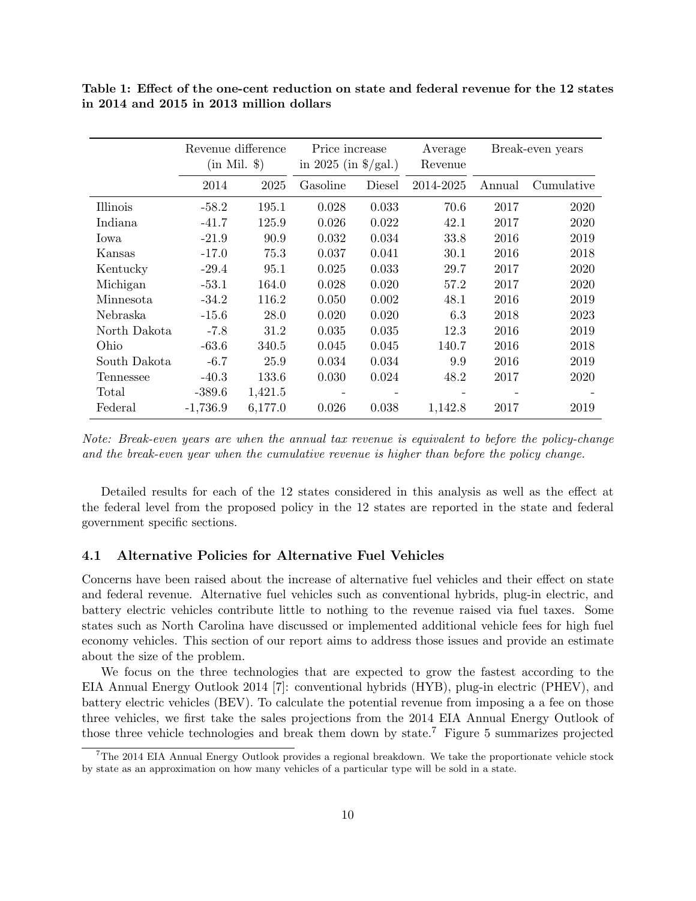|              | Revenue difference<br>$(in Mil. \$ |         | Price increase<br>in 2025 (in $\frac{1}{2}$ /gal.) |        | Average<br>Revenue |        | Break-even years |
|--------------|------------------------------------|---------|----------------------------------------------------|--------|--------------------|--------|------------------|
|              | 2014                               | 2025    | Gasoline                                           | Diesel | 2014-2025          | Annual | Cumulative       |
| Illinois     | $-58.2$                            | 195.1   | 0.028                                              | 0.033  | 70.6               | 2017   | 2020             |
| Indiana      | $-41.7$                            | 125.9   | 0.026                                              | 0.022  | 42.1               | 2017   | 2020             |
| Iowa         | $-21.9$                            | 90.9    | 0.032                                              | 0.034  | 33.8               | 2016   | 2019             |
| Kansas       | $-17.0$                            | 75.3    | 0.037                                              | 0.041  | 30.1               | 2016   | 2018             |
| Kentucky     | $-29.4$                            | 95.1    | 0.025                                              | 0.033  | 29.7               | 2017   | 2020             |
| Michigan     | $-53.1$                            | 164.0   | 0.028                                              | 0.020  | 57.2               | 2017   | 2020             |
| Minnesota    | $-34.2$                            | 116.2   | 0.050                                              | 0.002  | 48.1               | 2016   | 2019             |
| Nebraska     | $-15.6$                            | 28.0    | 0.020                                              | 0.020  | 6.3                | 2018   | 2023             |
| North Dakota | $-7.8$                             | 31.2    | 0.035                                              | 0.035  | 12.3               | 2016   | 2019             |
| Ohio         | $-63.6$                            | 340.5   | 0.045                                              | 0.045  | 140.7              | 2016   | 2018             |
| South Dakota | $-6.7$                             | 25.9    | 0.034                                              | 0.034  | 9.9                | 2016   | 2019             |
| Tennessee    | $-40.3$                            | 133.6   | 0.030                                              | 0.024  | 48.2               | 2017   | 2020             |
| Total        | $-389.6$                           | 1,421.5 |                                                    |        |                    |        |                  |
| Federal      | $-1,736.9$                         | 6,177.0 | 0.026                                              | 0.038  | 1,142.8            | 2017   | 2019             |

Table 1: Effect of the one-cent reduction on state and federal revenue for the 12 states in 2014 and 2015 in 2013 million dollars

Note: Break-even years are when the annual tax revenue is equivalent to before the policy-change and the break-even year when the cumulative revenue is higher than before the policy change.

Detailed results for each of the 12 states considered in this analysis as well as the effect at the federal level from the proposed policy in the 12 states are reported in the state and federal government specific sections.

#### 4.1 Alternative Policies for Alternative Fuel Vehicles

Concerns have been raised about the increase of alternative fuel vehicles and their effect on state and federal revenue. Alternative fuel vehicles such as conventional hybrids, plug-in electric, and battery electric vehicles contribute little to nothing to the revenue raised via fuel taxes. Some states such as North Carolina have discussed or implemented additional vehicle fees for high fuel economy vehicles. This section of our report aims to address those issues and provide an estimate about the size of the problem.

We focus on the three technologies that are expected to grow the fastest according to the EIA Annual Energy Outlook 2014 [7]: conventional hybrids (HYB), plug-in electric (PHEV), and battery electric vehicles (BEV). To calculate the potential revenue from imposing a a fee on those three vehicles, we first take the sales projections from the 2014 EIA Annual Energy Outlook of those three vehicle technologies and break them down by state.<sup>7</sup> Figure 5 summarizes projected

<sup>7</sup>The 2014 EIA Annual Energy Outlook provides a regional breakdown. We take the proportionate vehicle stock by state as an approximation on how many vehicles of a particular type will be sold in a state.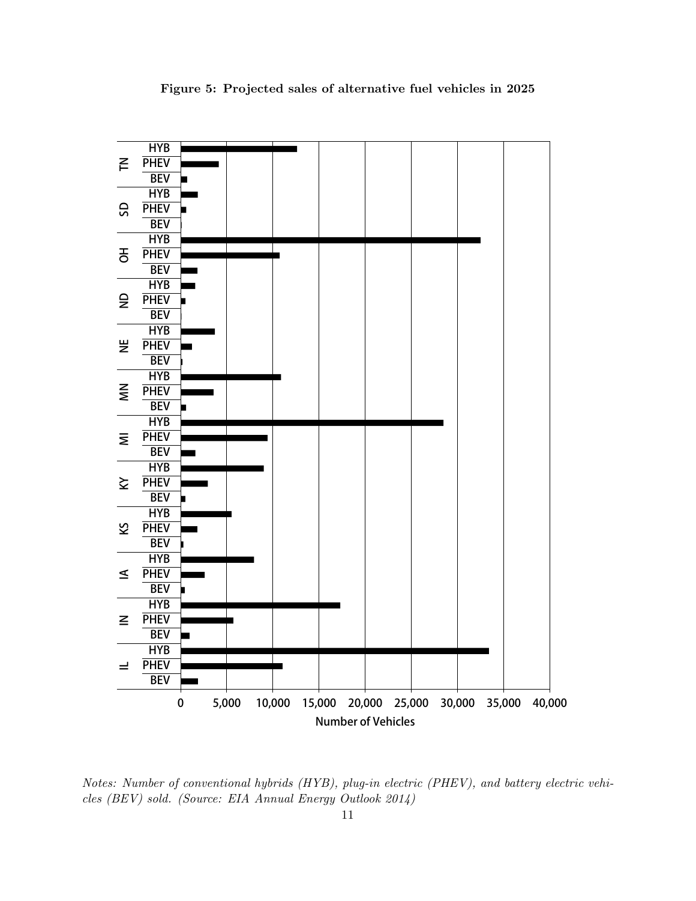

Figure 5: Projected sales of alternative fuel vehicles in 2025

Notes: Number of conventional hybrids (HYB), plug-in electric (PHEV), and battery electric vehicles (BEV) sold. (Source: EIA Annual Energy Outlook 2014)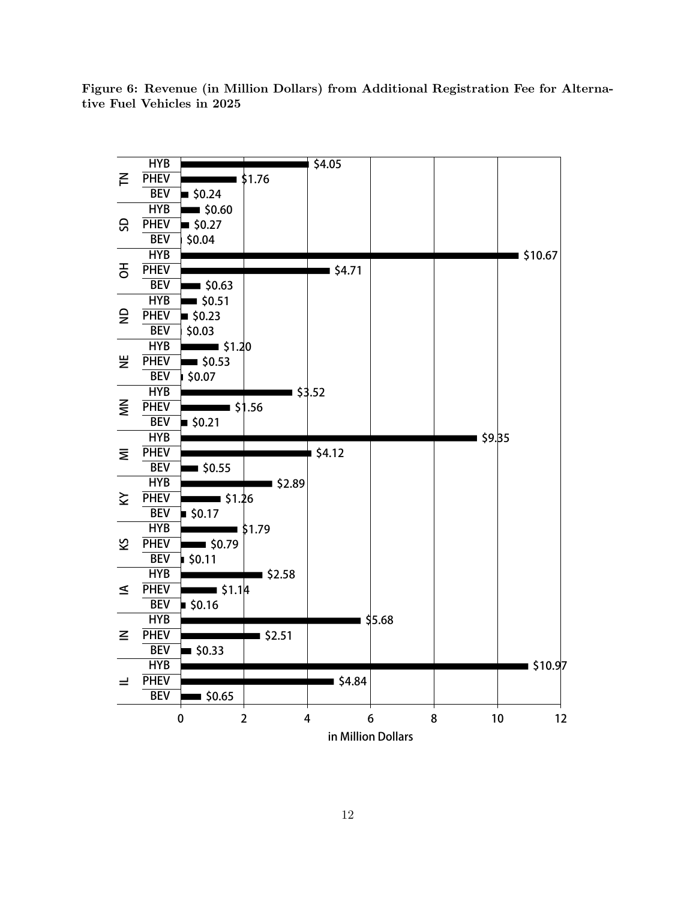**HYB \$4.05**  $\leq$ **PHEV \$1.76 IL IN IA KS KY MI MN NE ND OH SD TN BEV \$0.24 HYB \$0.60** SD **PHEV \$0.27 BEV \$0.04 HYB \$10.67** 공 **PHEV \$4.71 BEV \$0.63 HYB \$0.51**  $\epsilon$ **PHEV \$0.23 BEV \$0.03 HYB \$1.20** 当 **PHEV \$0.53 BEV \$0.07 HYB \$3.52**  $\tilde{\epsilon}$ **PHEV \$1.56 BEV \$0.21 \$9.35 HYB \$4.12 PHEV** Ξ **BEV \$0.55 HYB \$2.89 PHEV \$1.26 BEV \$0.17 HYB \$1.79 PHEV \$0.79 BEV \$0.11 HYB \$2.58 PHEV \$1.14 BEV \$0.16 HYB \$5.68**  $\mathbf{z}$ **PHEV \$2.51 BEV \$0.33 HYB** ■ \$10.9<mark>7</mark> **\$4.84 PHEV**  $\equiv$ **BEV \$0.65 0 2 4 6 8 10 12 in Million Dollars**

Figure 6: Revenue (in Million Dollars) from Additional Registration Fee for Alternative Fuel Vehicles in 2025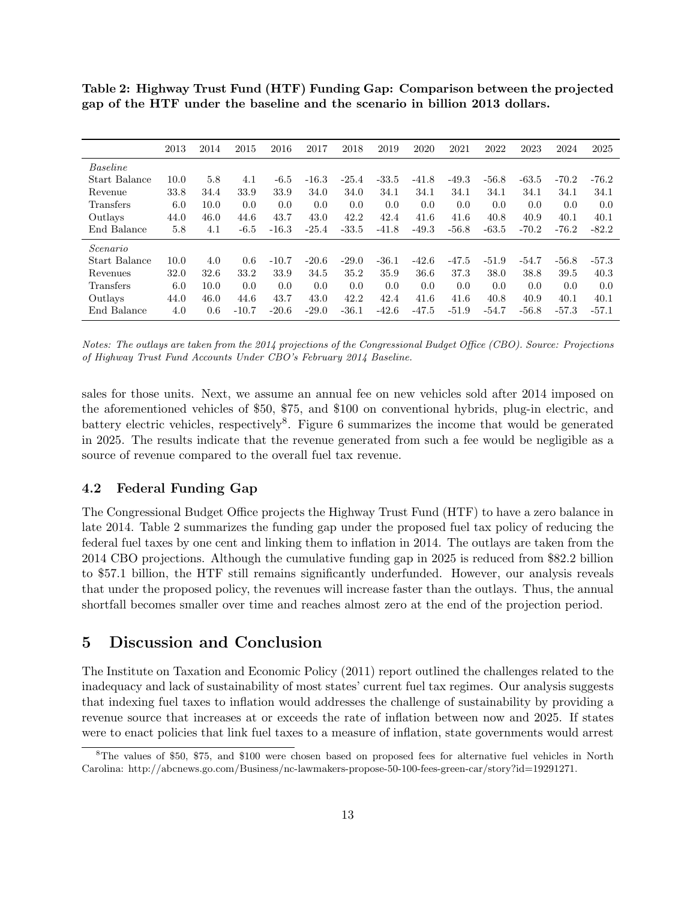Table 2: Highway Trust Fund (HTF) Funding Gap: Comparison between the projected gap of the HTF under the baseline and the scenario in billion 2013 dollars.

|                  | 2013 | 2014 | 2015    | 2016    | 2017    | 2018    | 2019    | 2020    | 2021    | 2022    | 2023    | 2024    | 2025    |
|------------------|------|------|---------|---------|---------|---------|---------|---------|---------|---------|---------|---------|---------|
| Baseline         |      |      |         |         |         |         |         |         |         |         |         |         |         |
| Start Balance    | 10.0 | 5.8  | 4.1     | $-6.5$  | $-16.3$ | $-25.4$ | $-33.5$ | $-41.8$ | $-49.3$ | $-56.8$ | $-63.5$ | $-70.2$ | $-76.2$ |
| Revenue          | 33.8 | 34.4 | 33.9    | 33.9    | 34.0    | 34.0    | 34.1    | 34.1    | 34.1    | 34.1    | 34.1    | 34.1    | 34.1    |
| <b>Transfers</b> | 6.0  | 10.0 | 0.0     | 0.0     | 0.0     | 0.0     | 0.0     | 0.0     | 0.0     | 0.0     | 0.0     | 0.0     | 0.0     |
| Outlays          | 44.0 | 46.0 | 44.6    | 43.7    | 43.0    | 42.2    | 42.4    | 41.6    | 41.6    | 40.8    | 40.9    | 40.1    | 40.1    |
| End Balance      | 5.8  | 4.1  | $-6.5$  | $-16.3$ | $-25.4$ | $-33.5$ | $-41.8$ | $-49.3$ | $-56.8$ | $-63.5$ | $-70.2$ | $-76.2$ | $-82.2$ |
| Scenario         |      |      |         |         |         |         |         |         |         |         |         |         |         |
| Start Balance    | 10.0 | 4.0  | 0.6     | $-10.7$ | $-20.6$ | $-29.0$ | $-36.1$ | $-42.6$ | $-47.5$ | $-51.9$ | $-54.7$ | $-56.8$ | $-57.3$ |
| Revenues         | 32.0 | 32.6 | 33.2    | 33.9    | 34.5    | 35.2    | 35.9    | 36.6    | 37.3    | 38.0    | 38.8    | 39.5    | 40.3    |
| <b>Transfers</b> | 6.0  | 10.0 | 0.0     | 0.0     | 0.0     | 0.0     | 0.0     | 0.0     | 0.0     | 0.0     | 0.0     | 0.0     | 0.0     |
| Outlays          | 44.0 | 46.0 | 44.6    | 43.7    | 43.0    | 42.2    | 42.4    | 41.6    | 41.6    | 40.8    | 40.9    | 40.1    | 40.1    |
| End Balance      | 4.0  | 0.6  | $-10.7$ | $-20.6$ | $-29.0$ | $-36.1$ | $-42.6$ | $-47.5$ | $-51.9$ | $-54.7$ | $-56.8$ | $-57.3$ | $-57.1$ |

Notes: The outlays are taken from the 2014 projections of the Congressional Budget Office (CBO). Source: Projections of Highway Trust Fund Accounts Under CBO's February 2014 Baseline.

sales for those units. Next, we assume an annual fee on new vehicles sold after 2014 imposed on the aforementioned vehicles of \$50, \$75, and \$100 on conventional hybrids, plug-in electric, and battery electric vehicles, respectively<sup>8</sup>. Figure 6 summarizes the income that would be generated in 2025. The results indicate that the revenue generated from such a fee would be negligible as a source of revenue compared to the overall fuel tax revenue.

#### 4.2 Federal Funding Gap

The Congressional Budget Office projects the Highway Trust Fund (HTF) to have a zero balance in late 2014. Table 2 summarizes the funding gap under the proposed fuel tax policy of reducing the federal fuel taxes by one cent and linking them to inflation in 2014. The outlays are taken from the 2014 CBO projections. Although the cumulative funding gap in 2025 is reduced from \$82.2 billion to \$57.1 billion, the HTF still remains significantly underfunded. However, our analysis reveals that under the proposed policy, the revenues will increase faster than the outlays. Thus, the annual shortfall becomes smaller over time and reaches almost zero at the end of the projection period.

#### 5 Discussion and Conclusion

The Institute on Taxation and Economic Policy (2011) report outlined the challenges related to the inadequacy and lack of sustainability of most states' current fuel tax regimes. Our analysis suggests that indexing fuel taxes to inflation would addresses the challenge of sustainability by providing a revenue source that increases at or exceeds the rate of inflation between now and 2025. If states were to enact policies that link fuel taxes to a measure of inflation, state governments would arrest

<sup>8</sup>The values of \$50, \$75, and \$100 were chosen based on proposed fees for alternative fuel vehicles in North Carolina: http://abcnews.go.com/Business/nc-lawmakers-propose-50-100-fees-green-car/story?id=19291271.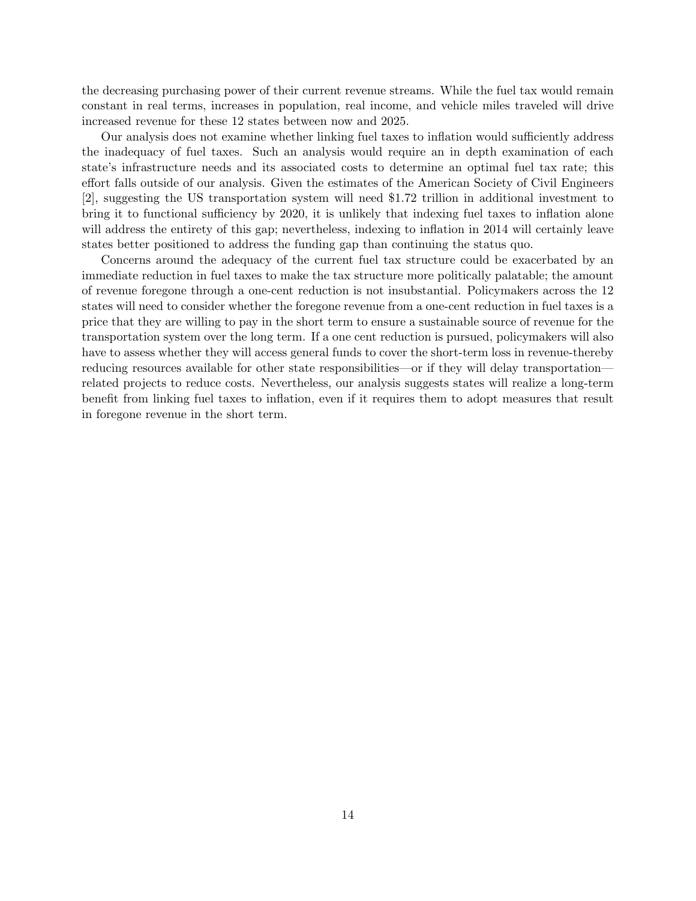the decreasing purchasing power of their current revenue streams. While the fuel tax would remain constant in real terms, increases in population, real income, and vehicle miles traveled will drive increased revenue for these 12 states between now and 2025.

Our analysis does not examine whether linking fuel taxes to inflation would sufficiently address the inadequacy of fuel taxes. Such an analysis would require an in depth examination of each state's infrastructure needs and its associated costs to determine an optimal fuel tax rate; this effort falls outside of our analysis. Given the estimates of the American Society of Civil Engineers [2], suggesting the US transportation system will need \$1.72 trillion in additional investment to bring it to functional sufficiency by 2020, it is unlikely that indexing fuel taxes to inflation alone will address the entirety of this gap; nevertheless, indexing to inflation in 2014 will certainly leave states better positioned to address the funding gap than continuing the status quo.

Concerns around the adequacy of the current fuel tax structure could be exacerbated by an immediate reduction in fuel taxes to make the tax structure more politically palatable; the amount of revenue foregone through a one-cent reduction is not insubstantial. Policymakers across the 12 states will need to consider whether the foregone revenue from a one-cent reduction in fuel taxes is a price that they are willing to pay in the short term to ensure a sustainable source of revenue for the transportation system over the long term. If a one cent reduction is pursued, policymakers will also have to assess whether they will access general funds to cover the short-term loss in revenue-thereby reducing resources available for other state responsibilities—or if they will delay transportation related projects to reduce costs. Nevertheless, our analysis suggests states will realize a long-term benefit from linking fuel taxes to inflation, even if it requires them to adopt measures that result in foregone revenue in the short term.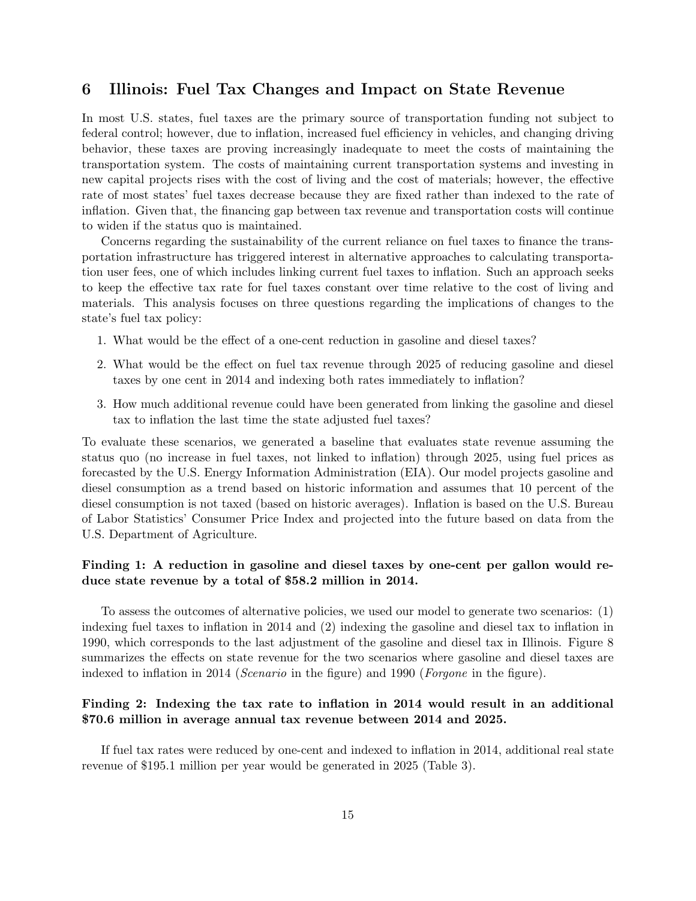# 6 Illinois: Fuel Tax Changes and Impact on State Revenue

In most U.S. states, fuel taxes are the primary source of transportation funding not subject to federal control; however, due to inflation, increased fuel efficiency in vehicles, and changing driving behavior, these taxes are proving increasingly inadequate to meet the costs of maintaining the transportation system. The costs of maintaining current transportation systems and investing in new capital projects rises with the cost of living and the cost of materials; however, the effective rate of most states' fuel taxes decrease because they are fixed rather than indexed to the rate of inflation. Given that, the financing gap between tax revenue and transportation costs will continue to widen if the status quo is maintained.

Concerns regarding the sustainability of the current reliance on fuel taxes to finance the transportation infrastructure has triggered interest in alternative approaches to calculating transportation user fees, one of which includes linking current fuel taxes to inflation. Such an approach seeks to keep the effective tax rate for fuel taxes constant over time relative to the cost of living and materials. This analysis focuses on three questions regarding the implications of changes to the state's fuel tax policy:

- 1. What would be the effect of a one-cent reduction in gasoline and diesel taxes?
- 2. What would be the effect on fuel tax revenue through 2025 of reducing gasoline and diesel taxes by one cent in 2014 and indexing both rates immediately to inflation?
- 3. How much additional revenue could have been generated from linking the gasoline and diesel tax to inflation the last time the state adjusted fuel taxes?

To evaluate these scenarios, we generated a baseline that evaluates state revenue assuming the status quo (no increase in fuel taxes, not linked to inflation) through 2025, using fuel prices as forecasted by the U.S. Energy Information Administration (EIA). Our model projects gasoline and diesel consumption as a trend based on historic information and assumes that 10 percent of the diesel consumption is not taxed (based on historic averages). Inflation is based on the U.S. Bureau of Labor Statistics' Consumer Price Index and projected into the future based on data from the U.S. Department of Agriculture.

#### Finding 1: A reduction in gasoline and diesel taxes by one-cent per gallon would reduce state revenue by a total of \$58.2 million in 2014.

To assess the outcomes of alternative policies, we used our model to generate two scenarios: (1) indexing fuel taxes to inflation in 2014 and (2) indexing the gasoline and diesel tax to inflation in 1990, which corresponds to the last adjustment of the gasoline and diesel tax in Illinois. Figure 8 summarizes the effects on state revenue for the two scenarios where gasoline and diesel taxes are indexed to inflation in 2014 (*Scenario* in the figure) and 1990 (*Forgone* in the figure).

#### Finding 2: Indexing the tax rate to inflation in 2014 would result in an additional \$70.6 million in average annual tax revenue between 2014 and 2025.

If fuel tax rates were reduced by one-cent and indexed to inflation in 2014, additional real state revenue of \$195.1 million per year would be generated in 2025 (Table 3).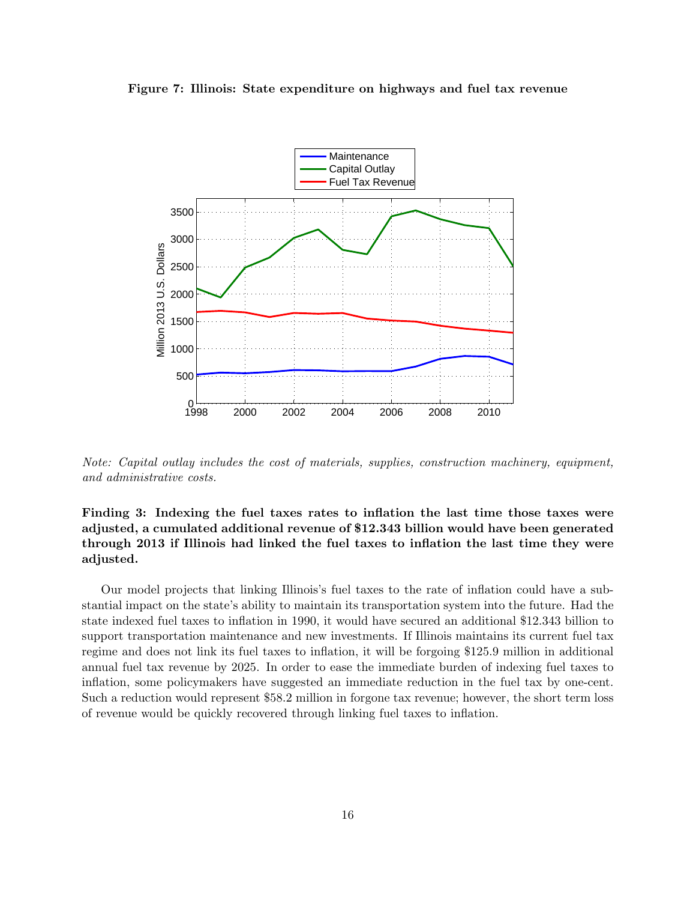



Note: Capital outlay includes the cost of materials, supplies, construction machinery, equipment, and administrative costs.

### Finding 3: Indexing the fuel taxes rates to inflation the last time those taxes were adjusted, a cumulated additional revenue of \$12.343 billion would have been generated through 2013 if Illinois had linked the fuel taxes to inflation the last time they were adjusted.

Our model projects that linking Illinois's fuel taxes to the rate of inflation could have a substantial impact on the state's ability to maintain its transportation system into the future. Had the state indexed fuel taxes to inflation in 1990, it would have secured an additional \$12.343 billion to support transportation maintenance and new investments. If Illinois maintains its current fuel tax regime and does not link its fuel taxes to inflation, it will be forgoing \$125.9 million in additional annual fuel tax revenue by 2025. In order to ease the immediate burden of indexing fuel taxes to inflation, some policymakers have suggested an immediate reduction in the fuel tax by one-cent. Such a reduction would represent \$58.2 million in forgone tax revenue; however, the short term loss of revenue would be quickly recovered through linking fuel taxes to inflation.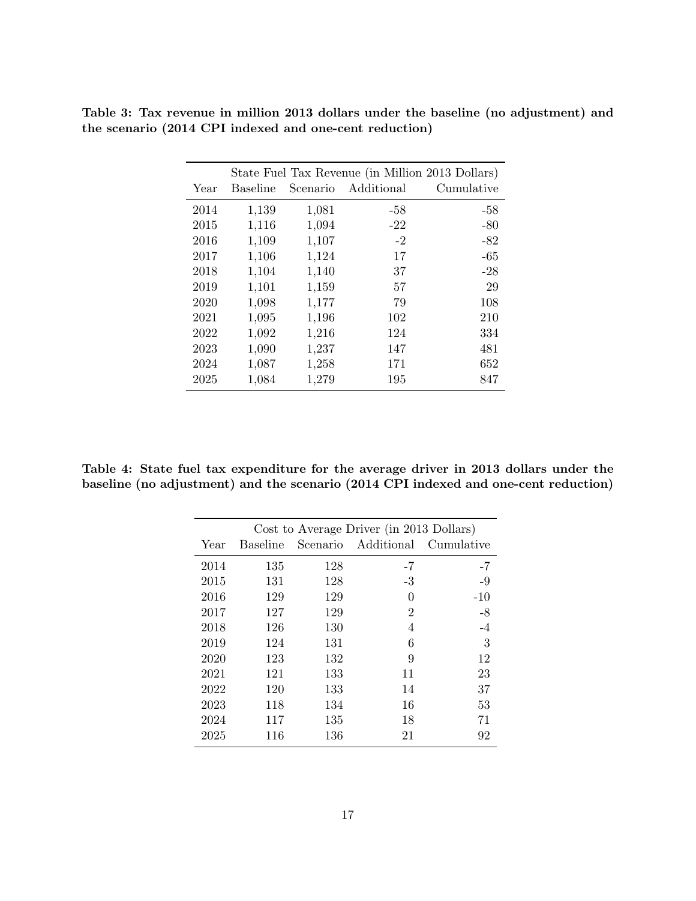|      |                 |          | State Fuel Tax Revenue (in Million 2013 Dollars) |            |
|------|-----------------|----------|--------------------------------------------------|------------|
| Year | <b>Baseline</b> | Scenario | Additional                                       | Cumulative |
| 2014 | 1,139           | 1,081    | -58                                              | -58        |
| 2015 | 1,116           | 1,094    | $-22$                                            | $-80$      |
| 2016 | 1,109           | 1,107    | $-2$                                             | $-82$      |
| 2017 | 1,106           | 1,124    | 17                                               | $-65$      |
| 2018 | 1,104           | 1,140    | 37                                               | $-28$      |
| 2019 | 1,101           | 1,159    | 57                                               | 29         |
| 2020 | 1,098           | 1,177    | 79                                               | 108        |
| 2021 | 1,095           | 1,196    | 102                                              | 210        |
| 2022 | 1,092           | 1,216    | 124                                              | 334        |
| 2023 | 1,090           | 1,237    | 147                                              | 481        |
| 2024 | 1,087           | 1,258    | 171                                              | 652        |
| 2025 | 1,084           | 1,279    | 195                                              | 847        |

Table 3: Tax revenue in million 2013 dollars under the baseline (no adjustment) and the scenario (2014 CPI indexed and one-cent reduction)

Table 4: State fuel tax expenditure for the average driver in 2013 dollars under the baseline (no adjustment) and the scenario (2014 CPI indexed and one-cent reduction)

|      |                 |          | Cost to Average Driver (in 2013 Dollars) |            |
|------|-----------------|----------|------------------------------------------|------------|
| Year | <b>Baseline</b> | Scenario | Additional                               | Cumulative |
| 2014 | 135             | 128      | $-7$                                     | $-7$       |
| 2015 | 131             | 128      | $-3$                                     | $-9$       |
| 2016 | 129             | 129      | 0                                        | $-10$      |
| 2017 | 127             | 129      | $\overline{2}$                           | $-8$       |
| 2018 | 126             | 130      | 4                                        | $-4$       |
| 2019 | 124             | 131      | 6                                        | 3          |
| 2020 | 123             | 132      | 9                                        | 12         |
| 2021 | 121             | 133      | 11                                       | 23         |
| 2022 | 120             | 133      | 14                                       | 37         |
| 2023 | 118             | 134      | 16                                       | 53         |
| 2024 | 117             | 135      | 18                                       | 71         |
| 2025 | 116             | 136      | 21                                       | 92         |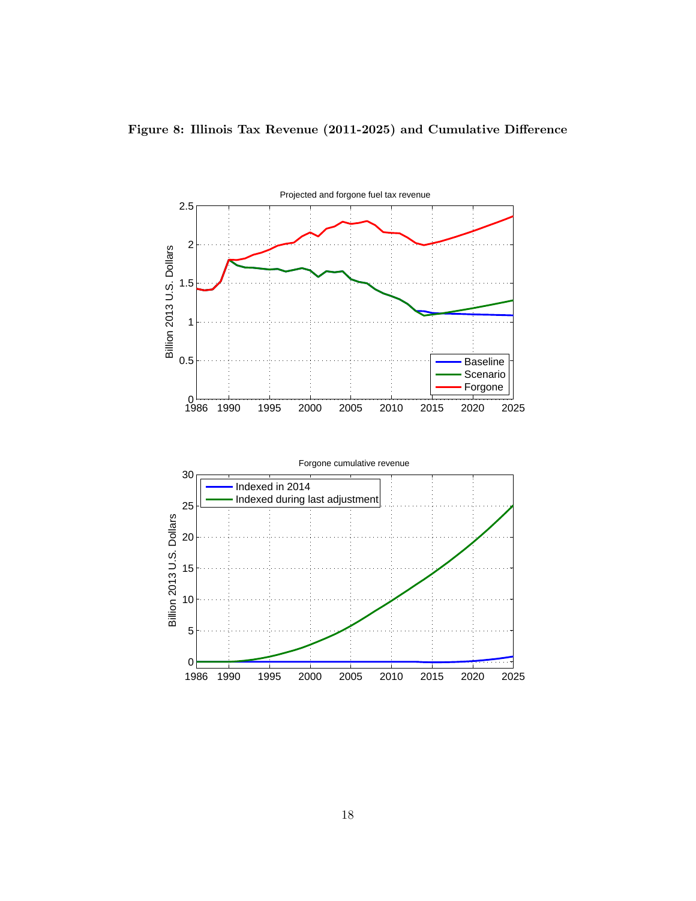

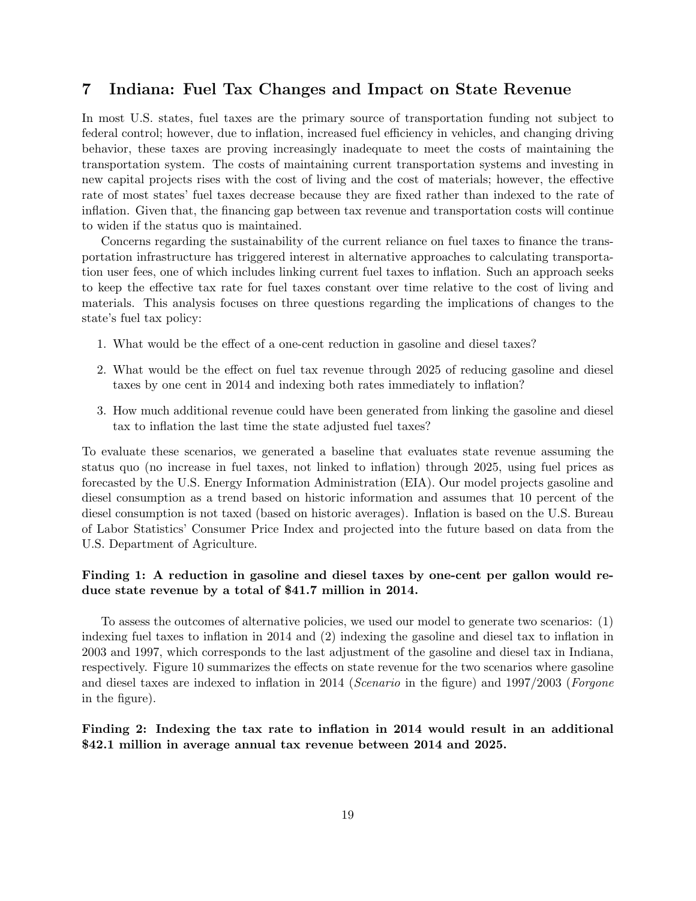# 7 Indiana: Fuel Tax Changes and Impact on State Revenue

In most U.S. states, fuel taxes are the primary source of transportation funding not subject to federal control; however, due to inflation, increased fuel efficiency in vehicles, and changing driving behavior, these taxes are proving increasingly inadequate to meet the costs of maintaining the transportation system. The costs of maintaining current transportation systems and investing in new capital projects rises with the cost of living and the cost of materials; however, the effective rate of most states' fuel taxes decrease because they are fixed rather than indexed to the rate of inflation. Given that, the financing gap between tax revenue and transportation costs will continue to widen if the status quo is maintained.

Concerns regarding the sustainability of the current reliance on fuel taxes to finance the transportation infrastructure has triggered interest in alternative approaches to calculating transportation user fees, one of which includes linking current fuel taxes to inflation. Such an approach seeks to keep the effective tax rate for fuel taxes constant over time relative to the cost of living and materials. This analysis focuses on three questions regarding the implications of changes to the state's fuel tax policy:

- 1. What would be the effect of a one-cent reduction in gasoline and diesel taxes?
- 2. What would be the effect on fuel tax revenue through 2025 of reducing gasoline and diesel taxes by one cent in 2014 and indexing both rates immediately to inflation?
- 3. How much additional revenue could have been generated from linking the gasoline and diesel tax to inflation the last time the state adjusted fuel taxes?

To evaluate these scenarios, we generated a baseline that evaluates state revenue assuming the status quo (no increase in fuel taxes, not linked to inflation) through 2025, using fuel prices as forecasted by the U.S. Energy Information Administration (EIA). Our model projects gasoline and diesel consumption as a trend based on historic information and assumes that 10 percent of the diesel consumption is not taxed (based on historic averages). Inflation is based on the U.S. Bureau of Labor Statistics' Consumer Price Index and projected into the future based on data from the U.S. Department of Agriculture.

#### Finding 1: A reduction in gasoline and diesel taxes by one-cent per gallon would reduce state revenue by a total of \$41.7 million in 2014.

To assess the outcomes of alternative policies, we used our model to generate two scenarios: (1) indexing fuel taxes to inflation in 2014 and (2) indexing the gasoline and diesel tax to inflation in 2003 and 1997, which corresponds to the last adjustment of the gasoline and diesel tax in Indiana, respectively. Figure 10 summarizes the effects on state revenue for the two scenarios where gasoline and diesel taxes are indexed to inflation in 2014 (Scenario in the figure) and 1997/2003 (Forgone in the figure).

#### Finding 2: Indexing the tax rate to inflation in 2014 would result in an additional \$42.1 million in average annual tax revenue between 2014 and 2025.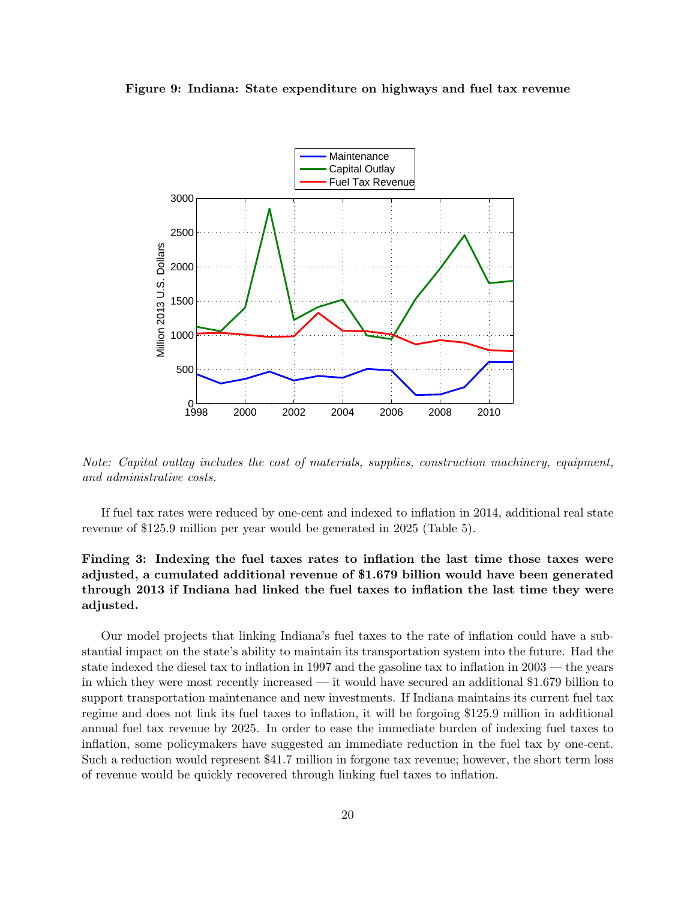



Note: Capital outlay includes the cost of materials, supplies, construction machinery, equipment, and administrative costs.

If fuel tax rates were reduced by one-cent and indexed to inflation in 2014, additional real state revenue of \$125.9 million per year would be generated in 2025 (Table 5).

### Finding 3: Indexing the fuel taxes rates to inflation the last time those taxes were adjusted, a cumulated additional revenue of \$1.679 billion would have been generated through 2013 if Indiana had linked the fuel taxes to inflation the last time they were adjusted.

Our model projects that linking Indiana's fuel taxes to the rate of inflation could have a substantial impact on the state's ability to maintain its transportation system into the future. Had the state indexed the diesel tax to inflation in 1997 and the gasoline tax to inflation in 2003 — the years in which they were most recently increased — it would have secured an additional \$1.679 billion to support transportation maintenance and new investments. If Indiana maintains its current fuel tax regime and does not link its fuel taxes to inflation, it will be forgoing \$125.9 million in additional annual fuel tax revenue by 2025. In order to ease the immediate burden of indexing fuel taxes to inflation, some policymakers have suggested an immediate reduction in the fuel tax by one-cent. Such a reduction would represent \$41.7 million in forgone tax revenue; however, the short term loss of revenue would be quickly recovered through linking fuel taxes to inflation.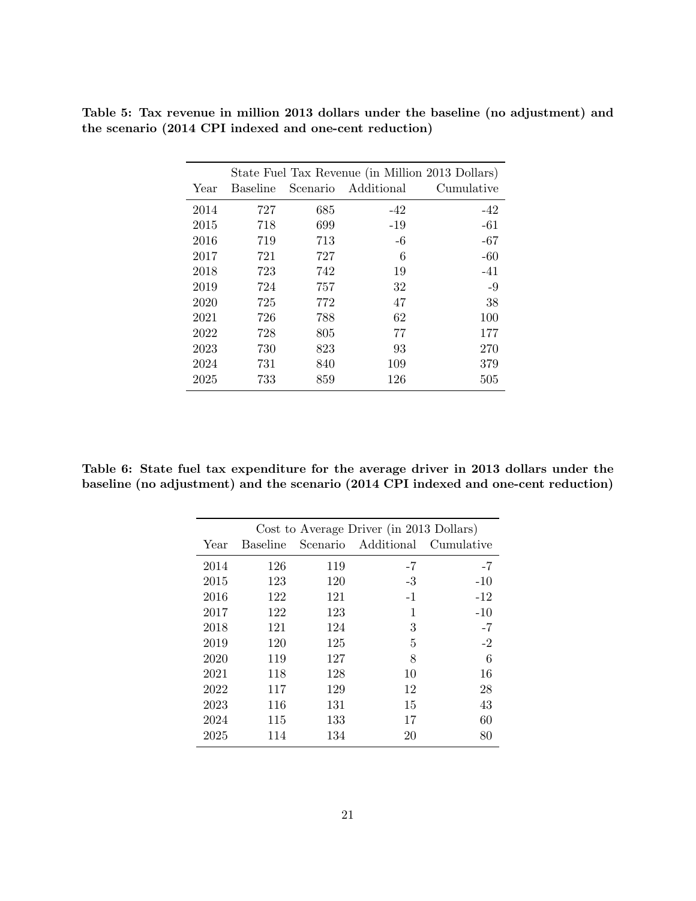|      |          |     |                     | State Fuel Tax Revenue (in Million 2013 Dollars) |
|------|----------|-----|---------------------|--------------------------------------------------|
| Year | Baseline |     | Scenario Additional | Cumulative                                       |
| 2014 | 727      | 685 | $-42$               | $-42$                                            |
| 2015 | 718      | 699 | $-19$               | $-61$                                            |
| 2016 | 719      | 713 | $-6$                | $-67$                                            |
| 2017 | 721      | 727 | 6                   | $-60$                                            |
| 2018 | 723      | 742 | 19                  | $-41$                                            |
| 2019 | 724      | 757 | 32                  | $-9$                                             |
| 2020 | 725      | 772 | 47                  | 38                                               |
| 2021 | 726      | 788 | 62                  | 100                                              |
| 2022 | 728      | 805 | 77                  | 177                                              |
| 2023 | 730      | 823 | 93                  | 270                                              |
| 2024 | 731      | 840 | 109                 | 379                                              |
| 2025 | 733      | 859 | 126                 | 505                                              |

Table 5: Tax revenue in million 2013 dollars under the baseline (no adjustment) and the scenario (2014 CPI indexed and one-cent reduction)

Table 6: State fuel tax expenditure for the average driver in 2013 dollars under the baseline (no adjustment) and the scenario (2014 CPI indexed and one-cent reduction)

|      |          |     | Cost to Average Driver (in 2013 Dollars) |            |
|------|----------|-----|------------------------------------------|------------|
| Year | Baseline |     | Scenario Additional                      | Cumulative |
| 2014 | 126      | 119 | -7                                       | $-7$       |
| 2015 | 123      | 120 | $-3$                                     | $-10$      |
| 2016 | 122      | 121 | $-1$                                     | $-12$      |
| 2017 | 122      | 123 | 1                                        | $-10$      |
| 2018 | 121      | 124 | 3                                        | $-7$       |
| 2019 | 120      | 125 | 5                                        | $-2$       |
| 2020 | 119      | 127 | 8                                        | 6          |
| 2021 | 118      | 128 | 10                                       | 16         |
| 2022 | 117      | 129 | 12                                       | 28         |
| 2023 | 116      | 131 | 15                                       | 43         |
| 2024 | 115      | 133 | 17                                       | 60         |
| 2025 | 114      | 134 | 20                                       | 80         |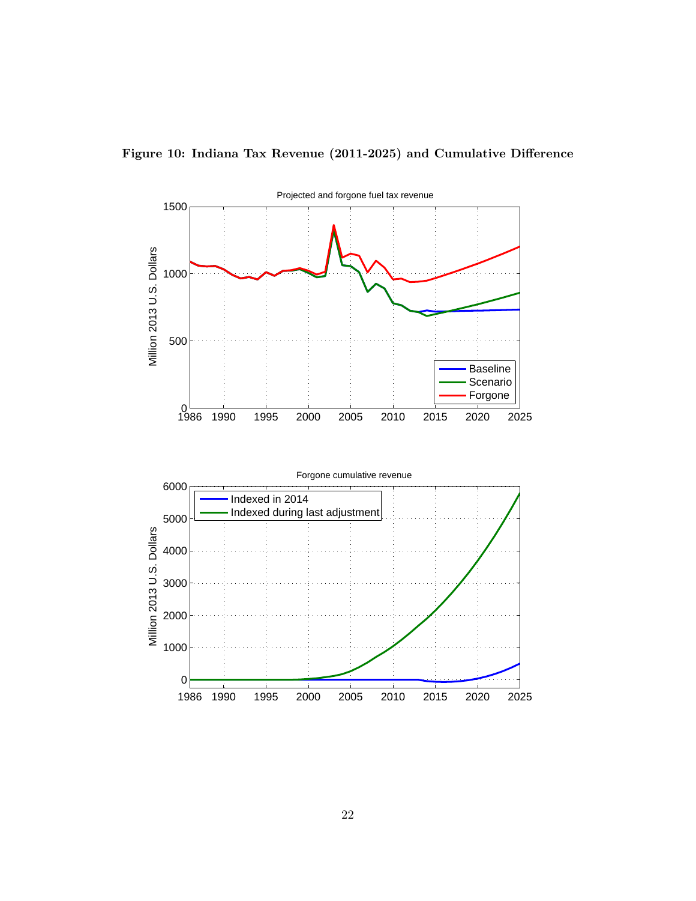

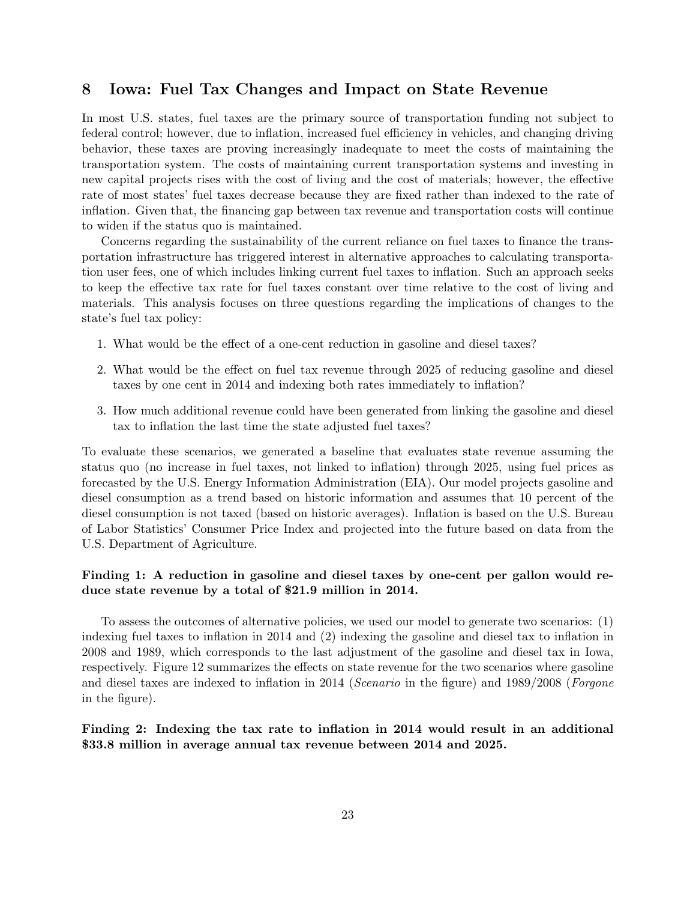# 8 Iowa: Fuel Tax Changes and Impact on State Revenue

In most U.S. states, fuel taxes are the primary source of transportation funding not subject to federal control; however, due to inflation, increased fuel efficiency in vehicles, and changing driving behavior, these taxes are proving increasingly inadequate to meet the costs of maintaining the transportation system. The costs of maintaining current transportation systems and investing in new capital projects rises with the cost of living and the cost of materials; however, the effective rate of most states' fuel taxes decrease because they are fixed rather than indexed to the rate of inflation. Given that, the financing gap between tax revenue and transportation costs will continue to widen if the status quo is maintained.

Concerns regarding the sustainability of the current reliance on fuel taxes to finance the transportation infrastructure has triggered interest in alternative approaches to calculating transportation user fees, one of which includes linking current fuel taxes to inflation. Such an approach seeks to keep the effective tax rate for fuel taxes constant over time relative to the cost of living and materials. This analysis focuses on three questions regarding the implications of changes to the state's fuel tax policy:

- 1. What would be the effect of a one-cent reduction in gasoline and diesel taxes?
- 2. What would be the effect on fuel tax revenue through 2025 of reducing gasoline and diesel taxes by one cent in 2014 and indexing both rates immediately to inflation?
- 3. How much additional revenue could have been generated from linking the gasoline and diesel tax to inflation the last time the state adjusted fuel taxes?

To evaluate these scenarios, we generated a baseline that evaluates state revenue assuming the status quo (no increase in fuel taxes, not linked to inflation) through 2025, using fuel prices as forecasted by the U.S. Energy Information Administration (EIA). Our model projects gasoline and diesel consumption as a trend based on historic information and assumes that 10 percent of the diesel consumption is not taxed (based on historic averages). Inflation is based on the U.S. Bureau of Labor Statistics' Consumer Price Index and projected into the future based on data from the U.S. Department of Agriculture.

#### Finding 1: A reduction in gasoline and diesel taxes by one-cent per gallon would reduce state revenue by a total of \$21.9 million in 2014.

To assess the outcomes of alternative policies, we used our model to generate two scenarios: (1) indexing fuel taxes to inflation in 2014 and (2) indexing the gasoline and diesel tax to inflation in 2008 and 1989, which corresponds to the last adjustment of the gasoline and diesel tax in Iowa, respectively. Figure 12 summarizes the effects on state revenue for the two scenarios where gasoline and diesel taxes are indexed to inflation in 2014 (Scenario in the figure) and 1989/2008 (Forgone in the figure).

#### Finding 2: Indexing the tax rate to inflation in 2014 would result in an additional \$33.8 million in average annual tax revenue between 2014 and 2025.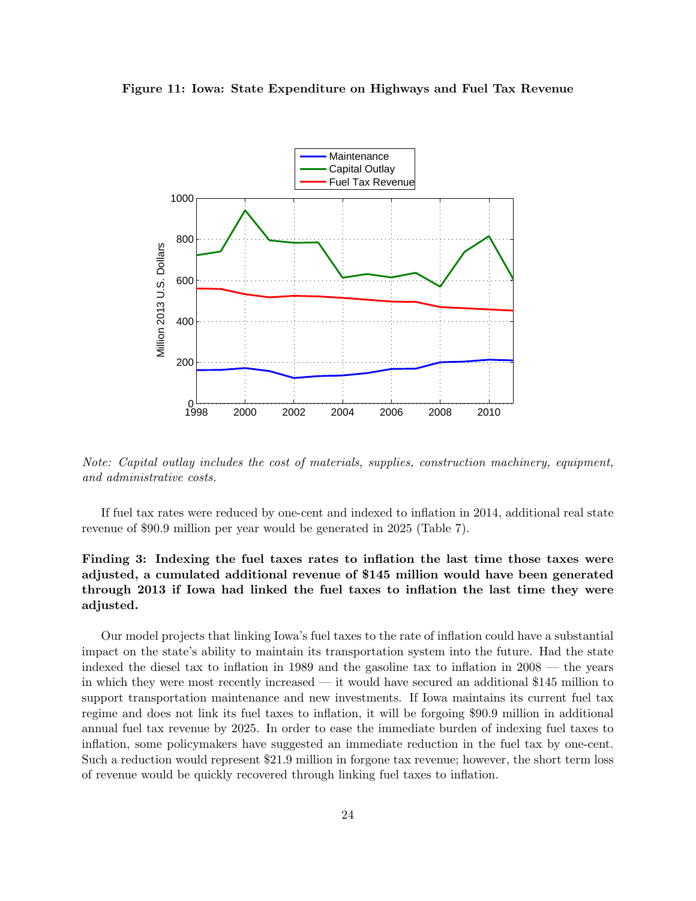



Note: Capital outlay includes the cost of materials, supplies, construction machinery, equipment, and administrative costs.

If fuel tax rates were reduced by one-cent and indexed to inflation in 2014, additional real state revenue of \$90.9 million per year would be generated in 2025 (Table 7).

### Finding 3: Indexing the fuel taxes rates to inflation the last time those taxes were adjusted, a cumulated additional revenue of \$145 million would have been generated through 2013 if Iowa had linked the fuel taxes to inflation the last time they were adjusted.

Our model projects that linking Iowa's fuel taxes to the rate of inflation could have a substantial impact on the state's ability to maintain its transportation system into the future. Had the state indexed the diesel tax to inflation in 1989 and the gasoline tax to inflation in 2008 — the years in which they were most recently increased — it would have secured an additional \$145 million to support transportation maintenance and new investments. If Iowa maintains its current fuel tax regime and does not link its fuel taxes to inflation, it will be forgoing \$90.9 million in additional annual fuel tax revenue by 2025. In order to ease the immediate burden of indexing fuel taxes to inflation, some policymakers have suggested an immediate reduction in the fuel tax by one-cent. Such a reduction would represent \$21.9 million in forgone tax revenue; however, the short term loss of revenue would be quickly recovered through linking fuel taxes to inflation.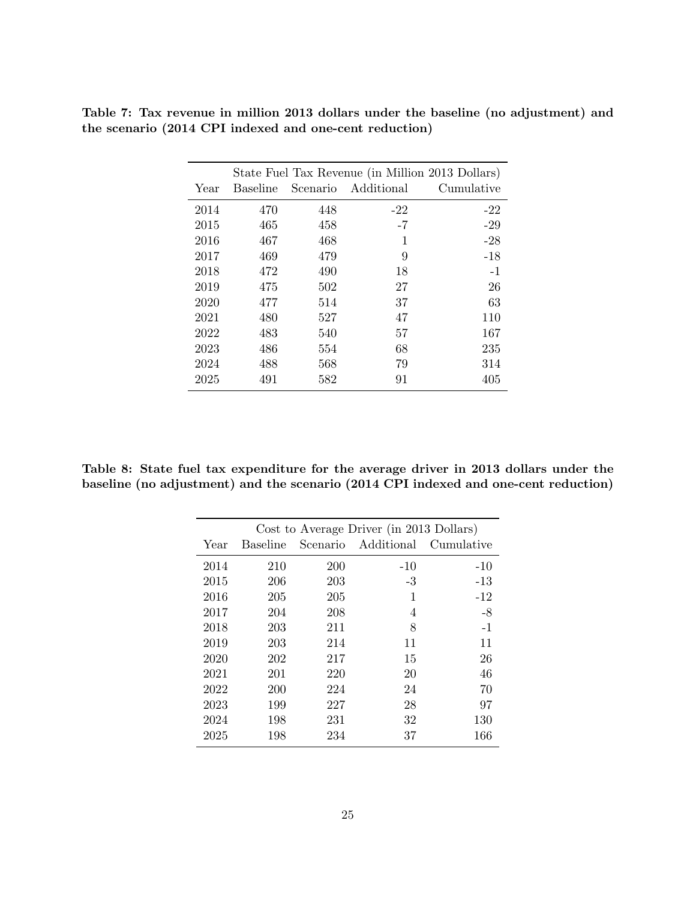|      |          |     | State Fuel Tax Revenue (in Million 2013 Dollars) |            |
|------|----------|-----|--------------------------------------------------|------------|
| Year | Baseline |     | Scenario Additional                              | Cumulative |
| 2014 | 470      | 448 | $-22$                                            | $-22$      |
| 2015 | 465      | 458 | $-7$                                             | $-29$      |
| 2016 | 467      | 468 | 1                                                | $-28$      |
| 2017 | 469      | 479 | 9                                                | $-18$      |
| 2018 | 472      | 490 | 18                                               | $-1$       |
| 2019 | 475      | 502 | 27                                               | 26         |
| 2020 | 477      | 514 | 37                                               | 63         |
| 2021 | 480      | 527 | 47                                               | 110        |
| 2022 | 483      | 540 | 57                                               | 167        |
| 2023 | 486      | 554 | 68                                               | 235        |
| 2024 | 488      | 568 | 79                                               | 314        |
| 2025 | 491      | 582 | 91                                               | 405        |

Table 7: Tax revenue in million 2013 dollars under the baseline (no adjustment) and the scenario (2014 CPI indexed and one-cent reduction)

Table 8: State fuel tax expenditure for the average driver in 2013 dollars under the baseline (no adjustment) and the scenario (2014 CPI indexed and one-cent reduction)

|      |                 |     | Cost to Average Driver (in 2013 Dollars) |            |
|------|-----------------|-----|------------------------------------------|------------|
| Year | <b>Baseline</b> |     | Scenario Additional                      | Cumulative |
| 2014 | 210             | 200 | $-10$                                    | $-10$      |
| 2015 | 206             | 203 | $-3$                                     | $-13$      |
| 2016 | 205             | 205 | 1                                        | $-12$      |
| 2017 | 204             | 208 | 4                                        | $-8$       |
| 2018 | 203             | 211 | 8                                        | $-1$       |
| 2019 | 203             | 214 | 11                                       | 11         |
| 2020 | 202             | 217 | 15                                       | 26         |
| 2021 | 201             | 220 | 20                                       | 46         |
| 2022 | 200             | 224 | 24                                       | 70         |
| 2023 | 199             | 227 | 28                                       | 97         |
| 2024 | 198             | 231 | 32                                       | 130        |
| 2025 | 198             | 234 | 37                                       | 166        |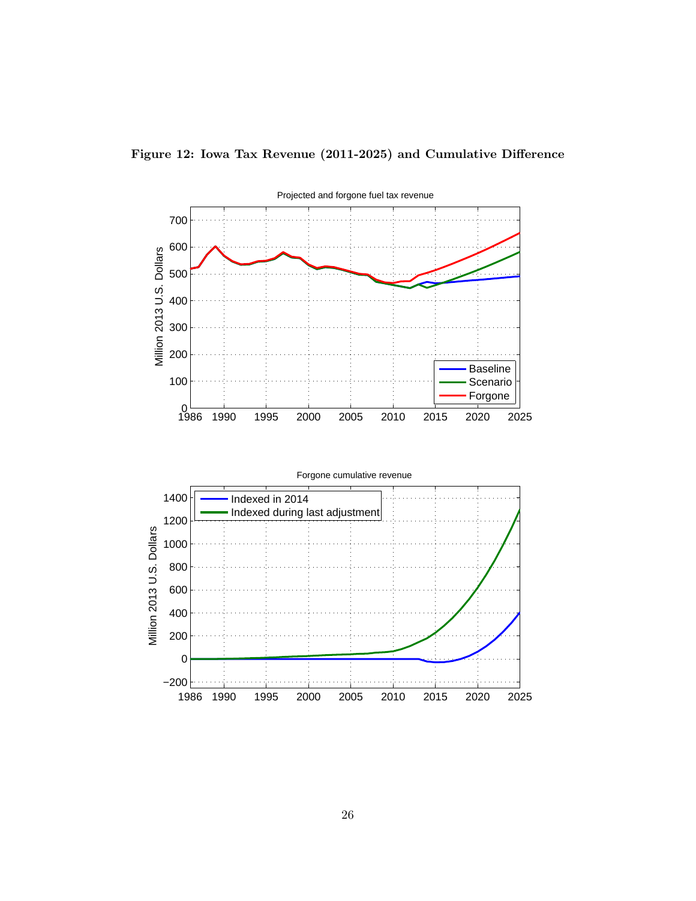

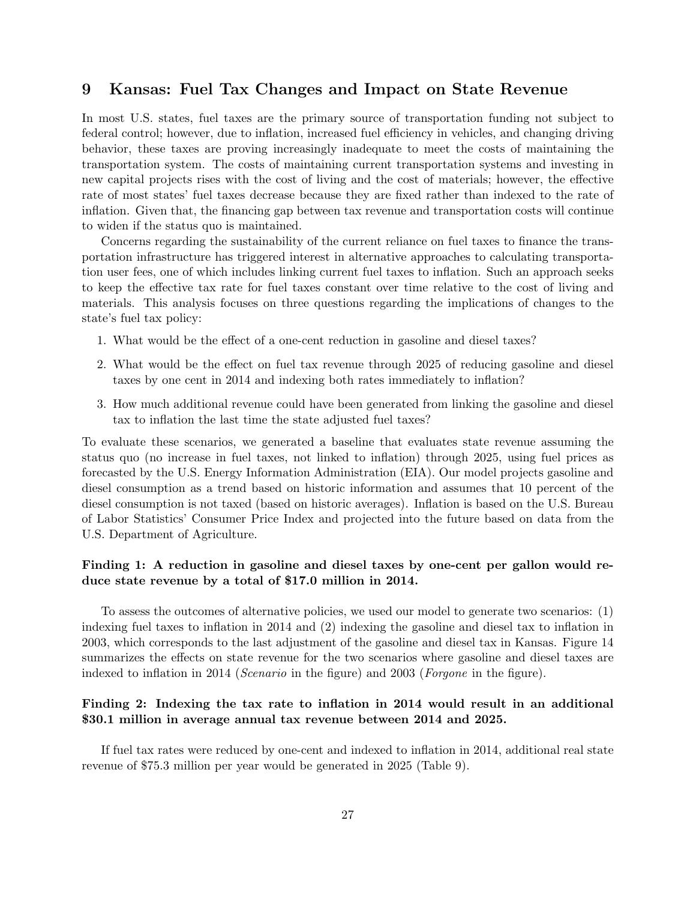# 9 Kansas: Fuel Tax Changes and Impact on State Revenue

In most U.S. states, fuel taxes are the primary source of transportation funding not subject to federal control; however, due to inflation, increased fuel efficiency in vehicles, and changing driving behavior, these taxes are proving increasingly inadequate to meet the costs of maintaining the transportation system. The costs of maintaining current transportation systems and investing in new capital projects rises with the cost of living and the cost of materials; however, the effective rate of most states' fuel taxes decrease because they are fixed rather than indexed to the rate of inflation. Given that, the financing gap between tax revenue and transportation costs will continue to widen if the status quo is maintained.

Concerns regarding the sustainability of the current reliance on fuel taxes to finance the transportation infrastructure has triggered interest in alternative approaches to calculating transportation user fees, one of which includes linking current fuel taxes to inflation. Such an approach seeks to keep the effective tax rate for fuel taxes constant over time relative to the cost of living and materials. This analysis focuses on three questions regarding the implications of changes to the state's fuel tax policy:

- 1. What would be the effect of a one-cent reduction in gasoline and diesel taxes?
- 2. What would be the effect on fuel tax revenue through 2025 of reducing gasoline and diesel taxes by one cent in 2014 and indexing both rates immediately to inflation?
- 3. How much additional revenue could have been generated from linking the gasoline and diesel tax to inflation the last time the state adjusted fuel taxes?

To evaluate these scenarios, we generated a baseline that evaluates state revenue assuming the status quo (no increase in fuel taxes, not linked to inflation) through 2025, using fuel prices as forecasted by the U.S. Energy Information Administration (EIA). Our model projects gasoline and diesel consumption as a trend based on historic information and assumes that 10 percent of the diesel consumption is not taxed (based on historic averages). Inflation is based on the U.S. Bureau of Labor Statistics' Consumer Price Index and projected into the future based on data from the U.S. Department of Agriculture.

#### Finding 1: A reduction in gasoline and diesel taxes by one-cent per gallon would reduce state revenue by a total of \$17.0 million in 2014.

To assess the outcomes of alternative policies, we used our model to generate two scenarios: (1) indexing fuel taxes to inflation in 2014 and (2) indexing the gasoline and diesel tax to inflation in 2003, which corresponds to the last adjustment of the gasoline and diesel tax in Kansas. Figure 14 summarizes the effects on state revenue for the two scenarios where gasoline and diesel taxes are indexed to inflation in 2014 (*Scenario* in the figure) and 2003 (*Forgone* in the figure).

#### Finding 2: Indexing the tax rate to inflation in 2014 would result in an additional \$30.1 million in average annual tax revenue between 2014 and 2025.

If fuel tax rates were reduced by one-cent and indexed to inflation in 2014, additional real state revenue of \$75.3 million per year would be generated in 2025 (Table 9).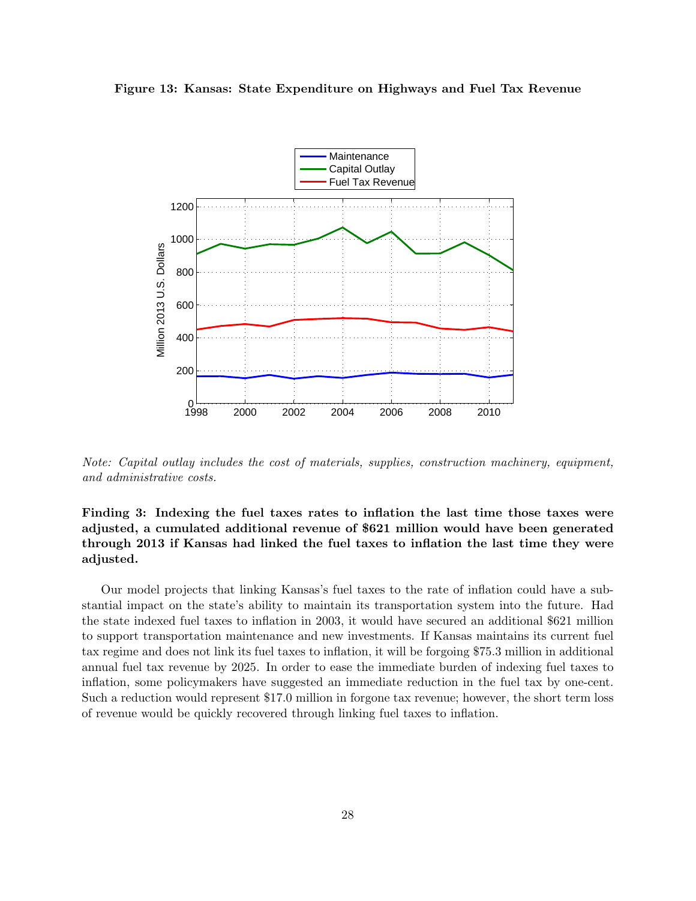



Note: Capital outlay includes the cost of materials, supplies, construction machinery, equipment, and administrative costs.

### Finding 3: Indexing the fuel taxes rates to inflation the last time those taxes were adjusted, a cumulated additional revenue of \$621 million would have been generated through 2013 if Kansas had linked the fuel taxes to inflation the last time they were adjusted.

Our model projects that linking Kansas's fuel taxes to the rate of inflation could have a substantial impact on the state's ability to maintain its transportation system into the future. Had the state indexed fuel taxes to inflation in 2003, it would have secured an additional \$621 million to support transportation maintenance and new investments. If Kansas maintains its current fuel tax regime and does not link its fuel taxes to inflation, it will be forgoing \$75.3 million in additional annual fuel tax revenue by 2025. In order to ease the immediate burden of indexing fuel taxes to inflation, some policymakers have suggested an immediate reduction in the fuel tax by one-cent. Such a reduction would represent \$17.0 million in forgone tax revenue; however, the short term loss of revenue would be quickly recovered through linking fuel taxes to inflation.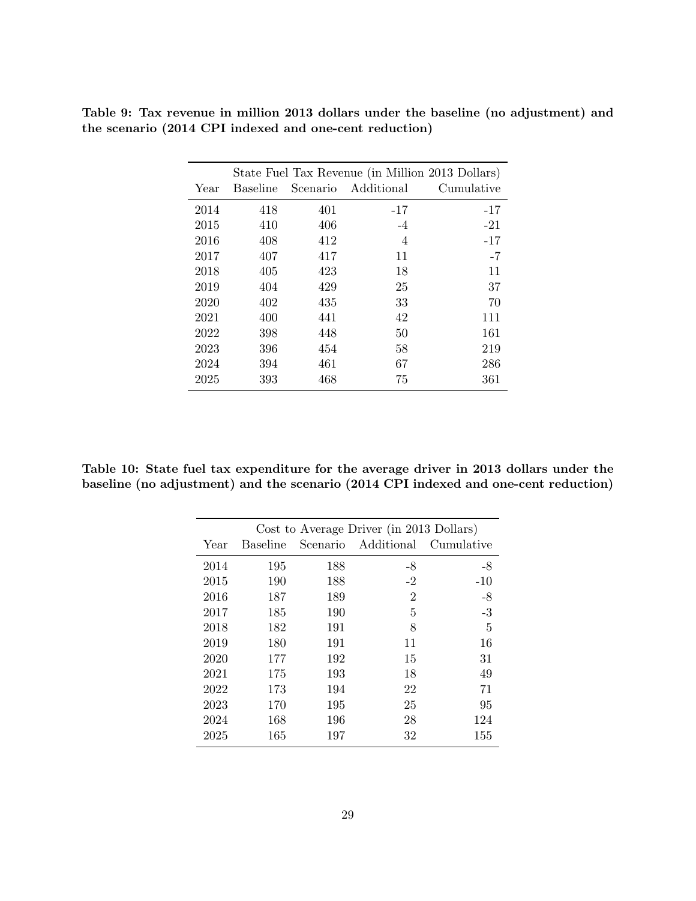|      |          |     | State Fuel Tax Revenue (in Million 2013 Dollars) |            |
|------|----------|-----|--------------------------------------------------|------------|
| Year | Baseline |     | Scenario Additional                              | Cumulative |
| 2014 | 418      | 401 | $-17$                                            | $-17$      |
| 2015 | 410      | 406 | $-4$                                             | $-21$      |
| 2016 | 408      | 412 | $\overline{4}$                                   | $-17$      |
| 2017 | 407      | 417 | 11                                               | $-7$       |
| 2018 | 405      | 423 | 18                                               | 11         |
| 2019 | 404      | 429 | 25                                               | 37         |
| 2020 | 402      | 435 | 33                                               | 70         |
| 2021 | 400      | 441 | 42                                               | 111        |
| 2022 | 398      | 448 | 50                                               | 161        |
| 2023 | 396      | 454 | 58                                               | 219        |
| 2024 | 394      | 461 | 67                                               | 286        |
| 2025 | 393      | 468 | 75                                               | 361        |

Table 9: Tax revenue in million 2013 dollars under the baseline (no adjustment) and the scenario (2014 CPI indexed and one-cent reduction)

Table 10: State fuel tax expenditure for the average driver in 2013 dollars under the baseline (no adjustment) and the scenario (2014 CPI indexed and one-cent reduction)

| Cost to Average Driver (in 2013 Dollars) |                 |          |                |            |
|------------------------------------------|-----------------|----------|----------------|------------|
| Year                                     | <b>Baseline</b> | Scenario | Additional     | Cumulative |
| 2014                                     | 195             | 188      | -8             | -8         |
| 2015                                     | 190             | 188      | $-2$           | $-10$      |
| 2016                                     | 187             | 189      | $\overline{2}$ | $-8$       |
| 2017                                     | 185             | 190      | 5              | $-3$       |
| 2018                                     | 182             | 191      | 8              | 5          |
| 2019                                     | 180             | 191      | 11             | 16         |
| 2020                                     | 177             | 192      | 15             | 31         |
| 2021                                     | 175             | 193      | 18             | 49         |
| 2022                                     | 173             | 194      | 22             | 71         |
| 2023                                     | 170             | 195      | 25             | 95         |
| 2024                                     | 168             | 196      | 28             | 124        |
| 2025                                     | 165             | 197      | 32             | 155        |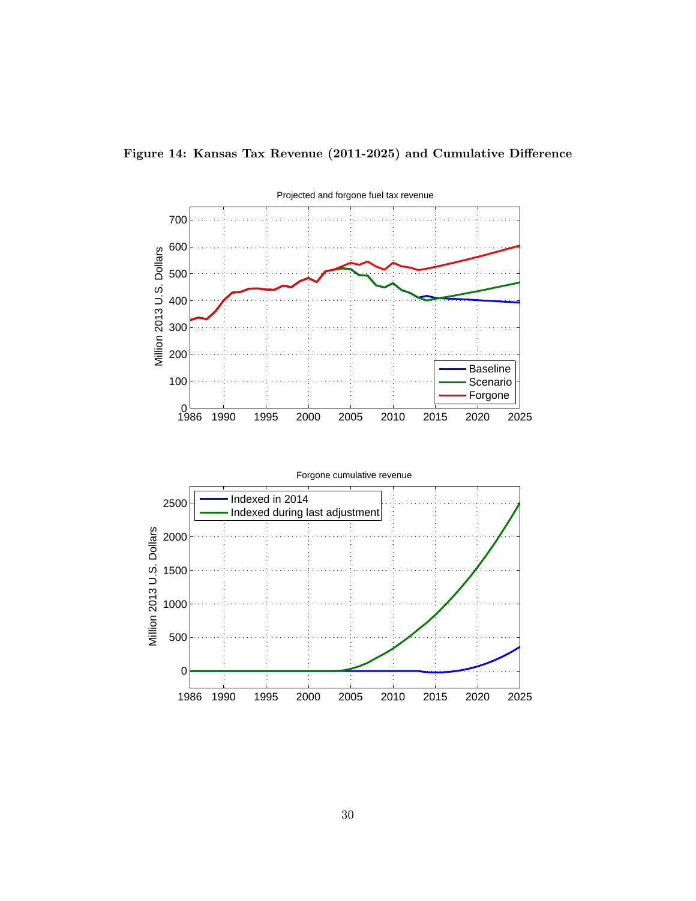

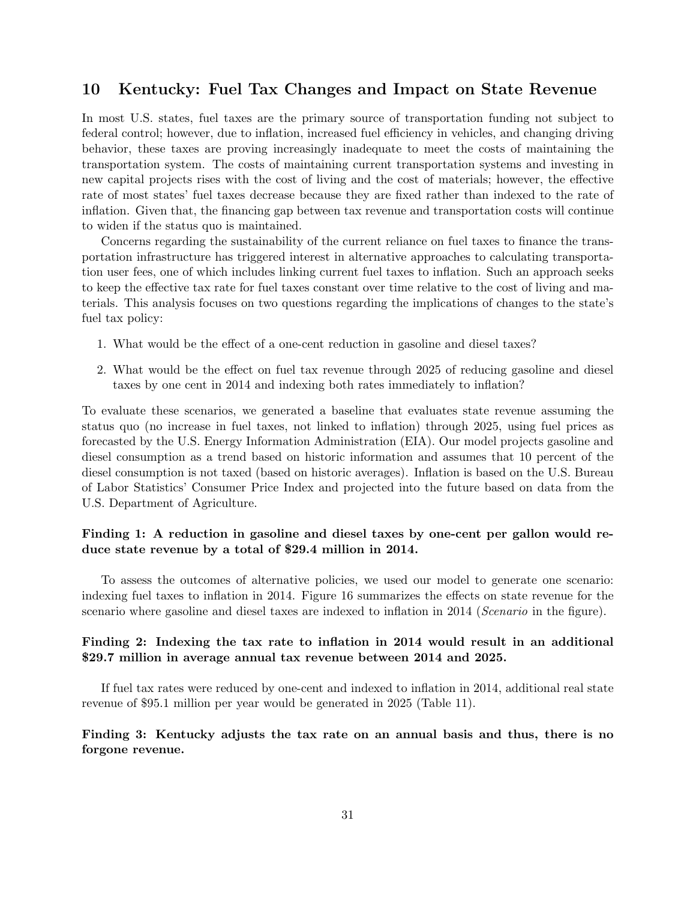# 10 Kentucky: Fuel Tax Changes and Impact on State Revenue

In most U.S. states, fuel taxes are the primary source of transportation funding not subject to federal control; however, due to inflation, increased fuel efficiency in vehicles, and changing driving behavior, these taxes are proving increasingly inadequate to meet the costs of maintaining the transportation system. The costs of maintaining current transportation systems and investing in new capital projects rises with the cost of living and the cost of materials; however, the effective rate of most states' fuel taxes decrease because they are fixed rather than indexed to the rate of inflation. Given that, the financing gap between tax revenue and transportation costs will continue to widen if the status quo is maintained.

Concerns regarding the sustainability of the current reliance on fuel taxes to finance the transportation infrastructure has triggered interest in alternative approaches to calculating transportation user fees, one of which includes linking current fuel taxes to inflation. Such an approach seeks to keep the effective tax rate for fuel taxes constant over time relative to the cost of living and materials. This analysis focuses on two questions regarding the implications of changes to the state's fuel tax policy:

- 1. What would be the effect of a one-cent reduction in gasoline and diesel taxes?
- 2. What would be the effect on fuel tax revenue through 2025 of reducing gasoline and diesel taxes by one cent in 2014 and indexing both rates immediately to inflation?

To evaluate these scenarios, we generated a baseline that evaluates state revenue assuming the status quo (no increase in fuel taxes, not linked to inflation) through 2025, using fuel prices as forecasted by the U.S. Energy Information Administration (EIA). Our model projects gasoline and diesel consumption as a trend based on historic information and assumes that 10 percent of the diesel consumption is not taxed (based on historic averages). Inflation is based on the U.S. Bureau of Labor Statistics' Consumer Price Index and projected into the future based on data from the U.S. Department of Agriculture.

#### Finding 1: A reduction in gasoline and diesel taxes by one-cent per gallon would reduce state revenue by a total of \$29.4 million in 2014.

To assess the outcomes of alternative policies, we used our model to generate one scenario: indexing fuel taxes to inflation in 2014. Figure 16 summarizes the effects on state revenue for the scenario where gasoline and diesel taxes are indexed to inflation in 2014 (Scenario in the figure).

#### Finding 2: Indexing the tax rate to inflation in 2014 would result in an additional \$29.7 million in average annual tax revenue between 2014 and 2025.

If fuel tax rates were reduced by one-cent and indexed to inflation in 2014, additional real state revenue of \$95.1 million per year would be generated in 2025 (Table 11).

#### Finding 3: Kentucky adjusts the tax rate on an annual basis and thus, there is no forgone revenue.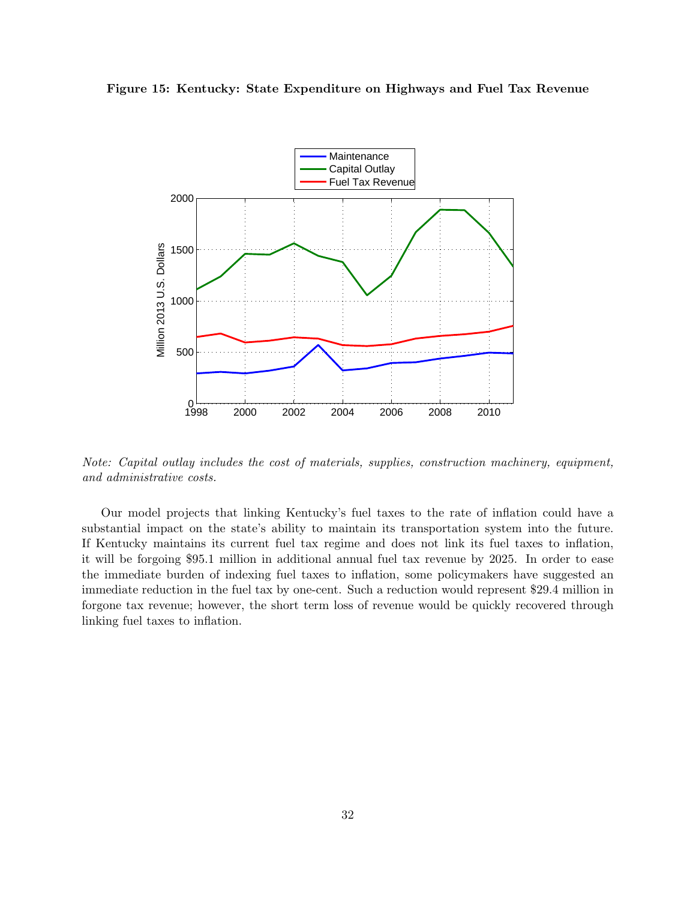



Note: Capital outlay includes the cost of materials, supplies, construction machinery, equipment, and administrative costs.

Our model projects that linking Kentucky's fuel taxes to the rate of inflation could have a substantial impact on the state's ability to maintain its transportation system into the future. If Kentucky maintains its current fuel tax regime and does not link its fuel taxes to inflation, it will be forgoing \$95.1 million in additional annual fuel tax revenue by 2025. In order to ease the immediate burden of indexing fuel taxes to inflation, some policymakers have suggested an immediate reduction in the fuel tax by one-cent. Such a reduction would represent \$29.4 million in forgone tax revenue; however, the short term loss of revenue would be quickly recovered through linking fuel taxes to inflation.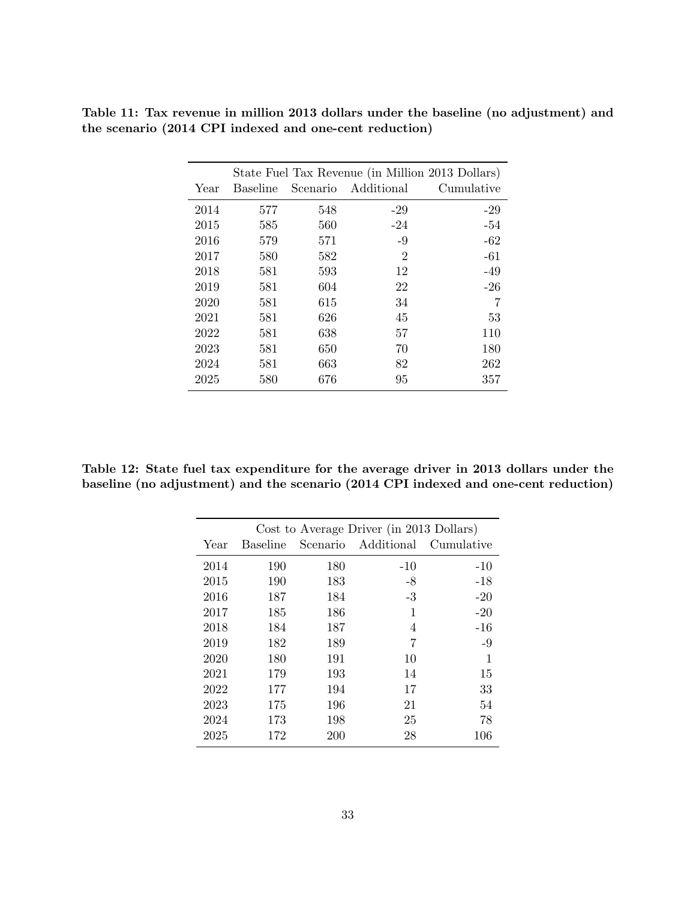|      |                 |          | State Fuel Tax Revenue (in Million 2013 Dollars) |            |
|------|-----------------|----------|--------------------------------------------------|------------|
| Year | <b>Baseline</b> | Scenario | Additional                                       | Cumulative |
| 2014 | 577             | 548      | $-29$                                            | $-29$      |
| 2015 | 585             | 560      | $-24$                                            | $-54$      |
| 2016 | 579             | 571      | $-9$                                             | $-62$      |
| 2017 | 580             | 582      | $\overline{2}$                                   | $-61$      |
| 2018 | 581             | 593      | 12                                               | $-49$      |
| 2019 | 581             | 604      | 22                                               | $-26$      |
| 2020 | 581             | 615      | 34                                               |            |
| 2021 | 581             | 626      | 45                                               | 53         |
| 2022 | 581             | 638      | 57                                               | 110        |
| 2023 | 581             | 650      | 70                                               | 180        |
| 2024 | 581             | 663      | 82                                               | 262        |
| 2025 | 580             | 676      | 95                                               | 357        |

Table 11: Tax revenue in million 2013 dollars under the baseline (no adjustment) and the scenario (2014 CPI indexed and one-cent reduction)

Table 12: State fuel tax expenditure for the average driver in 2013 dollars under the baseline (no adjustment) and the scenario (2014 CPI indexed and one-cent reduction)

|      |                 |          | Cost to Average Driver (in 2013 Dollars) |            |
|------|-----------------|----------|------------------------------------------|------------|
| Year | <b>Baseline</b> | Scenario | Additional                               | Cumulative |
| 2014 | 190             | 180      | $-10$                                    | $-10$      |
| 2015 | 190             | 183      | $-8$                                     | $-18$      |
| 2016 | 187             | 184      | $\text{-}3$                              | $-20$      |
| 2017 | 185             | 186      | 1                                        | $-20$      |
| 2018 | 184             | 187      | 4                                        | $-16$      |
| 2019 | 182             | 189      | 7                                        | $-9$       |
| 2020 | 180             | 191      | 10                                       | 1          |
| 2021 | 179             | 193      | 14                                       | 15         |
| 2022 | 177             | 194      | 17                                       | 33         |
| 2023 | 175             | 196      | 21                                       | 54         |
| 2024 | 173             | 198      | 25                                       | 78         |
| 2025 | 172             | 200      | 28                                       | 106        |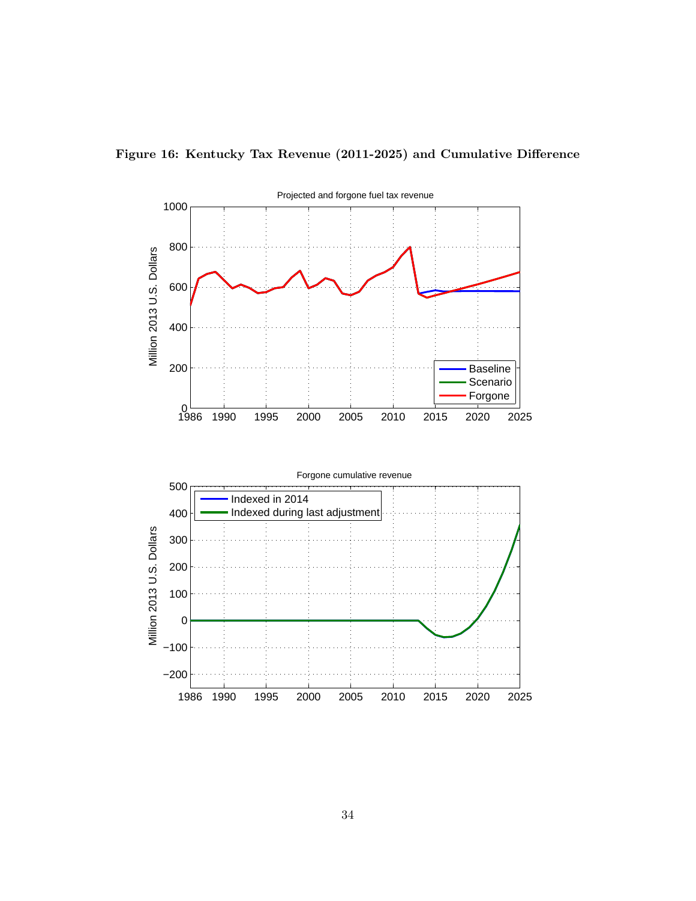

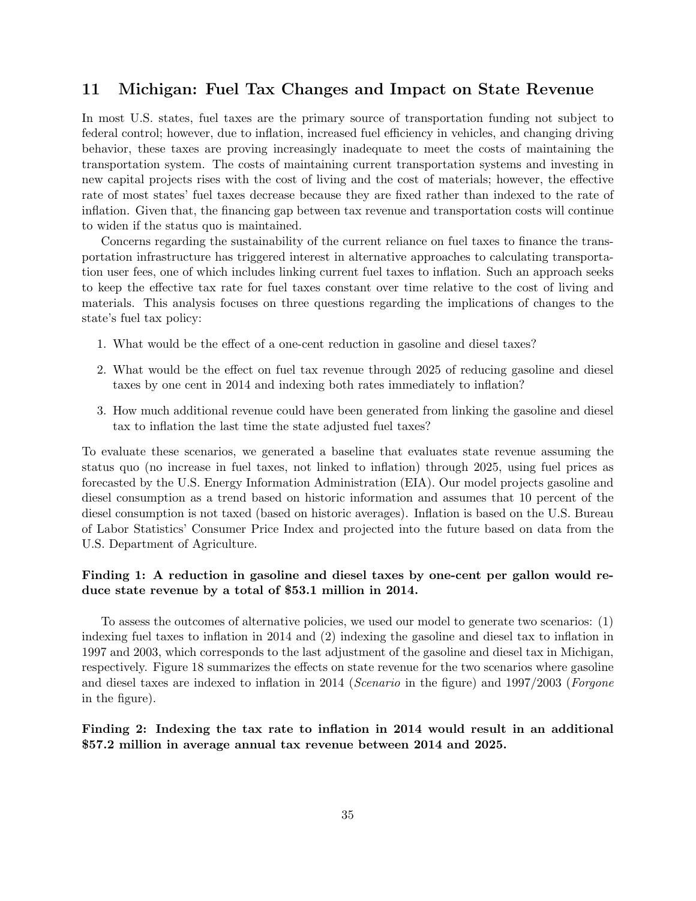### 11 Michigan: Fuel Tax Changes and Impact on State Revenue

In most U.S. states, fuel taxes are the primary source of transportation funding not subject to federal control; however, due to inflation, increased fuel efficiency in vehicles, and changing driving behavior, these taxes are proving increasingly inadequate to meet the costs of maintaining the transportation system. The costs of maintaining current transportation systems and investing in new capital projects rises with the cost of living and the cost of materials; however, the effective rate of most states' fuel taxes decrease because they are fixed rather than indexed to the rate of inflation. Given that, the financing gap between tax revenue and transportation costs will continue to widen if the status quo is maintained.

Concerns regarding the sustainability of the current reliance on fuel taxes to finance the transportation infrastructure has triggered interest in alternative approaches to calculating transportation user fees, one of which includes linking current fuel taxes to inflation. Such an approach seeks to keep the effective tax rate for fuel taxes constant over time relative to the cost of living and materials. This analysis focuses on three questions regarding the implications of changes to the state's fuel tax policy:

- 1. What would be the effect of a one-cent reduction in gasoline and diesel taxes?
- 2. What would be the effect on fuel tax revenue through 2025 of reducing gasoline and diesel taxes by one cent in 2014 and indexing both rates immediately to inflation?
- 3. How much additional revenue could have been generated from linking the gasoline and diesel tax to inflation the last time the state adjusted fuel taxes?

To evaluate these scenarios, we generated a baseline that evaluates state revenue assuming the status quo (no increase in fuel taxes, not linked to inflation) through 2025, using fuel prices as forecasted by the U.S. Energy Information Administration (EIA). Our model projects gasoline and diesel consumption as a trend based on historic information and assumes that 10 percent of the diesel consumption is not taxed (based on historic averages). Inflation is based on the U.S. Bureau of Labor Statistics' Consumer Price Index and projected into the future based on data from the U.S. Department of Agriculture.

#### Finding 1: A reduction in gasoline and diesel taxes by one-cent per gallon would reduce state revenue by a total of \$53.1 million in 2014.

To assess the outcomes of alternative policies, we used our model to generate two scenarios: (1) indexing fuel taxes to inflation in 2014 and (2) indexing the gasoline and diesel tax to inflation in 1997 and 2003, which corresponds to the last adjustment of the gasoline and diesel tax in Michigan, respectively. Figure 18 summarizes the effects on state revenue for the two scenarios where gasoline and diesel taxes are indexed to inflation in 2014 (Scenario in the figure) and 1997/2003 (Forgone in the figure).

#### Finding 2: Indexing the tax rate to inflation in 2014 would result in an additional \$57.2 million in average annual tax revenue between 2014 and 2025.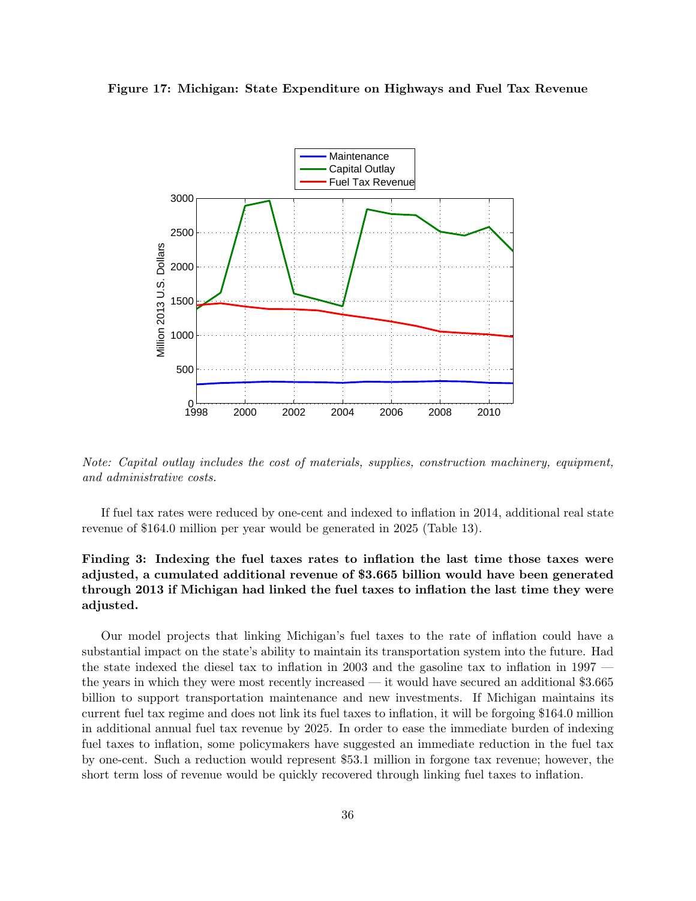



Note: Capital outlay includes the cost of materials, supplies, construction machinery, equipment, and administrative costs.

If fuel tax rates were reduced by one-cent and indexed to inflation in 2014, additional real state revenue of \$164.0 million per year would be generated in 2025 (Table 13).

### Finding 3: Indexing the fuel taxes rates to inflation the last time those taxes were adjusted, a cumulated additional revenue of \$3.665 billion would have been generated through 2013 if Michigan had linked the fuel taxes to inflation the last time they were adjusted.

Our model projects that linking Michigan's fuel taxes to the rate of inflation could have a substantial impact on the state's ability to maintain its transportation system into the future. Had the state indexed the diesel tax to inflation in 2003 and the gasoline tax to inflation in 1997 the years in which they were most recently increased — it would have secured an additional \$3.665 billion to support transportation maintenance and new investments. If Michigan maintains its current fuel tax regime and does not link its fuel taxes to inflation, it will be forgoing \$164.0 million in additional annual fuel tax revenue by 2025. In order to ease the immediate burden of indexing fuel taxes to inflation, some policymakers have suggested an immediate reduction in the fuel tax by one-cent. Such a reduction would represent \$53.1 million in forgone tax revenue; however, the short term loss of revenue would be quickly recovered through linking fuel taxes to inflation.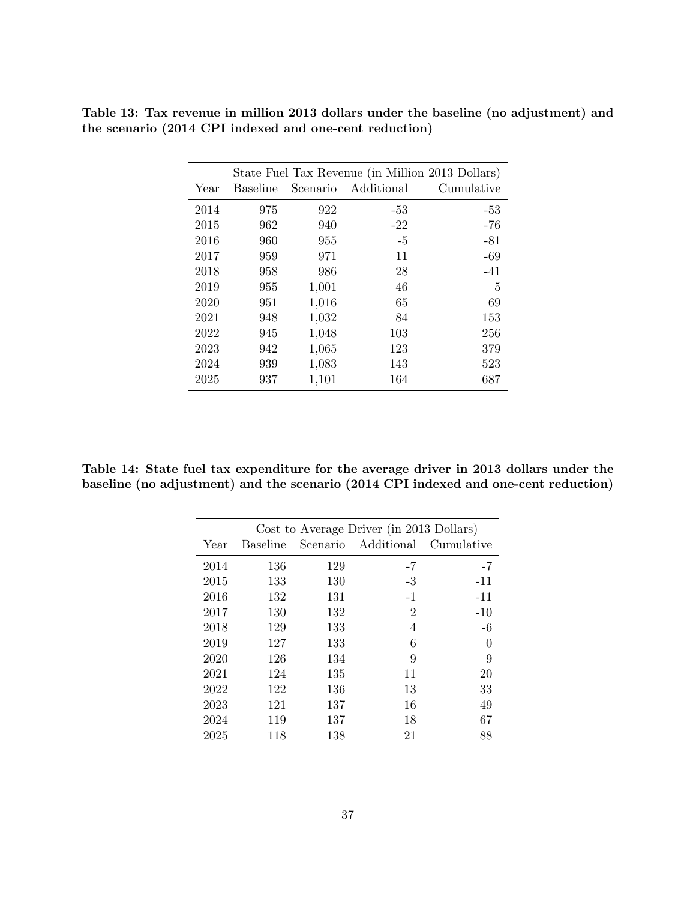|      |                 |          | State Fuel Tax Revenue (in Million 2013 Dollars) |            |
|------|-----------------|----------|--------------------------------------------------|------------|
| Year | <b>Baseline</b> | Scenario | Additional                                       | Cumulative |
| 2014 | 975             | 922      | -53                                              | -53        |
| 2015 | 962             | 940      | $-22$                                            | $-76$      |
| 2016 | 960             | 955      | $-5$                                             | $-81$      |
| 2017 | 959             | 971      | 11                                               | $-69$      |
| 2018 | 958             | 986      | 28                                               | $-41$      |
| 2019 | 955             | 1,001    | 46                                               | 5          |
| 2020 | 951             | 1,016    | 65                                               | 69         |
| 2021 | 948             | 1,032    | 84                                               | 153        |
| 2022 | 945             | 1,048    | 103                                              | 256        |
| 2023 | 942             | 1,065    | 123                                              | 379        |
| 2024 | 939             | 1,083    | 143                                              | 523        |
| 2025 | 937             | 1,101    | 164                                              | 687        |
|      |                 |          |                                                  |            |

Table 13: Tax revenue in million 2013 dollars under the baseline (no adjustment) and the scenario (2014 CPI indexed and one-cent reduction)

Table 14: State fuel tax expenditure for the average driver in 2013 dollars under the baseline (no adjustment) and the scenario (2014 CPI indexed and one-cent reduction)

|      |                 |     | Cost to Average Driver (in 2013 Dollars) |            |
|------|-----------------|-----|------------------------------------------|------------|
| Year | <b>Baseline</b> |     | Scenario Additional                      | Cumulative |
| 2014 | 136             | 129 | $-7$                                     | $-7$       |
| 2015 | 133             | 130 | $-3$                                     | $-11$      |
| 2016 | 132             | 131 | $-1$                                     | $-11$      |
| 2017 | 130             | 132 | $\overline{2}$                           | $-10$      |
| 2018 | 129             | 133 | 4                                        | $-6$       |
| 2019 | 127             | 133 | 6                                        | $\theta$   |
| 2020 | 126             | 134 | 9                                        | 9          |
| 2021 | 124             | 135 | 11                                       | 20         |
| 2022 | 122             | 136 | 13                                       | 33         |
| 2023 | 121             | 137 | 16                                       | 49         |
| 2024 | 119             | 137 | 18                                       | 67         |
| 2025 | 118             | 138 | 21                                       | 88         |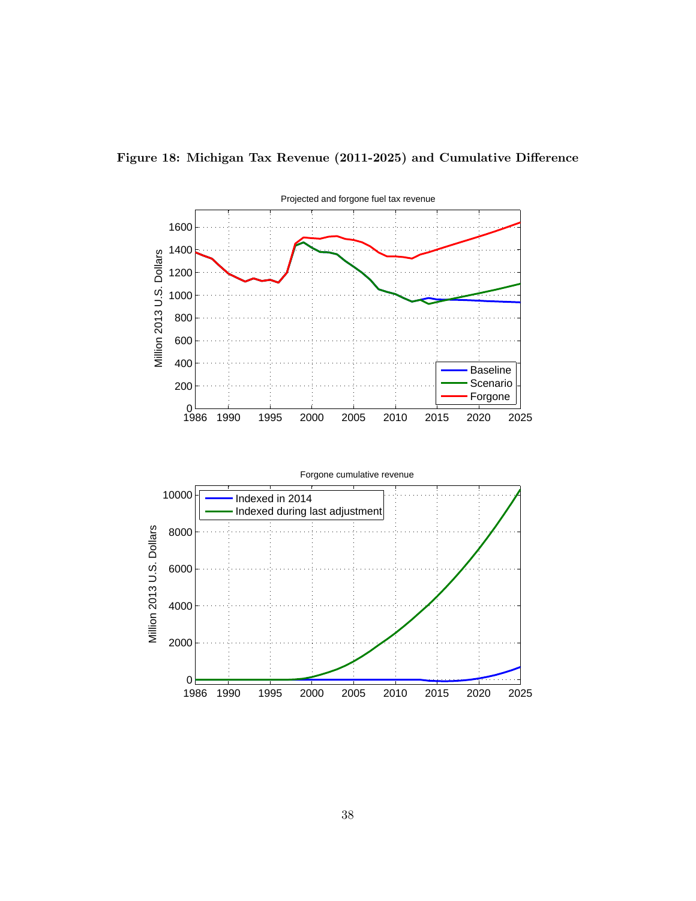

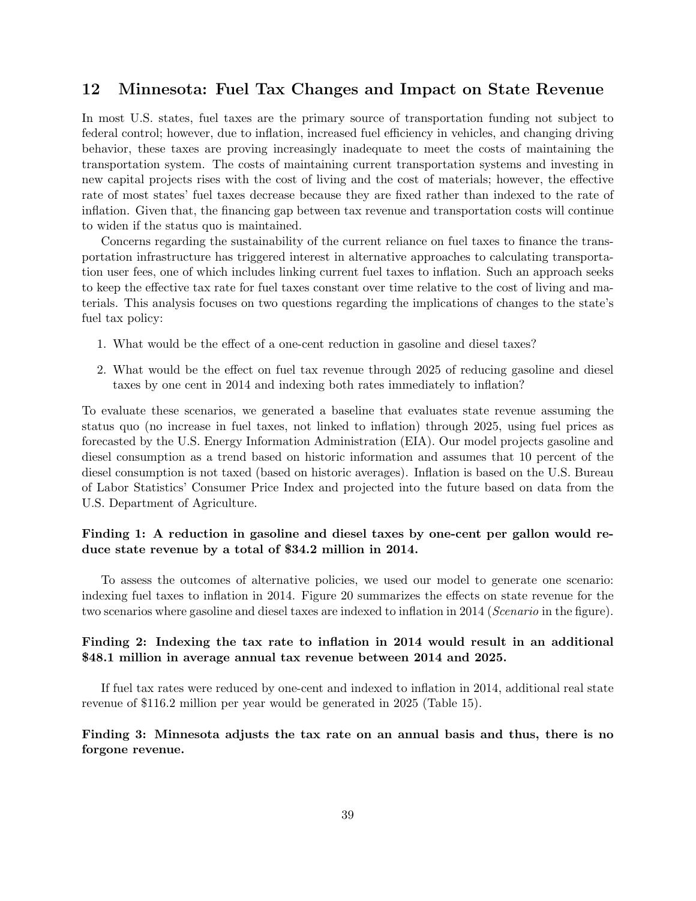### 12 Minnesota: Fuel Tax Changes and Impact on State Revenue

In most U.S. states, fuel taxes are the primary source of transportation funding not subject to federal control; however, due to inflation, increased fuel efficiency in vehicles, and changing driving behavior, these taxes are proving increasingly inadequate to meet the costs of maintaining the transportation system. The costs of maintaining current transportation systems and investing in new capital projects rises with the cost of living and the cost of materials; however, the effective rate of most states' fuel taxes decrease because they are fixed rather than indexed to the rate of inflation. Given that, the financing gap between tax revenue and transportation costs will continue to widen if the status quo is maintained.

Concerns regarding the sustainability of the current reliance on fuel taxes to finance the transportation infrastructure has triggered interest in alternative approaches to calculating transportation user fees, one of which includes linking current fuel taxes to inflation. Such an approach seeks to keep the effective tax rate for fuel taxes constant over time relative to the cost of living and materials. This analysis focuses on two questions regarding the implications of changes to the state's fuel tax policy:

- 1. What would be the effect of a one-cent reduction in gasoline and diesel taxes?
- 2. What would be the effect on fuel tax revenue through 2025 of reducing gasoline and diesel taxes by one cent in 2014 and indexing both rates immediately to inflation?

To evaluate these scenarios, we generated a baseline that evaluates state revenue assuming the status quo (no increase in fuel taxes, not linked to inflation) through 2025, using fuel prices as forecasted by the U.S. Energy Information Administration (EIA). Our model projects gasoline and diesel consumption as a trend based on historic information and assumes that 10 percent of the diesel consumption is not taxed (based on historic averages). Inflation is based on the U.S. Bureau of Labor Statistics' Consumer Price Index and projected into the future based on data from the U.S. Department of Agriculture.

#### Finding 1: A reduction in gasoline and diesel taxes by one-cent per gallon would reduce state revenue by a total of \$34.2 million in 2014.

To assess the outcomes of alternative policies, we used our model to generate one scenario: indexing fuel taxes to inflation in 2014. Figure 20 summarizes the effects on state revenue for the two scenarios where gasoline and diesel taxes are indexed to inflation in 2014 (Scenario in the figure).

#### Finding 2: Indexing the tax rate to inflation in 2014 would result in an additional \$48.1 million in average annual tax revenue between 2014 and 2025.

If fuel tax rates were reduced by one-cent and indexed to inflation in 2014, additional real state revenue of \$116.2 million per year would be generated in 2025 (Table 15).

#### Finding 3: Minnesota adjusts the tax rate on an annual basis and thus, there is no forgone revenue.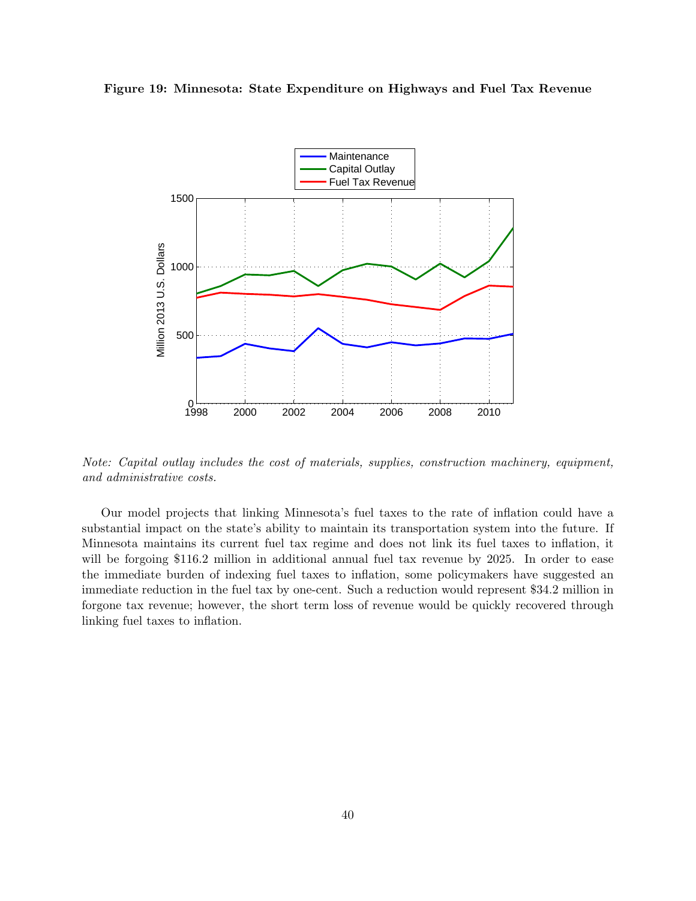



Note: Capital outlay includes the cost of materials, supplies, construction machinery, equipment, and administrative costs.

Our model projects that linking Minnesota's fuel taxes to the rate of inflation could have a substantial impact on the state's ability to maintain its transportation system into the future. If Minnesota maintains its current fuel tax regime and does not link its fuel taxes to inflation, it will be forgoing \$116.2 million in additional annual fuel tax revenue by 2025. In order to ease the immediate burden of indexing fuel taxes to inflation, some policymakers have suggested an immediate reduction in the fuel tax by one-cent. Such a reduction would represent \$34.2 million in forgone tax revenue; however, the short term loss of revenue would be quickly recovered through linking fuel taxes to inflation.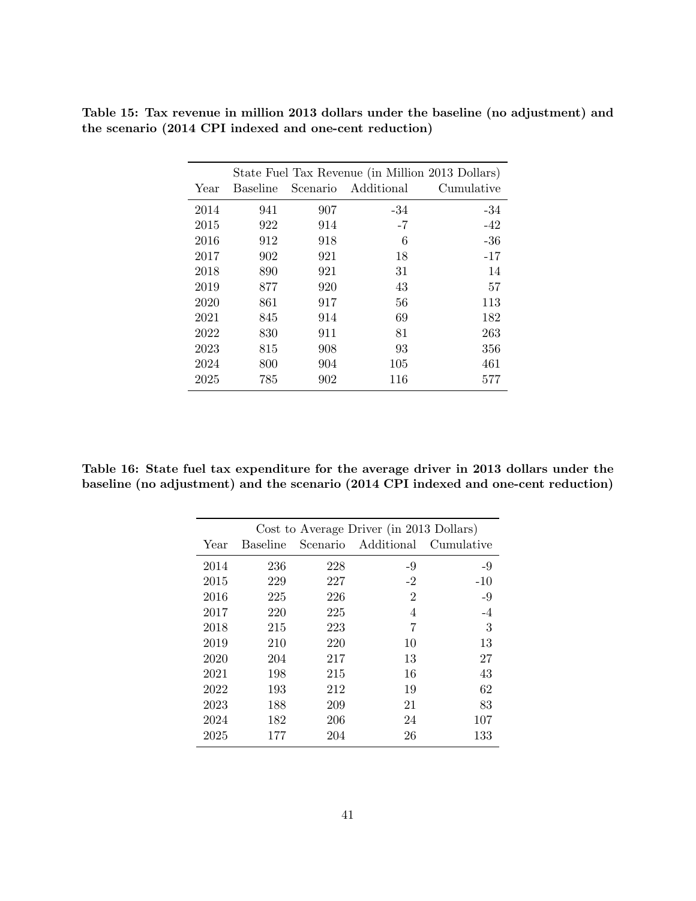|      |                 |          | State Fuel Tax Revenue (in Million 2013 Dollars) |            |
|------|-----------------|----------|--------------------------------------------------|------------|
| Year | <b>Baseline</b> | Scenario | Additional                                       | Cumulative |
| 2014 | 941             | 907      | -34                                              | -34        |
| 2015 | 922             | 914      | $-7$                                             | $-42$      |
| 2016 | 912             | 918      | 6                                                | $-36$      |
| 2017 | 902             | 921      | 18                                               | $-17$      |
| 2018 | 890             | 921      | 31                                               | 14         |
| 2019 | 877             | 920      | 43                                               | 57         |
| 2020 | 861             | 917      | 56                                               | 113        |
| 2021 | 845             | 914      | 69                                               | 182        |
| 2022 | 830             | 911      | 81                                               | 263        |
| 2023 | 815             | 908      | 93                                               | 356        |
| 2024 | 800             | 904      | 105                                              | 461        |
| 2025 | 785             | 902      | 116                                              | 577        |

Table 15: Tax revenue in million 2013 dollars under the baseline (no adjustment) and the scenario (2014 CPI indexed and one-cent reduction)

Table 16: State fuel tax expenditure for the average driver in 2013 dollars under the baseline (no adjustment) and the scenario (2014 CPI indexed and one-cent reduction)

|      |                 |          | Cost to Average Driver (in 2013 Dollars) |            |
|------|-----------------|----------|------------------------------------------|------------|
| Year | <b>Baseline</b> | Scenario | Additional                               | Cumulative |
| 2014 | 236             | 228      | $-9$                                     | $-9$       |
| 2015 | 229             | 227      | $-2$                                     | $-10$      |
| 2016 | 225             | 226      | $\overline{2}$                           | $-9$       |
| 2017 | 220             | 225      | 4                                        | $-4$       |
| 2018 | 215             | 223      | 7                                        | 3          |
| 2019 | 210             | 220      | 10                                       | 13         |
| 2020 | 204             | 217      | 13                                       | 27         |
| 2021 | 198             | 215      | 16                                       | 43         |
| 2022 | 193             | 212      | 19                                       | 62         |
| 2023 | 188             | 209      | 21                                       | 83         |
| 2024 | 182             | 206      | 24                                       | 107        |
| 2025 | 177             | 204      | 26                                       | 133        |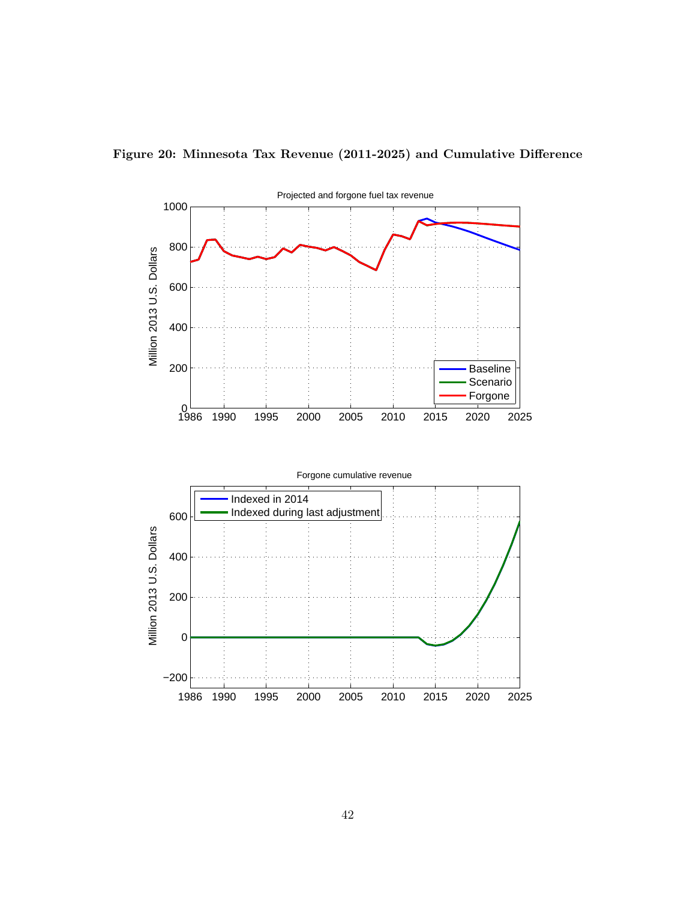

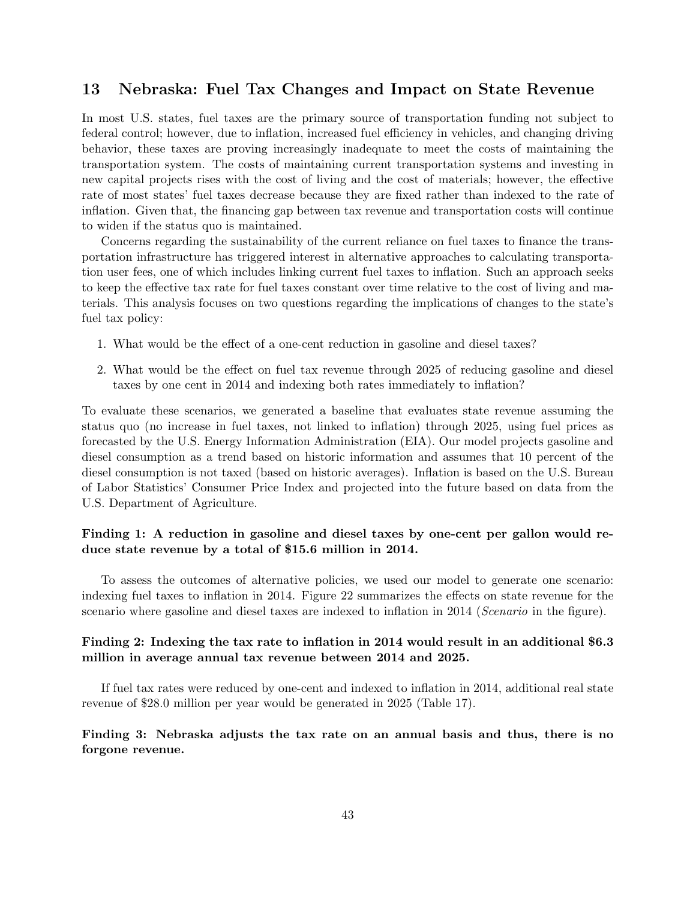# 13 Nebraska: Fuel Tax Changes and Impact on State Revenue

In most U.S. states, fuel taxes are the primary source of transportation funding not subject to federal control; however, due to inflation, increased fuel efficiency in vehicles, and changing driving behavior, these taxes are proving increasingly inadequate to meet the costs of maintaining the transportation system. The costs of maintaining current transportation systems and investing in new capital projects rises with the cost of living and the cost of materials; however, the effective rate of most states' fuel taxes decrease because they are fixed rather than indexed to the rate of inflation. Given that, the financing gap between tax revenue and transportation costs will continue to widen if the status quo is maintained.

Concerns regarding the sustainability of the current reliance on fuel taxes to finance the transportation infrastructure has triggered interest in alternative approaches to calculating transportation user fees, one of which includes linking current fuel taxes to inflation. Such an approach seeks to keep the effective tax rate for fuel taxes constant over time relative to the cost of living and materials. This analysis focuses on two questions regarding the implications of changes to the state's fuel tax policy:

- 1. What would be the effect of a one-cent reduction in gasoline and diesel taxes?
- 2. What would be the effect on fuel tax revenue through 2025 of reducing gasoline and diesel taxes by one cent in 2014 and indexing both rates immediately to inflation?

To evaluate these scenarios, we generated a baseline that evaluates state revenue assuming the status quo (no increase in fuel taxes, not linked to inflation) through 2025, using fuel prices as forecasted by the U.S. Energy Information Administration (EIA). Our model projects gasoline and diesel consumption as a trend based on historic information and assumes that 10 percent of the diesel consumption is not taxed (based on historic averages). Inflation is based on the U.S. Bureau of Labor Statistics' Consumer Price Index and projected into the future based on data from the U.S. Department of Agriculture.

#### Finding 1: A reduction in gasoline and diesel taxes by one-cent per gallon would reduce state revenue by a total of \$15.6 million in 2014.

To assess the outcomes of alternative policies, we used our model to generate one scenario: indexing fuel taxes to inflation in 2014. Figure 22 summarizes the effects on state revenue for the scenario where gasoline and diesel taxes are indexed to inflation in 2014 (Scenario in the figure).

#### Finding 2: Indexing the tax rate to inflation in 2014 would result in an additional \$6.3 million in average annual tax revenue between 2014 and 2025.

If fuel tax rates were reduced by one-cent and indexed to inflation in 2014, additional real state revenue of \$28.0 million per year would be generated in 2025 (Table 17).

#### Finding 3: Nebraska adjusts the tax rate on an annual basis and thus, there is no forgone revenue.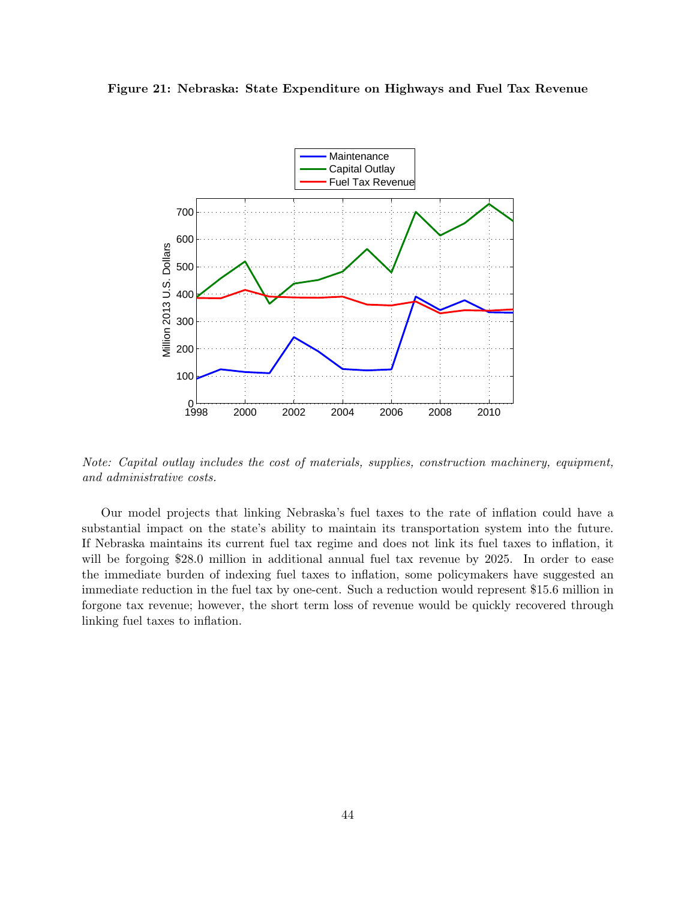



Note: Capital outlay includes the cost of materials, supplies, construction machinery, equipment, and administrative costs.

Our model projects that linking Nebraska's fuel taxes to the rate of inflation could have a substantial impact on the state's ability to maintain its transportation system into the future. If Nebraska maintains its current fuel tax regime and does not link its fuel taxes to inflation, it will be forgoing \$28.0 million in additional annual fuel tax revenue by 2025. In order to ease the immediate burden of indexing fuel taxes to inflation, some policymakers have suggested an immediate reduction in the fuel tax by one-cent. Such a reduction would represent \$15.6 million in forgone tax revenue; however, the short term loss of revenue would be quickly recovered through linking fuel taxes to inflation.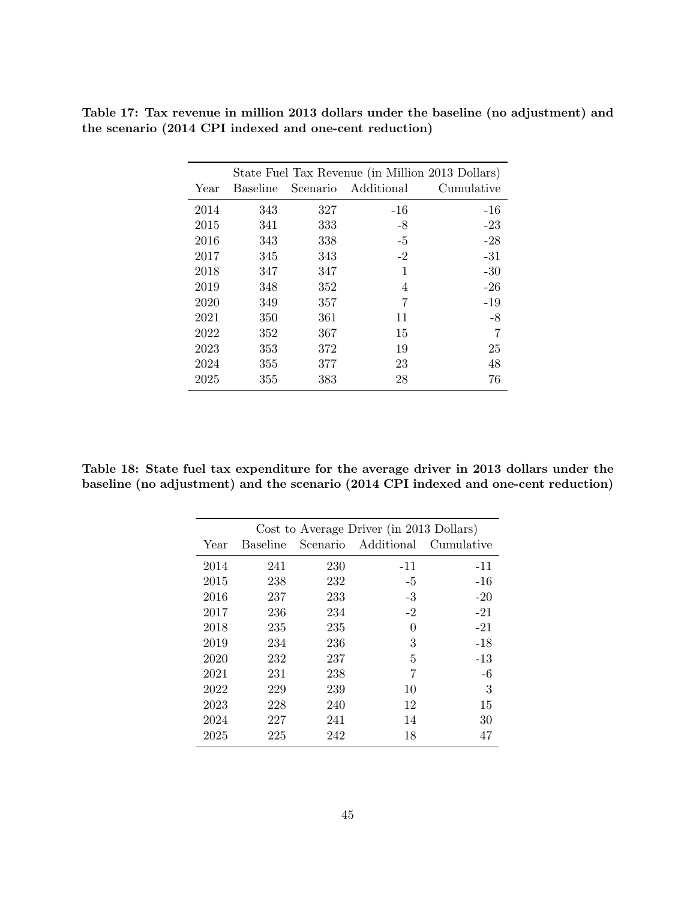|      |          |     | State Fuel Tax Revenue (in Million 2013 Dollars) |            |
|------|----------|-----|--------------------------------------------------|------------|
| Year | Baseline |     | Scenario Additional                              | Cumulative |
| 2014 | 343      | 327 | $-16$                                            | $-16$      |
| 2015 | 341      | 333 | $-8$                                             | $-23$      |
| 2016 | 343      | 338 | $-5$                                             | $-28$      |
| 2017 | 345      | 343 | $-2$                                             | $-31$      |
| 2018 | 347      | 347 | 1                                                | $-30$      |
| 2019 | 348      | 352 | 4                                                | $-26$      |
| 2020 | 349      | 357 | 7                                                | $-19$      |
| 2021 | 350      | 361 | 11                                               | $-8$       |
| 2022 | 352      | 367 | 15                                               | 7          |
| 2023 | 353      | 372 | 19                                               | 25         |
| 2024 | 355      | 377 | 23                                               | 48         |
| 2025 | 355      | 383 | 28                                               | 76         |
|      |          |     |                                                  |            |

Table 17: Tax revenue in million 2013 dollars under the baseline (no adjustment) and the scenario (2014 CPI indexed and one-cent reduction)

Table 18: State fuel tax expenditure for the average driver in 2013 dollars under the baseline (no adjustment) and the scenario (2014 CPI indexed and one-cent reduction)

|      |                 |     | Cost to Average Driver (in 2013 Dollars) |            |
|------|-----------------|-----|------------------------------------------|------------|
| Year | <b>Baseline</b> |     | Scenario Additional                      | Cumulative |
| 2014 | 241             | 230 | $-11$                                    | $-11$      |
| 2015 | 238             | 232 | $-5$                                     | $-16$      |
| 2016 | 237             | 233 | $-3$                                     | $-20$      |
| 2017 | 236             | 234 | $-2$                                     | $-21$      |
| 2018 | 235             | 235 | 0                                        | $-21$      |
| 2019 | 234             | 236 | 3                                        | $-18$      |
| 2020 | 232             | 237 | 5                                        | $-13$      |
| 2021 | 231             | 238 | 7                                        | $-6$       |
| 2022 | 229             | 239 | 10                                       | 3          |
| 2023 | 228             | 240 | 12                                       | 15         |
| 2024 | 227             | 241 | 14                                       | 30         |
| 2025 | 225             | 242 | 18                                       | 47         |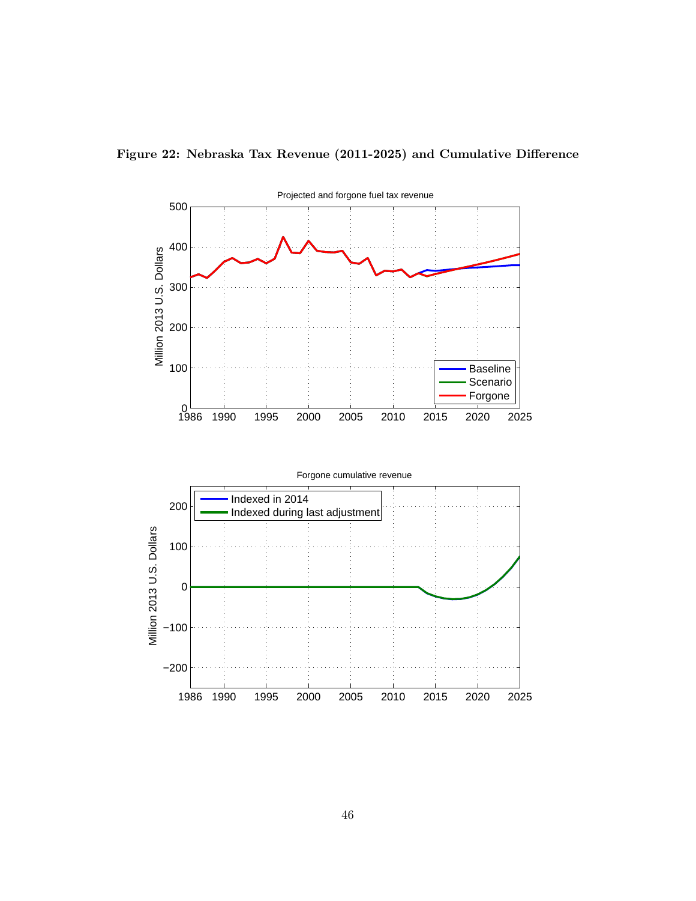

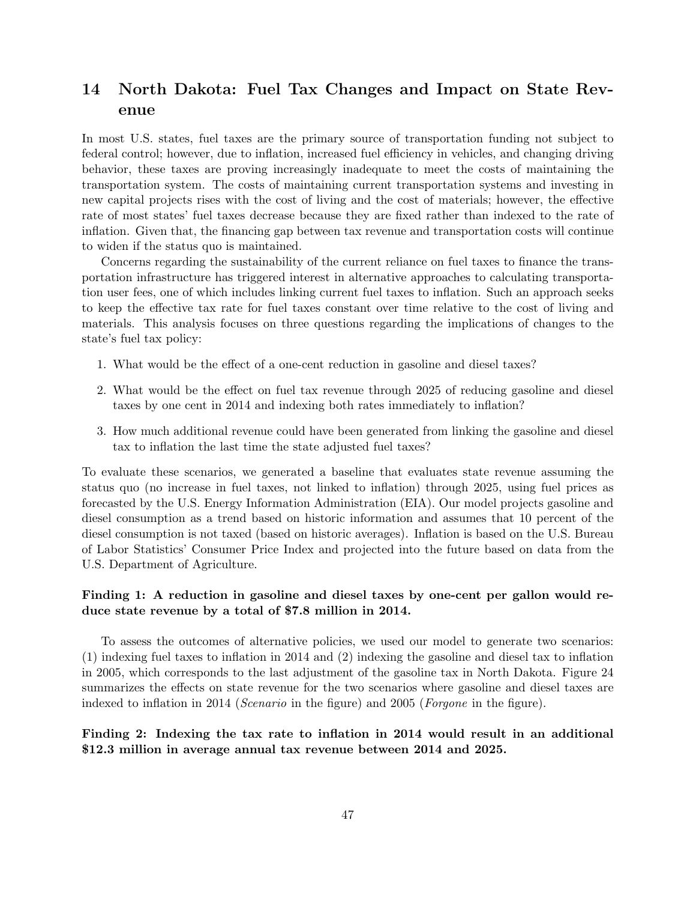# 14 North Dakota: Fuel Tax Changes and Impact on State Revenue

In most U.S. states, fuel taxes are the primary source of transportation funding not subject to federal control; however, due to inflation, increased fuel efficiency in vehicles, and changing driving behavior, these taxes are proving increasingly inadequate to meet the costs of maintaining the transportation system. The costs of maintaining current transportation systems and investing in new capital projects rises with the cost of living and the cost of materials; however, the effective rate of most states' fuel taxes decrease because they are fixed rather than indexed to the rate of inflation. Given that, the financing gap between tax revenue and transportation costs will continue to widen if the status quo is maintained.

Concerns regarding the sustainability of the current reliance on fuel taxes to finance the transportation infrastructure has triggered interest in alternative approaches to calculating transportation user fees, one of which includes linking current fuel taxes to inflation. Such an approach seeks to keep the effective tax rate for fuel taxes constant over time relative to the cost of living and materials. This analysis focuses on three questions regarding the implications of changes to the state's fuel tax policy:

- 1. What would be the effect of a one-cent reduction in gasoline and diesel taxes?
- 2. What would be the effect on fuel tax revenue through 2025 of reducing gasoline and diesel taxes by one cent in 2014 and indexing both rates immediately to inflation?
- 3. How much additional revenue could have been generated from linking the gasoline and diesel tax to inflation the last time the state adjusted fuel taxes?

To evaluate these scenarios, we generated a baseline that evaluates state revenue assuming the status quo (no increase in fuel taxes, not linked to inflation) through 2025, using fuel prices as forecasted by the U.S. Energy Information Administration (EIA). Our model projects gasoline and diesel consumption as a trend based on historic information and assumes that 10 percent of the diesel consumption is not taxed (based on historic averages). Inflation is based on the U.S. Bureau of Labor Statistics' Consumer Price Index and projected into the future based on data from the U.S. Department of Agriculture.

#### Finding 1: A reduction in gasoline and diesel taxes by one-cent per gallon would reduce state revenue by a total of \$7.8 million in 2014.

To assess the outcomes of alternative policies, we used our model to generate two scenarios: (1) indexing fuel taxes to inflation in 2014 and (2) indexing the gasoline and diesel tax to inflation in 2005, which corresponds to the last adjustment of the gasoline tax in North Dakota. Figure 24 summarizes the effects on state revenue for the two scenarios where gasoline and diesel taxes are indexed to inflation in 2014 (*Scenario* in the figure) and 2005 (*Forgone* in the figure).

#### Finding 2: Indexing the tax rate to inflation in 2014 would result in an additional \$12.3 million in average annual tax revenue between 2014 and 2025.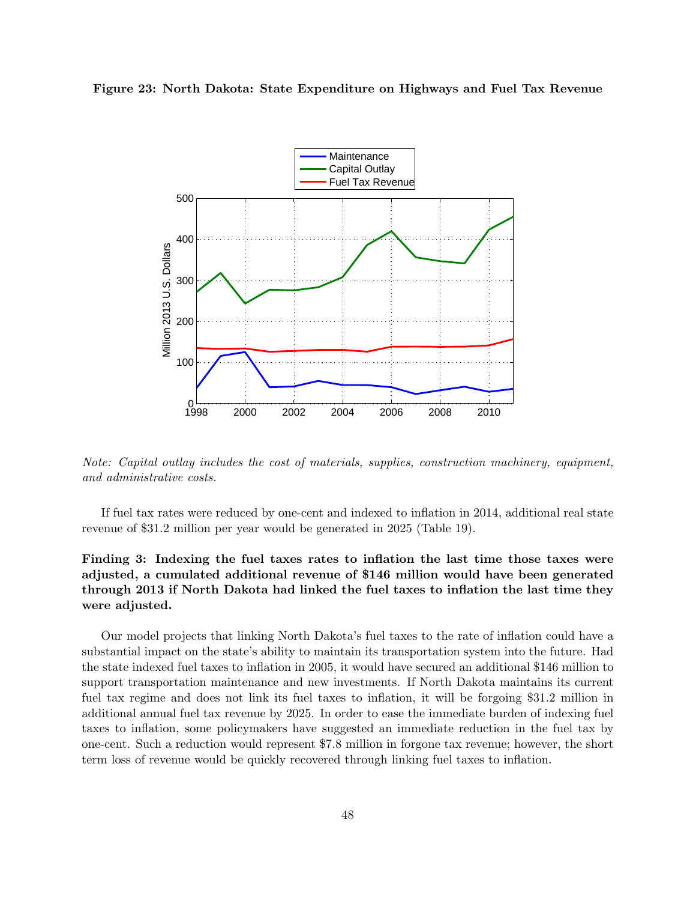#### Figure 23: North Dakota: State Expenditure on Highways and Fuel Tax Revenue



Note: Capital outlay includes the cost of materials, supplies, construction machinery, equipment, and administrative costs.

If fuel tax rates were reduced by one-cent and indexed to inflation in 2014, additional real state revenue of \$31.2 million per year would be generated in 2025 (Table 19).

### Finding 3: Indexing the fuel taxes rates to inflation the last time those taxes were adjusted, a cumulated additional revenue of \$146 million would have been generated through 2013 if North Dakota had linked the fuel taxes to inflation the last time they were adjusted.

Our model projects that linking North Dakota's fuel taxes to the rate of inflation could have a substantial impact on the state's ability to maintain its transportation system into the future. Had the state indexed fuel taxes to inflation in 2005, it would have secured an additional \$146 million to support transportation maintenance and new investments. If North Dakota maintains its current fuel tax regime and does not link its fuel taxes to inflation, it will be forgoing \$31.2 million in additional annual fuel tax revenue by 2025. In order to ease the immediate burden of indexing fuel taxes to inflation, some policymakers have suggested an immediate reduction in the fuel tax by one-cent. Such a reduction would represent \$7.8 million in forgone tax revenue; however, the short term loss of revenue would be quickly recovered through linking fuel taxes to inflation.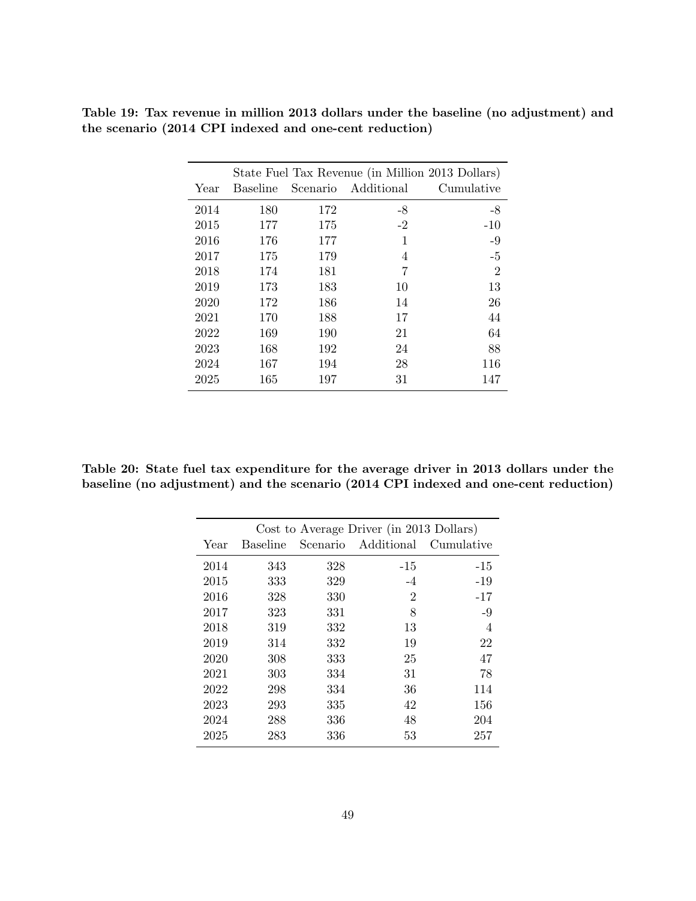|      |          |     | State Fuel Tax Revenue (in Million 2013 Dollars) |                |
|------|----------|-----|--------------------------------------------------|----------------|
| Year | Baseline |     | Scenario Additional                              | Cumulative     |
| 2014 | 180      | 172 | -8                                               | $-8$           |
| 2015 | 177      | 175 | $-2$                                             | $-10$          |
| 2016 | 176      | 177 | 1                                                | $-9$           |
| 2017 | 175      | 179 | 4                                                | $-5$           |
| 2018 | 174      | 181 | 7                                                | $\overline{2}$ |
| 2019 | 173      | 183 | 10                                               | 13             |
| 2020 | 172      | 186 | 14                                               | 26             |
| 2021 | 170      | 188 | 17                                               | 44             |
| 2022 | 169      | 190 | 21                                               | 64             |
| 2023 | 168      | 192 | 24                                               | 88             |
| 2024 | 167      | 194 | 28                                               | 116            |
| 2025 | 165      | 197 | 31                                               | 147            |

Table 19: Tax revenue in million 2013 dollars under the baseline (no adjustment) and the scenario (2014 CPI indexed and one-cent reduction)

Table 20: State fuel tax expenditure for the average driver in 2013 dollars under the baseline (no adjustment) and the scenario (2014 CPI indexed and one-cent reduction)

|      |                 |          | Cost to Average Driver (in 2013 Dollars) |            |
|------|-----------------|----------|------------------------------------------|------------|
| Year | <b>Baseline</b> | Scenario | Additional                               | Cumulative |
| 2014 | 343             | 328      | -15                                      | $-15$      |
| 2015 | 333             | 329      | $-4$                                     | $-19$      |
| 2016 | 328             | 330      | $\overline{2}$                           | $-17$      |
| 2017 | 323             | 331      | 8                                        | $-9$       |
| 2018 | 319             | 332      | 13                                       | 4          |
| 2019 | 314             | 332      | 19                                       | 22         |
| 2020 | 308             | 333      | 25                                       | 47         |
| 2021 | 303             | 334      | 31                                       | 78         |
| 2022 | 298             | 334      | 36                                       | 114        |
| 2023 | 293             | 335      | 42                                       | 156        |
| 2024 | 288             | 336      | 48                                       | 204        |
| 2025 | 283             | 336      | 53                                       | 257        |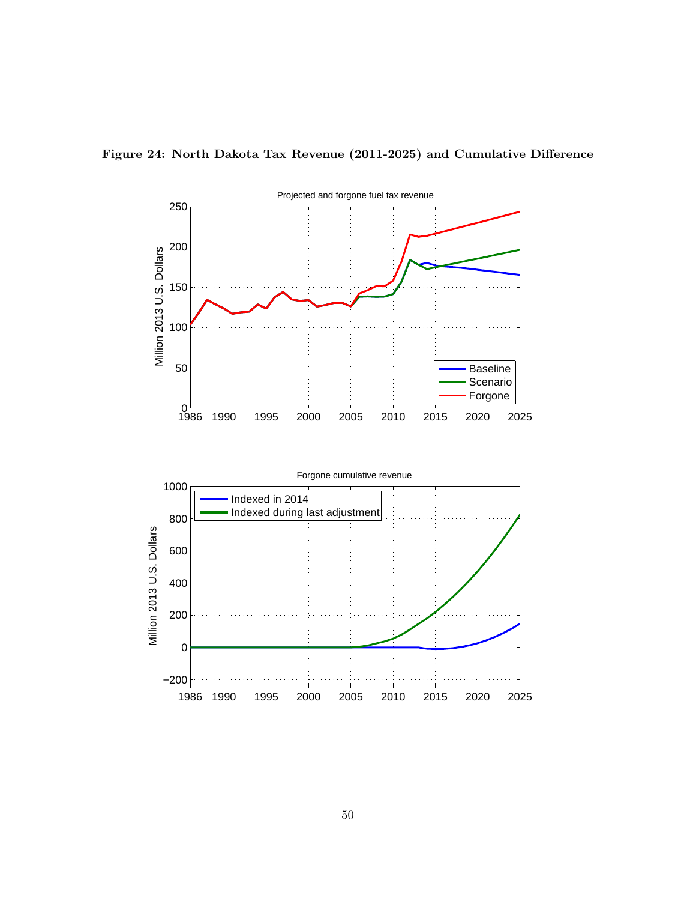

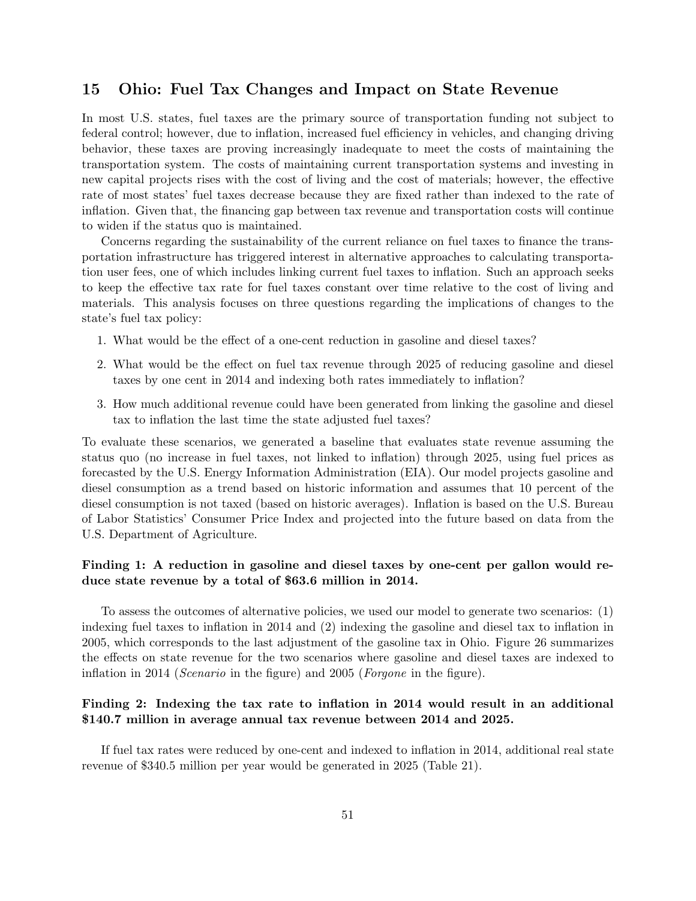### 15 Ohio: Fuel Tax Changes and Impact on State Revenue

In most U.S. states, fuel taxes are the primary source of transportation funding not subject to federal control; however, due to inflation, increased fuel efficiency in vehicles, and changing driving behavior, these taxes are proving increasingly inadequate to meet the costs of maintaining the transportation system. The costs of maintaining current transportation systems and investing in new capital projects rises with the cost of living and the cost of materials; however, the effective rate of most states' fuel taxes decrease because they are fixed rather than indexed to the rate of inflation. Given that, the financing gap between tax revenue and transportation costs will continue to widen if the status quo is maintained.

Concerns regarding the sustainability of the current reliance on fuel taxes to finance the transportation infrastructure has triggered interest in alternative approaches to calculating transportation user fees, one of which includes linking current fuel taxes to inflation. Such an approach seeks to keep the effective tax rate for fuel taxes constant over time relative to the cost of living and materials. This analysis focuses on three questions regarding the implications of changes to the state's fuel tax policy:

- 1. What would be the effect of a one-cent reduction in gasoline and diesel taxes?
- 2. What would be the effect on fuel tax revenue through 2025 of reducing gasoline and diesel taxes by one cent in 2014 and indexing both rates immediately to inflation?
- 3. How much additional revenue could have been generated from linking the gasoline and diesel tax to inflation the last time the state adjusted fuel taxes?

To evaluate these scenarios, we generated a baseline that evaluates state revenue assuming the status quo (no increase in fuel taxes, not linked to inflation) through 2025, using fuel prices as forecasted by the U.S. Energy Information Administration (EIA). Our model projects gasoline and diesel consumption as a trend based on historic information and assumes that 10 percent of the diesel consumption is not taxed (based on historic averages). Inflation is based on the U.S. Bureau of Labor Statistics' Consumer Price Index and projected into the future based on data from the U.S. Department of Agriculture.

#### Finding 1: A reduction in gasoline and diesel taxes by one-cent per gallon would reduce state revenue by a total of \$63.6 million in 2014.

To assess the outcomes of alternative policies, we used our model to generate two scenarios: (1) indexing fuel taxes to inflation in 2014 and (2) indexing the gasoline and diesel tax to inflation in 2005, which corresponds to the last adjustment of the gasoline tax in Ohio. Figure 26 summarizes the effects on state revenue for the two scenarios where gasoline and diesel taxes are indexed to inflation in 2014 (Scenario in the figure) and 2005 (Forgone in the figure).

#### Finding 2: Indexing the tax rate to inflation in 2014 would result in an additional \$140.7 million in average annual tax revenue between 2014 and 2025.

If fuel tax rates were reduced by one-cent and indexed to inflation in 2014, additional real state revenue of \$340.5 million per year would be generated in 2025 (Table 21).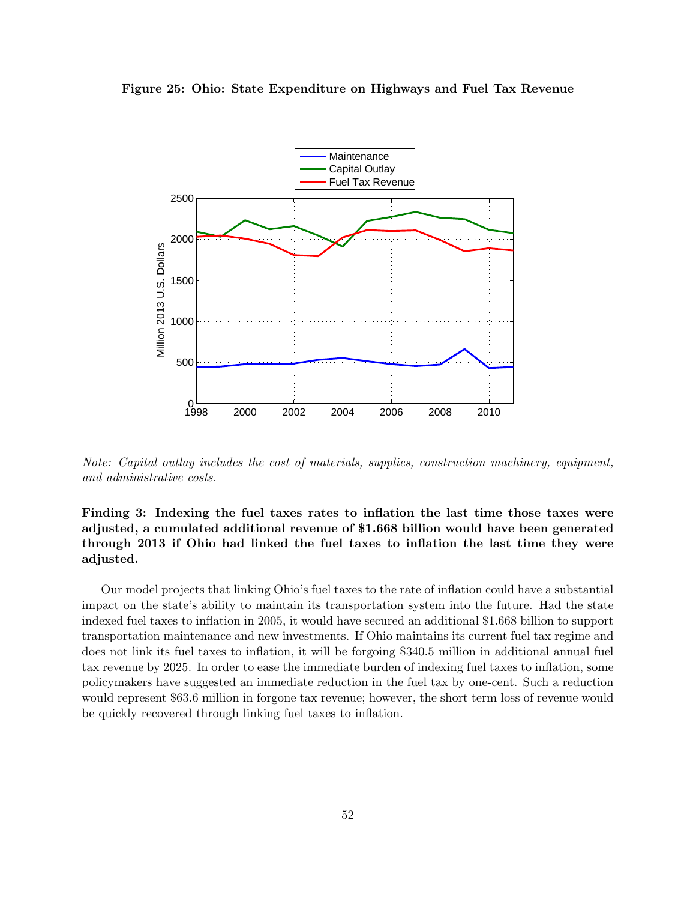



Note: Capital outlay includes the cost of materials, supplies, construction machinery, equipment, and administrative costs.

### Finding 3: Indexing the fuel taxes rates to inflation the last time those taxes were adjusted, a cumulated additional revenue of \$1.668 billion would have been generated through 2013 if Ohio had linked the fuel taxes to inflation the last time they were adjusted.

Our model projects that linking Ohio's fuel taxes to the rate of inflation could have a substantial impact on the state's ability to maintain its transportation system into the future. Had the state indexed fuel taxes to inflation in 2005, it would have secured an additional \$1.668 billion to support transportation maintenance and new investments. If Ohio maintains its current fuel tax regime and does not link its fuel taxes to inflation, it will be forgoing \$340.5 million in additional annual fuel tax revenue by 2025. In order to ease the immediate burden of indexing fuel taxes to inflation, some policymakers have suggested an immediate reduction in the fuel tax by one-cent. Such a reduction would represent \$63.6 million in forgone tax revenue; however, the short term loss of revenue would be quickly recovered through linking fuel taxes to inflation.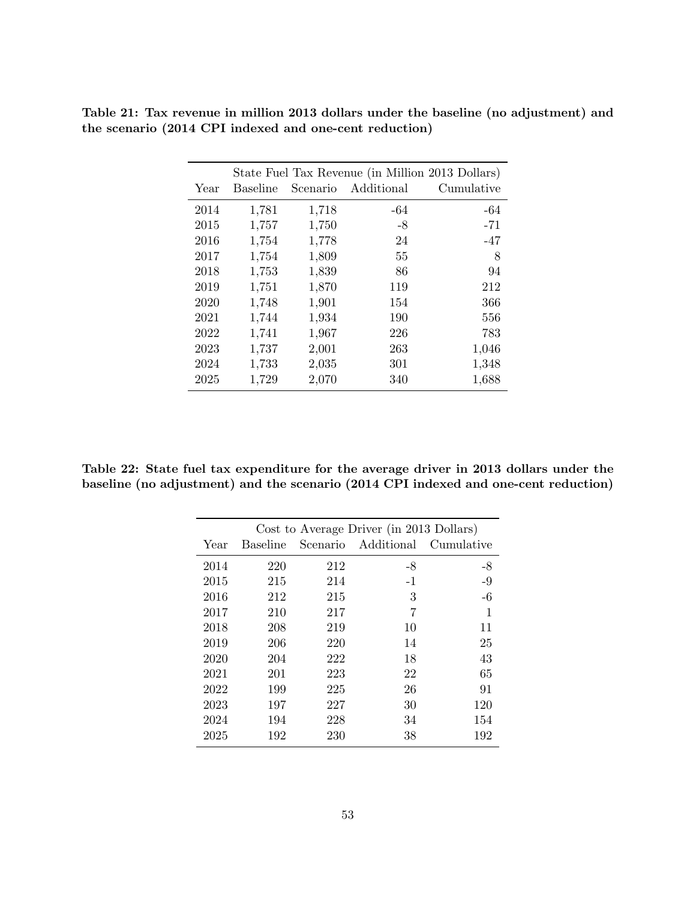|      |                 |          | State Fuel Tax Revenue (in Million 2013 Dollars) |            |
|------|-----------------|----------|--------------------------------------------------|------------|
| Year | <b>Baseline</b> | Scenario | Additional                                       | Cumulative |
| 2014 | 1,781           | 1,718    | -64                                              | -64        |
| 2015 | 1,757           | 1,750    | $-8$                                             | $-71$      |
| 2016 | 1,754           | 1,778    | 24                                               | -47        |
| 2017 | 1,754           | 1,809    | 55                                               | 8          |
| 2018 | 1,753           | 1,839    | 86                                               | 94         |
| 2019 | 1,751           | 1,870    | 119                                              | 212        |
| 2020 | 1,748           | 1,901    | 154                                              | 366        |
| 2021 | 1,744           | 1,934    | 190                                              | 556        |
| 2022 | 1,741           | 1,967    | 226                                              | 783        |
| 2023 | 1,737           | 2,001    | 263                                              | 1,046      |
| 2024 | 1,733           | 2,035    | 301                                              | 1,348      |
| 2025 | 1,729           | 2,070    | 340                                              | 1,688      |
|      |                 |          |                                                  |            |

Table 21: Tax revenue in million 2013 dollars under the baseline (no adjustment) and the scenario (2014 CPI indexed and one-cent reduction)

Table 22: State fuel tax expenditure for the average driver in 2013 dollars under the baseline (no adjustment) and the scenario (2014 CPI indexed and one-cent reduction)

|      |                 |     | Cost to Average Driver (in 2013 Dollars) |            |
|------|-----------------|-----|------------------------------------------|------------|
| Year | <b>Baseline</b> |     | Scenario Additional                      | Cumulative |
| 2014 | 220             | 212 | -8                                       | -8         |
| 2015 | 215             | 214 | $-1$                                     | $-9$       |
| 2016 | 212             | 215 | 3                                        | $-6$       |
| 2017 | 210             | 217 | 7                                        | 1          |
| 2018 | 208             | 219 | 10                                       | 11         |
| 2019 | 206             | 220 | 14                                       | 25         |
| 2020 | 204             | 222 | 18                                       | 43         |
| 2021 | 201             | 223 | 22                                       | 65         |
| 2022 | 199             | 225 | 26                                       | 91         |
| 2023 | 197             | 227 | 30                                       | 120        |
| 2024 | 194             | 228 | 34                                       | 154        |
| 2025 | 192             | 230 | 38                                       | 192        |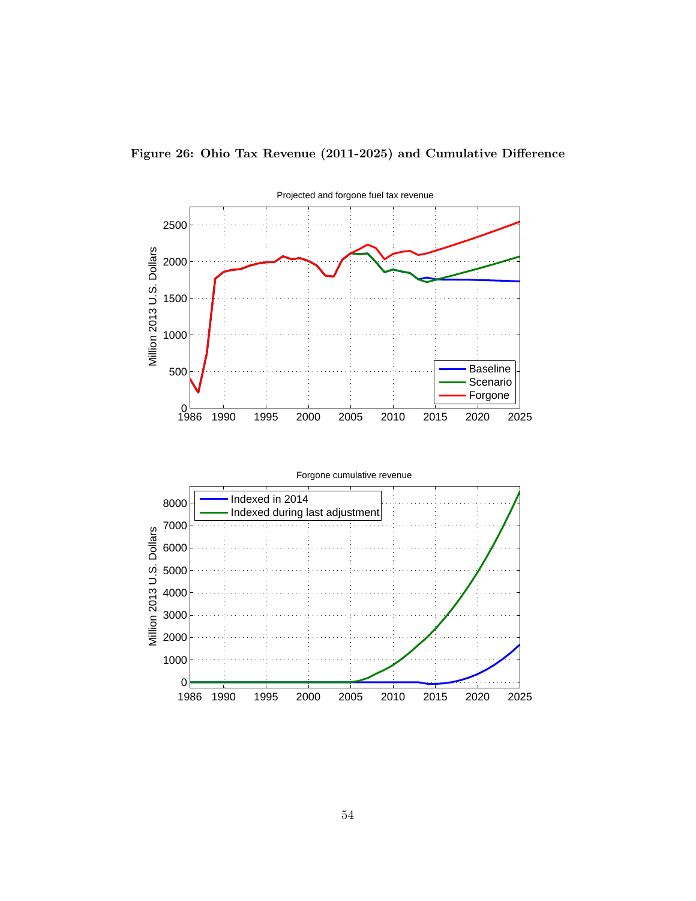

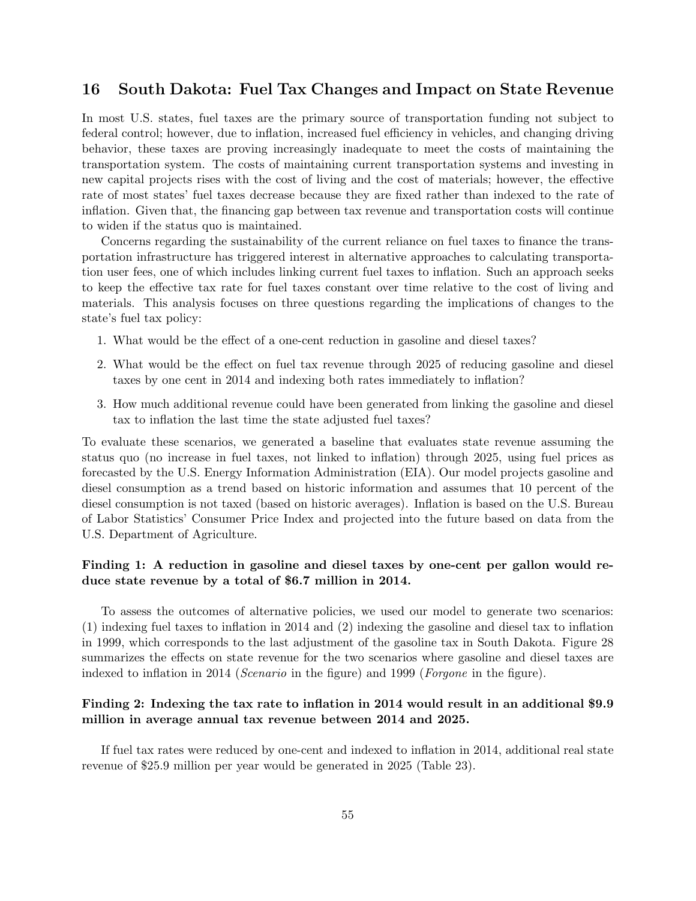### 16 South Dakota: Fuel Tax Changes and Impact on State Revenue

In most U.S. states, fuel taxes are the primary source of transportation funding not subject to federal control; however, due to inflation, increased fuel efficiency in vehicles, and changing driving behavior, these taxes are proving increasingly inadequate to meet the costs of maintaining the transportation system. The costs of maintaining current transportation systems and investing in new capital projects rises with the cost of living and the cost of materials; however, the effective rate of most states' fuel taxes decrease because they are fixed rather than indexed to the rate of inflation. Given that, the financing gap between tax revenue and transportation costs will continue to widen if the status quo is maintained.

Concerns regarding the sustainability of the current reliance on fuel taxes to finance the transportation infrastructure has triggered interest in alternative approaches to calculating transportation user fees, one of which includes linking current fuel taxes to inflation. Such an approach seeks to keep the effective tax rate for fuel taxes constant over time relative to the cost of living and materials. This analysis focuses on three questions regarding the implications of changes to the state's fuel tax policy:

- 1. What would be the effect of a one-cent reduction in gasoline and diesel taxes?
- 2. What would be the effect on fuel tax revenue through 2025 of reducing gasoline and diesel taxes by one cent in 2014 and indexing both rates immediately to inflation?
- 3. How much additional revenue could have been generated from linking the gasoline and diesel tax to inflation the last time the state adjusted fuel taxes?

To evaluate these scenarios, we generated a baseline that evaluates state revenue assuming the status quo (no increase in fuel taxes, not linked to inflation) through 2025, using fuel prices as forecasted by the U.S. Energy Information Administration (EIA). Our model projects gasoline and diesel consumption as a trend based on historic information and assumes that 10 percent of the diesel consumption is not taxed (based on historic averages). Inflation is based on the U.S. Bureau of Labor Statistics' Consumer Price Index and projected into the future based on data from the U.S. Department of Agriculture.

#### Finding 1: A reduction in gasoline and diesel taxes by one-cent per gallon would reduce state revenue by a total of \$6.7 million in 2014.

To assess the outcomes of alternative policies, we used our model to generate two scenarios: (1) indexing fuel taxes to inflation in 2014 and (2) indexing the gasoline and diesel tax to inflation in 1999, which corresponds to the last adjustment of the gasoline tax in South Dakota. Figure 28 summarizes the effects on state revenue for the two scenarios where gasoline and diesel taxes are indexed to inflation in 2014 (*Scenario* in the figure) and 1999 (*Forgone* in the figure).

#### Finding 2: Indexing the tax rate to inflation in 2014 would result in an additional \$9.9 million in average annual tax revenue between 2014 and 2025.

If fuel tax rates were reduced by one-cent and indexed to inflation in 2014, additional real state revenue of \$25.9 million per year would be generated in 2025 (Table 23).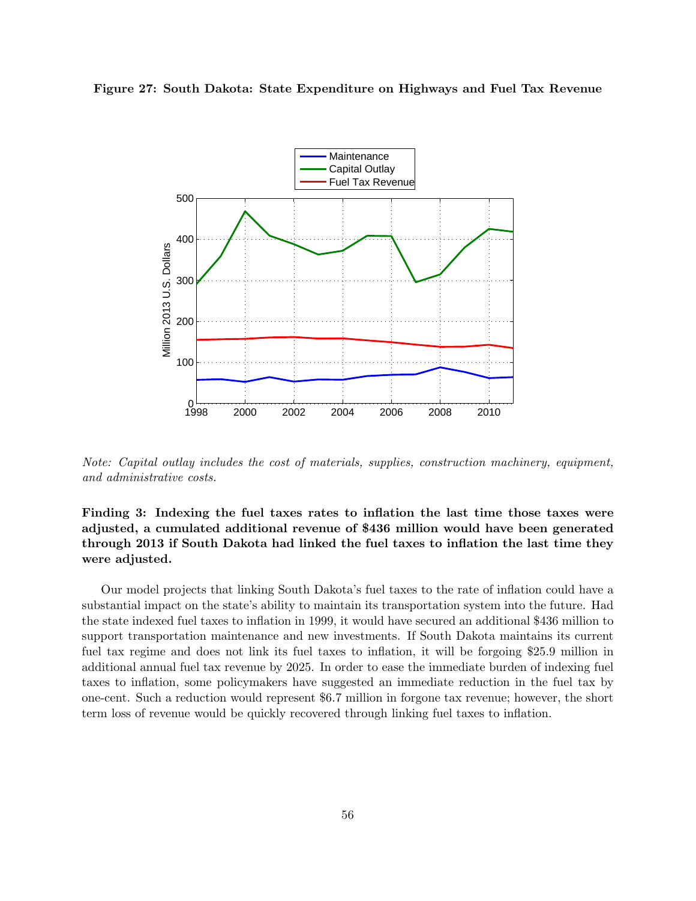



Note: Capital outlay includes the cost of materials, supplies, construction machinery, equipment, and administrative costs.

Finding 3: Indexing the fuel taxes rates to inflation the last time those taxes were adjusted, a cumulated additional revenue of \$436 million would have been generated through 2013 if South Dakota had linked the fuel taxes to inflation the last time they were adjusted.

Our model projects that linking South Dakota's fuel taxes to the rate of inflation could have a substantial impact on the state's ability to maintain its transportation system into the future. Had the state indexed fuel taxes to inflation in 1999, it would have secured an additional \$436 million to support transportation maintenance and new investments. If South Dakota maintains its current fuel tax regime and does not link its fuel taxes to inflation, it will be forgoing \$25.9 million in additional annual fuel tax revenue by 2025. In order to ease the immediate burden of indexing fuel taxes to inflation, some policymakers have suggested an immediate reduction in the fuel tax by one-cent. Such a reduction would represent \$6.7 million in forgone tax revenue; however, the short term loss of revenue would be quickly recovered through linking fuel taxes to inflation.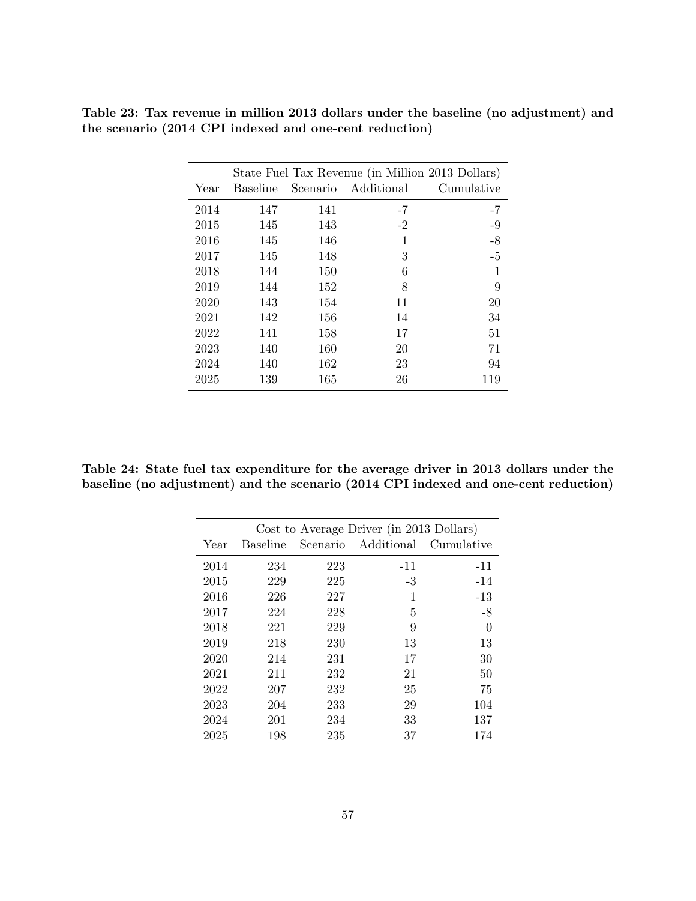|      | State Fuel Tax Revenue (in Million 2013 Dollars) |     |                     |            |  |  |
|------|--------------------------------------------------|-----|---------------------|------------|--|--|
| Year | Baseline                                         |     | Scenario Additional | Cumulative |  |  |
| 2014 | 147                                              | 141 | $-7$                | $-7$       |  |  |
| 2015 | 145                                              | 143 | $-2$                | $-9$       |  |  |
| 2016 | 145                                              | 146 | 1                   | $-8$       |  |  |
| 2017 | 145                                              | 148 | 3                   | $-5$       |  |  |
| 2018 | 144                                              | 150 | 6                   |            |  |  |
| 2019 | 144                                              | 152 | 8                   | 9          |  |  |
| 2020 | 143                                              | 154 | 11                  | 20         |  |  |
| 2021 | 142                                              | 156 | 14                  | 34         |  |  |
| 2022 | 141                                              | 158 | 17                  | 51         |  |  |
| 2023 | 140                                              | 160 | 20                  | 71         |  |  |
| 2024 | 140                                              | 162 | 23                  | 94         |  |  |
| 2025 | 139                                              | 165 | 26                  | 119        |  |  |

Table 23: Tax revenue in million 2013 dollars under the baseline (no adjustment) and the scenario (2014 CPI indexed and one-cent reduction)

Table 24: State fuel tax expenditure for the average driver in 2013 dollars under the baseline (no adjustment) and the scenario (2014 CPI indexed and one-cent reduction)

|      |                 |     | Cost to Average Driver (in 2013 Dollars) |            |
|------|-----------------|-----|------------------------------------------|------------|
| Year | <b>Baseline</b> |     | Scenario Additional                      | Cumulative |
| 2014 | 234             | 223 | $-11$                                    | $-11$      |
| 2015 | 229             | 225 | $-3$                                     | $-14$      |
| 2016 | 226             | 227 | 1                                        | $-13$      |
| 2017 | 224             | 228 | 5                                        | -8         |
| 2018 | 221             | 229 | 9                                        | $\theta$   |
| 2019 | 218             | 230 | 13                                       | 13         |
| 2020 | 214             | 231 | 17                                       | 30         |
| 2021 | 211             | 232 | 21                                       | 50         |
| 2022 | 207             | 232 | 25                                       | 75         |
| 2023 | 204             | 233 | 29                                       | 104        |
| 2024 | 201             | 234 | 33                                       | 137        |
| 2025 | 198             | 235 | 37                                       | 174        |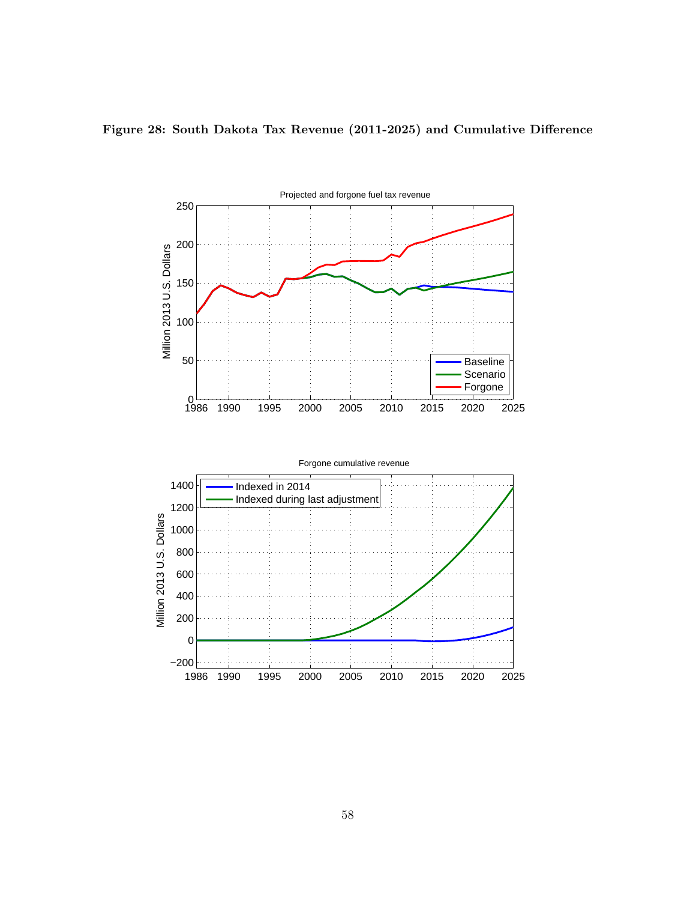

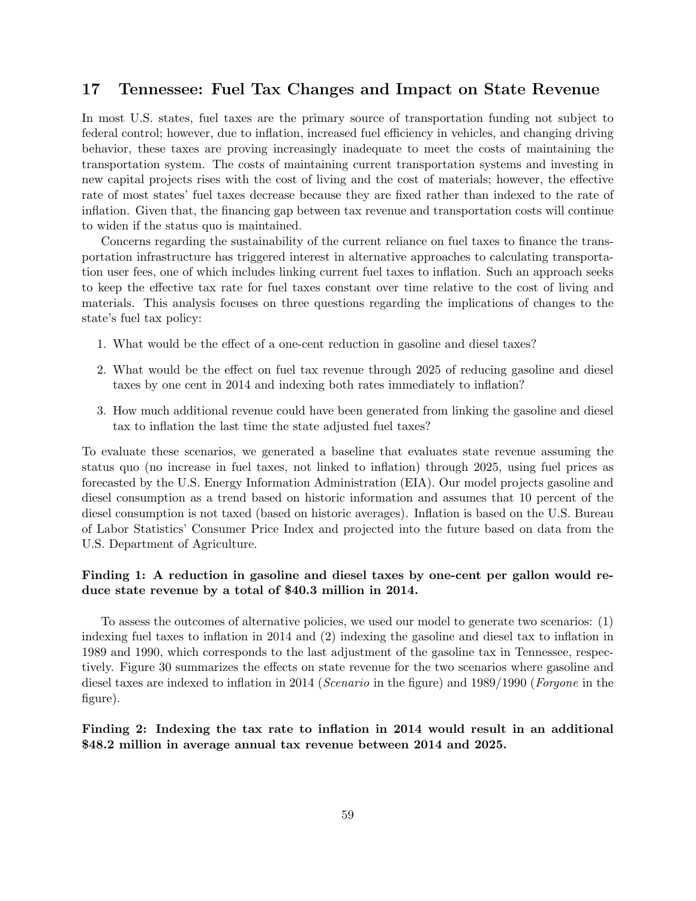### 17 Tennessee: Fuel Tax Changes and Impact on State Revenue

In most U.S. states, fuel taxes are the primary source of transportation funding not subject to federal control; however, due to inflation, increased fuel efficiency in vehicles, and changing driving behavior, these taxes are proving increasingly inadequate to meet the costs of maintaining the transportation system. The costs of maintaining current transportation systems and investing in new capital projects rises with the cost of living and the cost of materials; however, the effective rate of most states' fuel taxes decrease because they are fixed rather than indexed to the rate of inflation. Given that, the financing gap between tax revenue and transportation costs will continue to widen if the status quo is maintained.

Concerns regarding the sustainability of the current reliance on fuel taxes to finance the transportation infrastructure has triggered interest in alternative approaches to calculating transportation user fees, one of which includes linking current fuel taxes to inflation. Such an approach seeks to keep the effective tax rate for fuel taxes constant over time relative to the cost of living and materials. This analysis focuses on three questions regarding the implications of changes to the state's fuel tax policy:

- 1. What would be the effect of a one-cent reduction in gasoline and diesel taxes?
- 2. What would be the effect on fuel tax revenue through 2025 of reducing gasoline and diesel taxes by one cent in 2014 and indexing both rates immediately to inflation?
- 3. How much additional revenue could have been generated from linking the gasoline and diesel tax to inflation the last time the state adjusted fuel taxes?

To evaluate these scenarios, we generated a baseline that evaluates state revenue assuming the status quo (no increase in fuel taxes, not linked to inflation) through 2025, using fuel prices as forecasted by the U.S. Energy Information Administration (EIA). Our model projects gasoline and diesel consumption as a trend based on historic information and assumes that 10 percent of the diesel consumption is not taxed (based on historic averages). Inflation is based on the U.S. Bureau of Labor Statistics' Consumer Price Index and projected into the future based on data from the U.S. Department of Agriculture.

#### Finding 1: A reduction in gasoline and diesel taxes by one-cent per gallon would reduce state revenue by a total of \$40.3 million in 2014.

To assess the outcomes of alternative policies, we used our model to generate two scenarios: (1) indexing fuel taxes to inflation in 2014 and (2) indexing the gasoline and diesel tax to inflation in 1989 and 1990, which corresponds to the last adjustment of the gasoline tax in Tennessee, respectively. Figure 30 summarizes the effects on state revenue for the two scenarios where gasoline and diesel taxes are indexed to inflation in 2014 (Scenario in the figure) and 1989/1990 (Forgone in the figure).

#### Finding 2: Indexing the tax rate to inflation in 2014 would result in an additional \$48.2 million in average annual tax revenue between 2014 and 2025.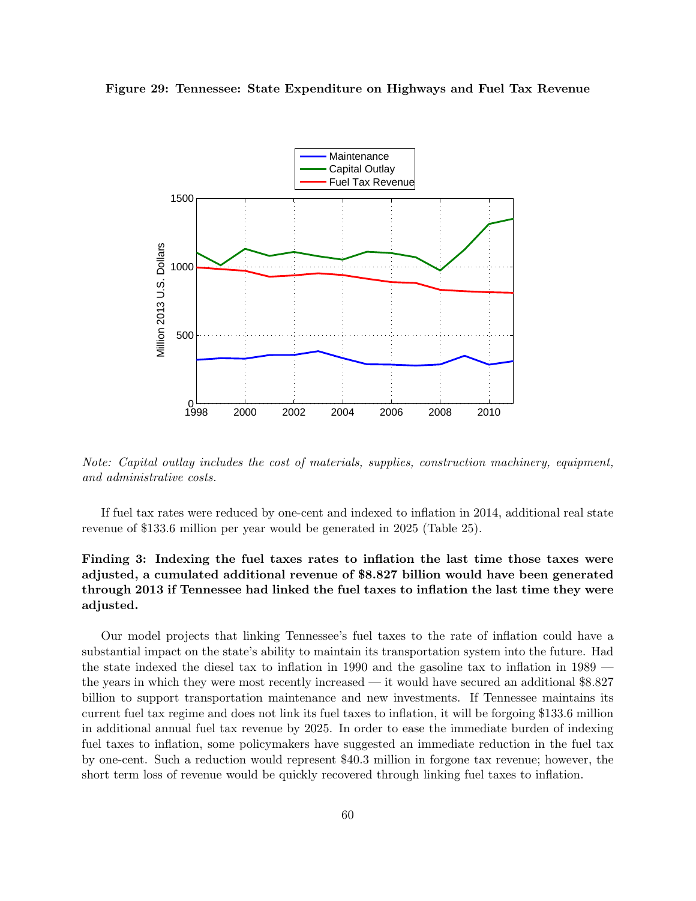#### Figure 29: Tennessee: State Expenditure on Highways and Fuel Tax Revenue



Note: Capital outlay includes the cost of materials, supplies, construction machinery, equipment, and administrative costs.

If fuel tax rates were reduced by one-cent and indexed to inflation in 2014, additional real state revenue of \$133.6 million per year would be generated in 2025 (Table 25).

### Finding 3: Indexing the fuel taxes rates to inflation the last time those taxes were adjusted, a cumulated additional revenue of \$8.827 billion would have been generated through 2013 if Tennessee had linked the fuel taxes to inflation the last time they were adjusted.

Our model projects that linking Tennessee's fuel taxes to the rate of inflation could have a substantial impact on the state's ability to maintain its transportation system into the future. Had the state indexed the diesel tax to inflation in 1990 and the gasoline tax to inflation in 1989 the years in which they were most recently increased — it would have secured an additional \$8.827 billion to support transportation maintenance and new investments. If Tennessee maintains its current fuel tax regime and does not link its fuel taxes to inflation, it will be forgoing \$133.6 million in additional annual fuel tax revenue by 2025. In order to ease the immediate burden of indexing fuel taxes to inflation, some policymakers have suggested an immediate reduction in the fuel tax by one-cent. Such a reduction would represent \$40.3 million in forgone tax revenue; however, the short term loss of revenue would be quickly recovered through linking fuel taxes to inflation.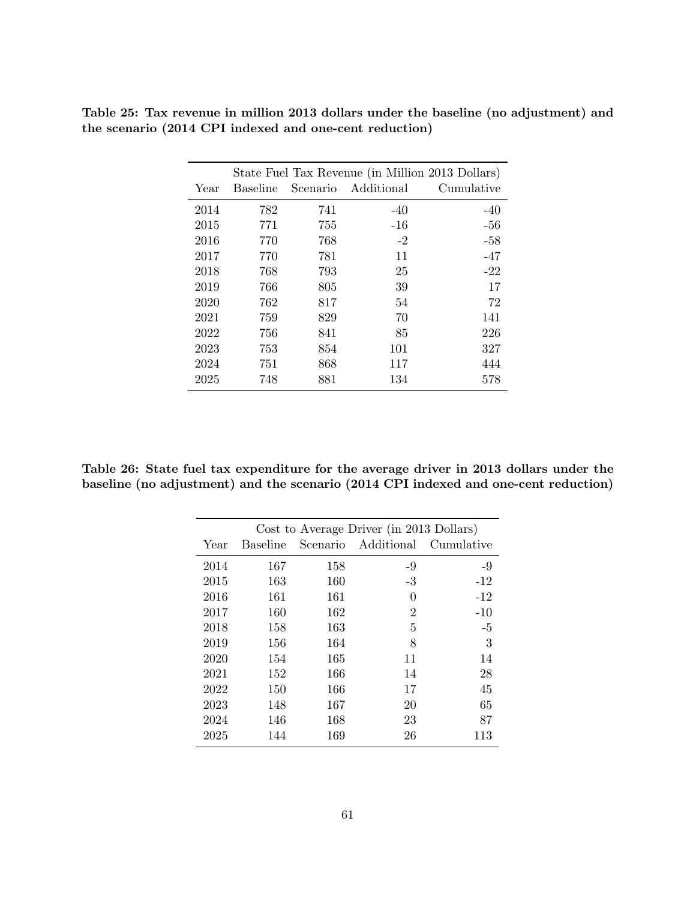| State Fuel Tax Revenue (in Million 2013 Dollars) |                 |          |            |            |  |
|--------------------------------------------------|-----------------|----------|------------|------------|--|
| Year                                             | <b>Baseline</b> | Scenario | Additional | Cumulative |  |
| 2014                                             | 782             | 741      | $-40$      | $-40$      |  |
| 2015                                             | 771             | 755      | $-16$      | $-56$      |  |
| 2016                                             | 770             | 768      | $-2$       | $-58$      |  |
| 2017                                             | 770             | 781      | 11         | $-47$      |  |
| 2018                                             | 768             | 793      | 25         | $-22$      |  |
| 2019                                             | 766             | 805      | 39         | 17         |  |
| 2020                                             | 762             | 817      | 54         | 72         |  |
| 2021                                             | 759             | 829      | 70         | 141        |  |
| 2022                                             | 756             | 841      | 85         | 226        |  |
| 2023                                             | 753             | 854      | 101        | 327        |  |
| 2024                                             | 751             | 868      | 117        | 444        |  |
| 2025                                             | 748             | 881      | 134        | 578        |  |

Table 25: Tax revenue in million 2013 dollars under the baseline (no adjustment) and the scenario (2014 CPI indexed and one-cent reduction)

Table 26: State fuel tax expenditure for the average driver in 2013 dollars under the baseline (no adjustment) and the scenario (2014 CPI indexed and one-cent reduction)

|      |                 |     | Cost to Average Driver (in 2013 Dollars) |            |
|------|-----------------|-----|------------------------------------------|------------|
| Year | <b>Baseline</b> |     | Scenario Additional                      | Cumulative |
| 2014 | 167             | 158 | -9                                       | $-9$       |
| 2015 | 163             | 160 | $-3$                                     | $-12$      |
| 2016 | 161             | 161 | $\theta$                                 | $-12$      |
| 2017 | 160             | 162 | $\overline{2}$                           | $-10$      |
| 2018 | 158             | 163 | 5                                        | $-5$       |
| 2019 | 156             | 164 | 8                                        | 3          |
| 2020 | 154             | 165 | 11                                       | 14         |
| 2021 | 152             | 166 | 14                                       | 28         |
| 2022 | 150             | 166 | 17                                       | 45         |
| 2023 | 148             | 167 | 20                                       | 65         |
| 2024 | 146             | 168 | 23                                       | 87         |
| 2025 | 144             | 169 | 26                                       | 113        |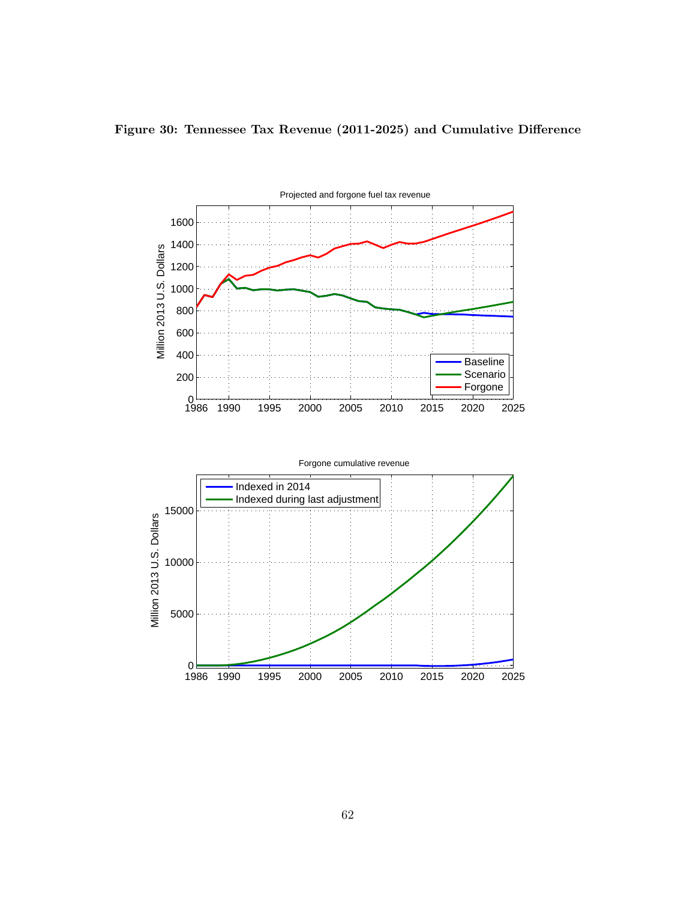

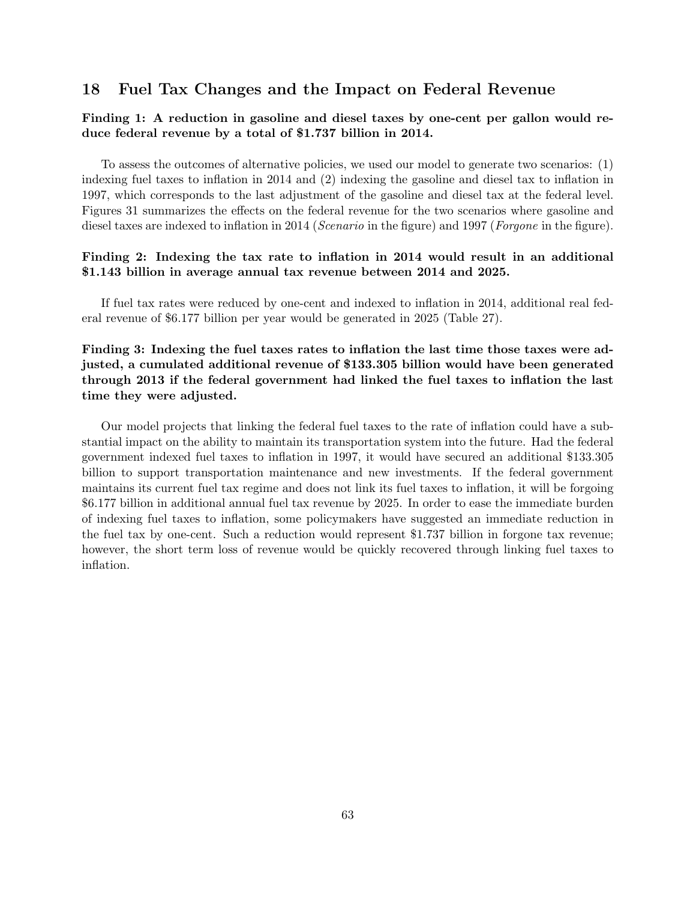### 18 Fuel Tax Changes and the Impact on Federal Revenue

#### Finding 1: A reduction in gasoline and diesel taxes by one-cent per gallon would reduce federal revenue by a total of \$1.737 billion in 2014.

To assess the outcomes of alternative policies, we used our model to generate two scenarios: (1) indexing fuel taxes to inflation in 2014 and (2) indexing the gasoline and diesel tax to inflation in 1997, which corresponds to the last adjustment of the gasoline and diesel tax at the federal level. Figures 31 summarizes the effects on the federal revenue for the two scenarios where gasoline and diesel taxes are indexed to inflation in 2014 (Scenario in the figure) and 1997 (Forgone in the figure).

#### Finding 2: Indexing the tax rate to inflation in 2014 would result in an additional \$1.143 billion in average annual tax revenue between 2014 and 2025.

If fuel tax rates were reduced by one-cent and indexed to inflation in 2014, additional real federal revenue of \$6.177 billion per year would be generated in 2025 (Table 27).

### Finding 3: Indexing the fuel taxes rates to inflation the last time those taxes were adjusted, a cumulated additional revenue of \$133.305 billion would have been generated through 2013 if the federal government had linked the fuel taxes to inflation the last time they were adjusted.

Our model projects that linking the federal fuel taxes to the rate of inflation could have a substantial impact on the ability to maintain its transportation system into the future. Had the federal government indexed fuel taxes to inflation in 1997, it would have secured an additional \$133.305 billion to support transportation maintenance and new investments. If the federal government maintains its current fuel tax regime and does not link its fuel taxes to inflation, it will be forgoing \$6.177 billion in additional annual fuel tax revenue by 2025. In order to ease the immediate burden of indexing fuel taxes to inflation, some policymakers have suggested an immediate reduction in the fuel tax by one-cent. Such a reduction would represent \$1.737 billion in forgone tax revenue; however, the short term loss of revenue would be quickly recovered through linking fuel taxes to inflation.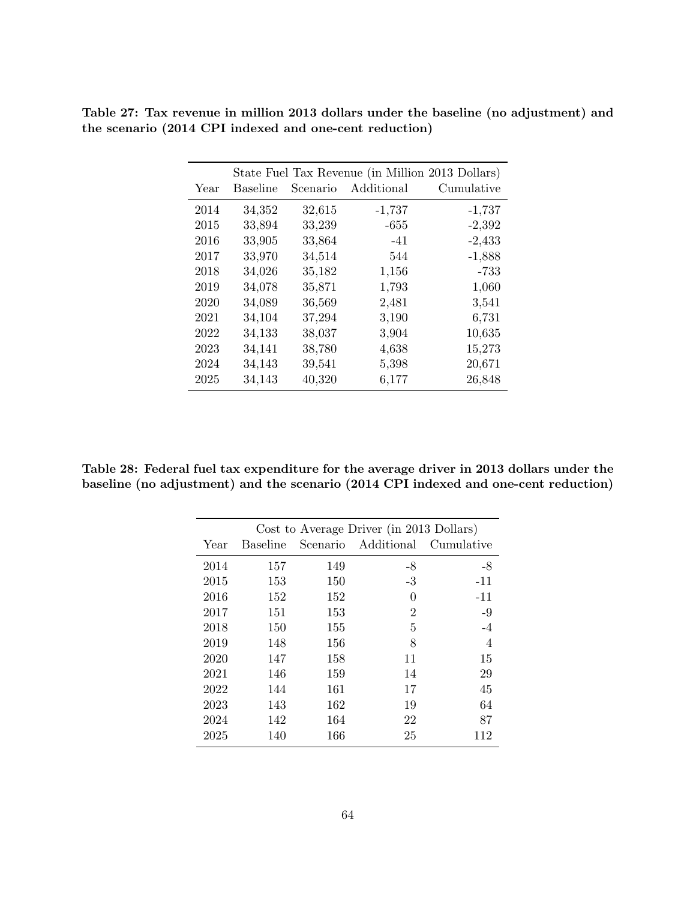| State Fuel Tax Revenue (in Million 2013 Dollars) |                 |          |            |            |  |
|--------------------------------------------------|-----------------|----------|------------|------------|--|
| Year                                             | <b>Baseline</b> | Scenario | Additional | Cumulative |  |
| 2014                                             | 34,352          | 32,615   | $-1,737$   | $-1,737$   |  |
| 2015                                             | 33,894          | 33,239   | $-655$     | $-2,392$   |  |
| 2016                                             | 33,905          | 33,864   | $-41$      | $-2,433$   |  |
| 2017                                             | 33,970          | 34,514   | 544        | $-1,888$   |  |
| 2018                                             | 34,026          | 35,182   | 1,156      | -733       |  |
| 2019                                             | 34,078          | 35,871   | 1,793      | 1,060      |  |
| 2020                                             | 34,089          | 36,569   | 2,481      | 3,541      |  |
| 2021                                             | 34,104          | 37,294   | 3,190      | 6,731      |  |
| 2022                                             | 34,133          | 38,037   | 3,904      | 10,635     |  |
| 2023                                             | 34,141          | 38,780   | 4,638      | 15,273     |  |
| 2024                                             | 34,143          | 39,541   | 5,398      | 20,671     |  |
| 2025                                             | 34,143          | 40,320   | 6,177      | 26,848     |  |

Table 27: Tax revenue in million 2013 dollars under the baseline (no adjustment) and the scenario (2014 CPI indexed and one-cent reduction)

Table 28: Federal fuel tax expenditure for the average driver in 2013 dollars under the baseline (no adjustment) and the scenario (2014 CPI indexed and one-cent reduction)

|      |                 |          | Cost to Average Driver (in 2013 Dollars) |            |
|------|-----------------|----------|------------------------------------------|------------|
| Year | <b>Baseline</b> | Scenario | Additional                               | Cumulative |
| 2014 | 157             | 149      | $-8$                                     | -8         |
| 2015 | 153             | 150      | $-3$                                     | $-11$      |
| 2016 | 152             | 152      | 0                                        | $-11$      |
| 2017 | 151             | 153      | $\overline{2}$                           | $-9$       |
| 2018 | 150             | 155      | 5                                        | $-4$       |
| 2019 | 148             | 156      | 8                                        | 4          |
| 2020 | 147             | 158      | 11                                       | 15         |
| 2021 | 146             | 159      | 14                                       | 29         |
| 2022 | 144             | 161      | 17                                       | 45         |
| 2023 | 143             | 162      | 19                                       | 64         |
| 2024 | 142             | 164      | 22                                       | 87         |
| 2025 | 140             | 166      | 25                                       | 112        |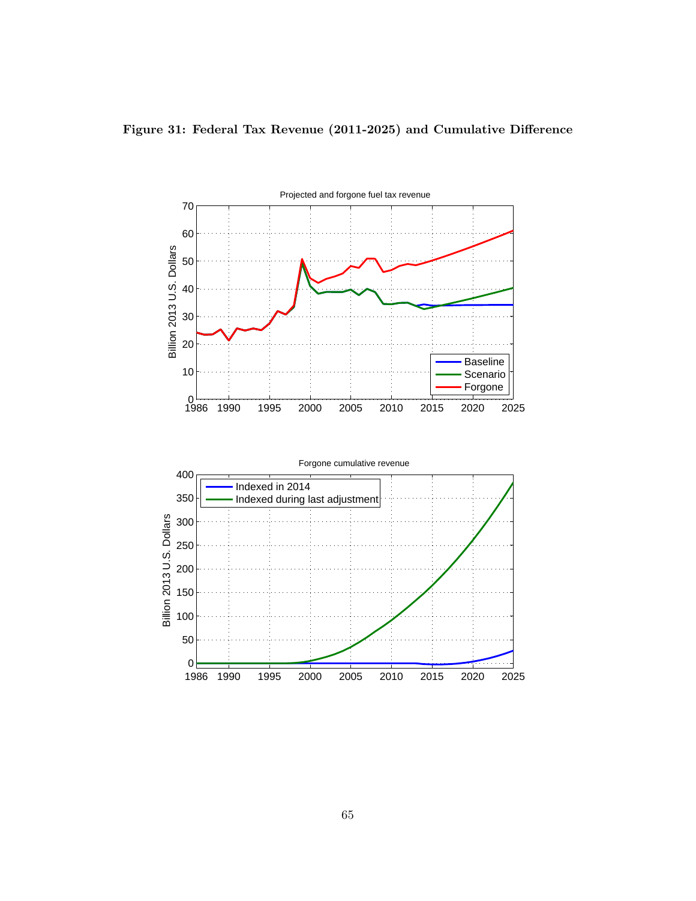

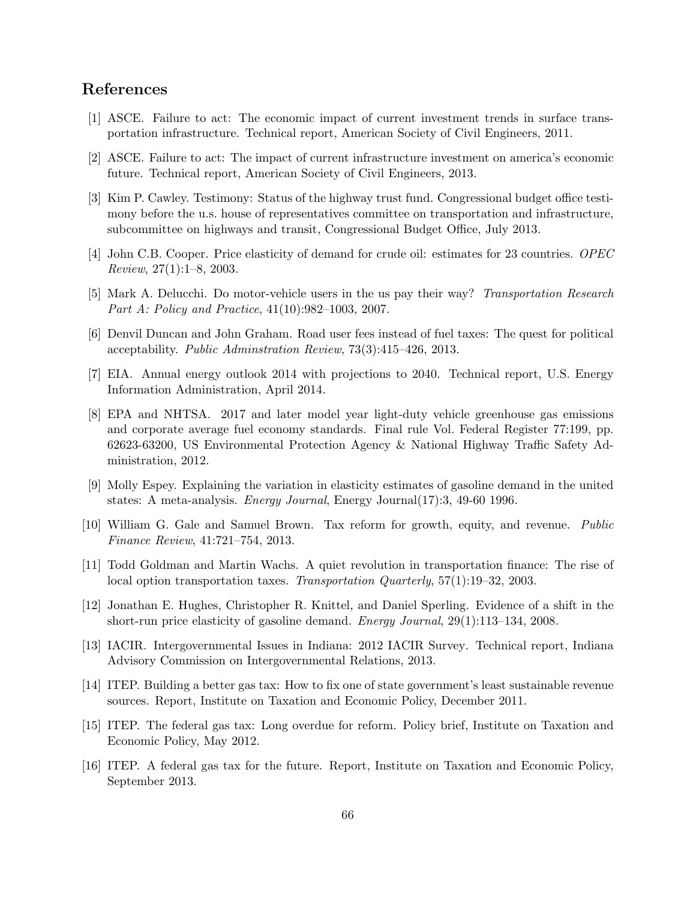# References

- [1] ASCE. Failure to act: The economic impact of current investment trends in surface transportation infrastructure. Technical report, American Society of Civil Engineers, 2011.
- [2] ASCE. Failure to act: The impact of current infrastructure investment on america's economic future. Technical report, American Society of Civil Engineers, 2013.
- [3] Kim P. Cawley. Testimony: Status of the highway trust fund. Congressional budget office testimony before the u.s. house of representatives committee on transportation and infrastructure, subcommittee on highways and transit, Congressional Budget Office, July 2013.
- [4] John C.B. Cooper. Price elasticity of demand for crude oil: estimates for 23 countries. OPEC Review, 27(1):1–8, 2003.
- [5] Mark A. Delucchi. Do motor-vehicle users in the us pay their way? Transportation Research Part A: Policy and Practice, 41(10):982–1003, 2007.
- [6] Denvil Duncan and John Graham. Road user fees instead of fuel taxes: The quest for political acceptability. Public Adminstration Review, 73(3):415–426, 2013.
- [7] EIA. Annual energy outlook 2014 with projections to 2040. Technical report, U.S. Energy Information Administration, April 2014.
- [8] EPA and NHTSA. 2017 and later model year light-duty vehicle greenhouse gas emissions and corporate average fuel economy standards. Final rule Vol. Federal Register 77:199, pp. 62623-63200, US Environmental Protection Agency & National Highway Traffic Safety Administration, 2012.
- [9] Molly Espey. Explaining the variation in elasticity estimates of gasoline demand in the united states: A meta-analysis. *Energy Journal*, Energy Journal(17):3, 49-60 1996.
- [10] William G. Gale and Samuel Brown. Tax reform for growth, equity, and revenue. Public Finance Review, 41:721–754, 2013.
- [11] Todd Goldman and Martin Wachs. A quiet revolution in transportation finance: The rise of local option transportation taxes. Transportation Quarterly, 57(1):19–32, 2003.
- [12] Jonathan E. Hughes, Christopher R. Knittel, and Daniel Sperling. Evidence of a shift in the short-run price elasticity of gasoline demand. Energy Journal, 29(1):113–134, 2008.
- [13] IACIR. Intergovernmental Issues in Indiana: 2012 IACIR Survey. Technical report, Indiana Advisory Commission on Intergovernmental Relations, 2013.
- [14] ITEP. Building a better gas tax: How to fix one of state government's least sustainable revenue sources. Report, Institute on Taxation and Economic Policy, December 2011.
- [15] ITEP. The federal gas tax: Long overdue for reform. Policy brief, Institute on Taxation and Economic Policy, May 2012.
- [16] ITEP. A federal gas tax for the future. Report, Institute on Taxation and Economic Policy, September 2013.